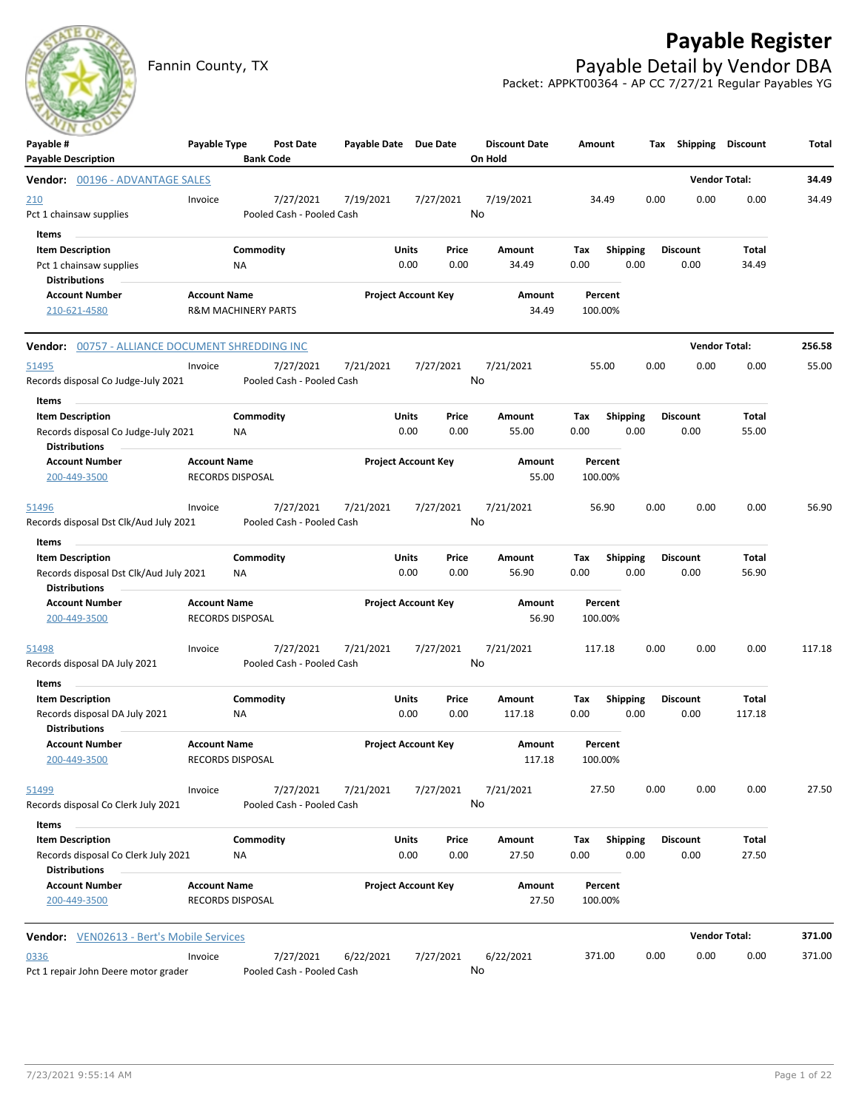## **Payable Register**



Fannin County, TX **Payable Detail by Vendor DBA** Packet: APPKT00364 - AP CC 7/27/21 Regular Payables YG

| Payable #                                        | Payable Type                                          | Post Date                 | Payable Date Due Date |                            | <b>Discount Date</b> | Amount             | Tax             | Shipping        | <b>Discount</b>      | Total  |
|--------------------------------------------------|-------------------------------------------------------|---------------------------|-----------------------|----------------------------|----------------------|--------------------|-----------------|-----------------|----------------------|--------|
| <b>Payable Description</b>                       |                                                       | <b>Bank Code</b>          |                       |                            | On Hold              |                    |                 |                 |                      |        |
| <b>Vendor:</b> 00196 - ADVANTAGE SALES           |                                                       |                           |                       |                            |                      |                    |                 |                 | <b>Vendor Total:</b> | 34.49  |
| <u> 210</u>                                      | Invoice                                               | 7/27/2021                 | 7/19/2021             | 7/27/2021                  | 7/19/2021            | 34.49              | 0.00            | 0.00            | 0.00                 | 34.49  |
| Pct 1 chainsaw supplies                          |                                                       | Pooled Cash - Pooled Cash |                       |                            | No                   |                    |                 |                 |                      |        |
| Items                                            |                                                       |                           |                       |                            |                      |                    |                 |                 |                      |        |
| <b>Item Description</b>                          |                                                       | Commodity                 | Units                 | Price                      | Amount               | Тах                | Shipping        | <b>Discount</b> | Total                |        |
| Pct 1 chainsaw supplies                          | ΝA                                                    |                           |                       | 0.00<br>0.00               | 34.49                | 0.00               | 0.00            | 0.00            | 34.49                |        |
| <b>Distributions</b>                             |                                                       |                           |                       |                            |                      |                    |                 |                 |                      |        |
| <b>Account Number</b><br>210-621-4580            | <b>Account Name</b><br><b>R&amp;M MACHINERY PARTS</b> |                           |                       | <b>Project Account Key</b> | Amount<br>34.49      | Percent<br>100.00% |                 |                 |                      |        |
|                                                  |                                                       |                           |                       |                            |                      |                    |                 |                 |                      |        |
| Vendor: 00757 - ALLIANCE DOCUMENT SHREDDING INC  |                                                       |                           |                       |                            |                      |                    |                 |                 | <b>Vendor Total:</b> | 256.58 |
| 51495                                            | Invoice                                               | 7/27/2021                 | 7/21/2021             | 7/27/2021                  | 7/21/2021            | 55.00              | 0.00            | 0.00            | 0.00                 | 55.00  |
| Records disposal Co Judge-July 2021              |                                                       | Pooled Cash - Pooled Cash |                       |                            | No                   |                    |                 |                 |                      |        |
| Items                                            |                                                       |                           |                       |                            |                      |                    |                 |                 |                      |        |
| <b>Item Description</b>                          |                                                       | Commodity                 | Units                 | Price                      | Amount               | Tax                | <b>Shipping</b> | <b>Discount</b> | Total                |        |
| Records disposal Co Judge-July 2021              | ΝA                                                    |                           |                       | 0.00<br>0.00               | 55.00                | 0.00               | 0.00            | 0.00            | 55.00                |        |
| <b>Distributions</b>                             |                                                       |                           |                       |                            |                      |                    |                 |                 |                      |        |
| <b>Account Number</b>                            | <b>Account Name</b>                                   |                           |                       | <b>Project Account Key</b> | Amount               | Percent            |                 |                 |                      |        |
| 200-449-3500                                     | <b>RECORDS DISPOSAL</b>                               |                           |                       |                            | 55.00                | 100.00%            |                 |                 |                      |        |
| 51496                                            | Invoice                                               | 7/27/2021                 | 7/21/2021             | 7/27/2021                  | 7/21/2021            | 56.90              | 0.00            | 0.00            | 0.00                 | 56.90  |
| Records disposal Dst Clk/Aud July 2021           |                                                       | Pooled Cash - Pooled Cash |                       |                            | No                   |                    |                 |                 |                      |        |
| Items                                            |                                                       |                           |                       |                            |                      |                    |                 |                 |                      |        |
| <b>Item Description</b>                          |                                                       | Commodity                 | Units                 | Price                      | Amount               | Tax                | <b>Shipping</b> | <b>Discount</b> | Total                |        |
| Records disposal Dst Clk/Aud July 2021           | ΝA                                                    |                           |                       | 0.00<br>0.00               | 56.90                | 0.00               | 0.00            | 0.00            | 56.90                |        |
| <b>Distributions</b>                             |                                                       |                           |                       |                            |                      |                    |                 |                 |                      |        |
| <b>Account Number</b>                            | <b>Account Name</b>                                   |                           |                       | <b>Project Account Key</b> | Amount               | Percent            |                 |                 |                      |        |
| 200-449-3500                                     | RECORDS DISPOSAL                                      |                           |                       |                            | 56.90                | 100.00%            |                 |                 |                      |        |
| <u>51498</u>                                     | Invoice                                               | 7/27/2021                 | 7/21/2021             | 7/27/2021                  | 7/21/2021            | 117.18             | 0.00            | 0.00            | 0.00                 | 117.18 |
| Records disposal DA July 2021                    |                                                       | Pooled Cash - Pooled Cash |                       |                            | No                   |                    |                 |                 |                      |        |
| Items                                            |                                                       |                           |                       |                            |                      |                    |                 |                 |                      |        |
| <b>Item Description</b>                          |                                                       | Commodity                 | Units                 | Price                      | Amount               | Tax                | <b>Shipping</b> | <b>Discount</b> | Total                |        |
| Records disposal DA July 2021                    | ΝA                                                    |                           |                       | 0.00<br>0.00               | 117.18               | 0.00               | 0.00            | 0.00            | 117.18               |        |
| <b>Distributions</b>                             |                                                       |                           |                       |                            |                      |                    |                 |                 |                      |        |
| <b>Account Number</b>                            | <b>Account Name</b>                                   |                           |                       | <b>Project Account Key</b> | Amount               | Percent            |                 |                 |                      |        |
| 200-449-3500                                     | RECORDS DISPOSAL                                      |                           |                       |                            | 117.18               | 100.00%            |                 |                 |                      |        |
| <u>51499</u>                                     | Invoice                                               | 7/27/2021                 | 7/21/2021             | 7/27/2021                  | 7/21/2021            | 27.50              | 0.00            | 0.00            | 0.00                 | 27.50  |
| Records disposal Co Clerk July 2021              |                                                       | Pooled Cash - Pooled Cash |                       |                            | No                   |                    |                 |                 |                      |        |
| Items                                            |                                                       |                           |                       |                            |                      |                    |                 |                 |                      |        |
| <b>Item Description</b>                          |                                                       | Commodity                 | Units                 | Price                      | Amount               | Tax                | Shipping        | <b>Discount</b> | Total                |        |
| Records disposal Co Clerk July 2021              | ΝA                                                    |                           |                       | 0.00<br>0.00               | 27.50                | 0.00               | 0.00            | 0.00            | 27.50                |        |
| <b>Distributions</b>                             |                                                       |                           |                       |                            |                      |                    |                 |                 |                      |        |
| <b>Account Number</b>                            | <b>Account Name</b>                                   |                           |                       | <b>Project Account Key</b> | Amount               | Percent            |                 |                 |                      |        |
| 200-449-3500                                     | <b>RECORDS DISPOSAL</b>                               |                           |                       |                            | 27.50                | 100.00%            |                 |                 |                      |        |
| <b>Vendor:</b> VEN02613 - Bert's Mobile Services |                                                       |                           |                       |                            |                      |                    |                 |                 | <b>Vendor Total:</b> | 371.00 |
| 0336                                             | Invoice                                               | 7/27/2021                 | 6/22/2021             | 7/27/2021                  | 6/22/2021            | 371.00             | 0.00            | 0.00            | 0.00                 | 371.00 |
| Pct 1 repair John Deere motor grader             |                                                       | Pooled Cash - Pooled Cash |                       |                            | No                   |                    |                 |                 |                      |        |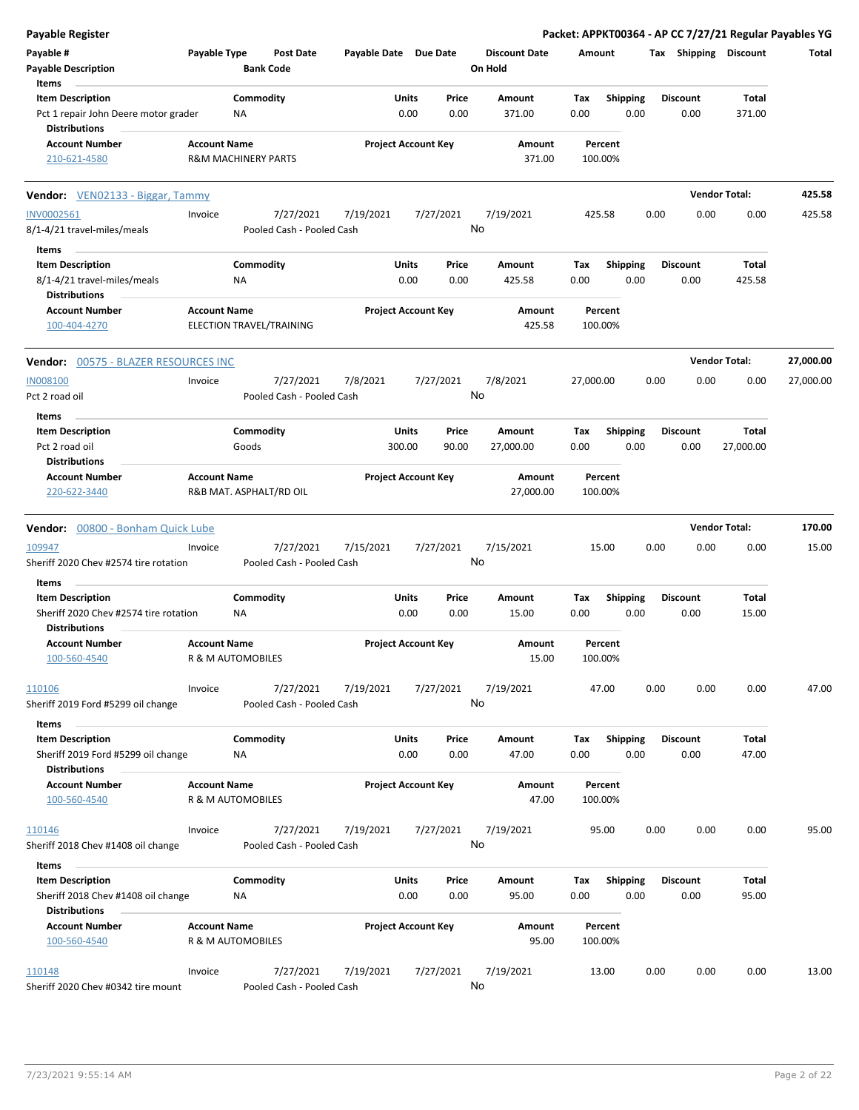| Payable Register                                                                         |                     |                                |                                        |                            |               |                 |                                 |             |                         |      |                         |                      | Packet: APPKT00364 - AP CC 7/27/21 Regular Payables YG |
|------------------------------------------------------------------------------------------|---------------------|--------------------------------|----------------------------------------|----------------------------|---------------|-----------------|---------------------------------|-------------|-------------------------|------|-------------------------|----------------------|--------------------------------------------------------|
| Payable #<br><b>Payable Description</b>                                                  | Payable Type        | <b>Bank Code</b>               | <b>Post Date</b>                       | Payable Date Due Date      |               |                 | <b>Discount Date</b><br>On Hold | Amount      |                         |      | Tax Shipping Discount   |                      | Total                                                  |
| Items<br><b>Item Description</b>                                                         |                     | Commodity                      |                                        |                            | Units         | Price           |                                 |             |                         |      | <b>Discount</b>         | Total                |                                                        |
| Pct 1 repair John Deere motor grader<br><b>Distributions</b>                             |                     | NA                             |                                        |                            | 0.00          | 0.00            | Amount<br>371.00                | Tax<br>0.00 | <b>Shipping</b><br>0.00 |      | 0.00                    | 371.00               |                                                        |
| <b>Account Number</b>                                                                    | <b>Account Name</b> |                                |                                        |                            |               |                 | Amount                          |             | Percent                 |      |                         |                      |                                                        |
| 210-621-4580                                                                             |                     | <b>R&amp;M MACHINERY PARTS</b> |                                        | <b>Project Account Key</b> |               |                 | 371.00                          |             | 100.00%                 |      |                         |                      |                                                        |
| <b>Vendor:</b> VEN02133 - Biggar, Tammy                                                  |                     |                                |                                        |                            |               |                 |                                 |             |                         |      |                         | <b>Vendor Total:</b> | 425.58                                                 |
| INV0002561                                                                               | Invoice             |                                | 7/27/2021                              | 7/19/2021                  |               | 7/27/2021       | 7/19/2021                       |             | 425.58                  | 0.00 | 0.00                    | 0.00                 | 425.58                                                 |
| 8/1-4/21 travel-miles/meals                                                              |                     |                                | Pooled Cash - Pooled Cash              |                            |               | No              |                                 |             |                         |      |                         |                      |                                                        |
| Items                                                                                    |                     |                                |                                        |                            |               |                 |                                 |             |                         |      |                         |                      |                                                        |
| <b>Item Description</b>                                                                  |                     | Commodity                      |                                        |                            | Units         | Price           | Amount                          | Tax         | <b>Shipping</b>         |      | <b>Discount</b>         | Total                |                                                        |
| 8/1-4/21 travel-miles/meals                                                              |                     | ΝA                             |                                        |                            | 0.00          | 0.00            | 425.58                          | 0.00        | 0.00                    |      | 0.00                    | 425.58               |                                                        |
| <b>Distributions</b><br><b>Account Number</b>                                            | <b>Account Name</b> |                                |                                        | <b>Project Account Key</b> |               |                 | Amount                          |             | Percent                 |      |                         |                      |                                                        |
| 100-404-4270                                                                             |                     | ELECTION TRAVEL/TRAINING       |                                        |                            |               |                 | 425.58                          |             | 100.00%                 |      |                         |                      |                                                        |
| <b>Vendor: 00575 - BLAZER RESOURCES INC</b>                                              |                     |                                |                                        |                            |               |                 |                                 |             |                         |      |                         | <b>Vendor Total:</b> | 27,000.00                                              |
| <b>IN008100</b>                                                                          | Invoice             |                                | 7/27/2021                              | 7/8/2021                   |               | 7/27/2021       | 7/8/2021                        | 27,000.00   |                         | 0.00 | 0.00                    | 0.00                 | 27,000.00                                              |
| Pct 2 road oil                                                                           |                     |                                | Pooled Cash - Pooled Cash              |                            |               | No              |                                 |             |                         |      |                         |                      |                                                        |
| Items                                                                                    |                     |                                |                                        |                            |               |                 |                                 |             |                         |      |                         |                      |                                                        |
| <b>Item Description</b>                                                                  |                     | Commodity                      |                                        |                            | Units         | Price           | Amount                          | Tax         | <b>Shipping</b>         |      | <b>Discount</b>         | Total                |                                                        |
| Pct 2 road oil                                                                           |                     | Goods                          |                                        |                            | 300.00        | 90.00           | 27,000.00                       | 0.00        | 0.00                    |      | 0.00                    | 27,000.00            |                                                        |
| <b>Distributions</b>                                                                     |                     |                                |                                        |                            |               |                 |                                 |             |                         |      |                         |                      |                                                        |
| <b>Account Number</b><br>220-622-3440                                                    | <b>Account Name</b> | R&B MAT. ASPHALT/RD OIL        |                                        | <b>Project Account Key</b> |               |                 | Amount<br>27,000.00             |             | Percent<br>100.00%      |      |                         |                      |                                                        |
| Vendor: 00800 - Bonham Quick Lube                                                        |                     |                                |                                        |                            |               |                 |                                 |             |                         |      |                         | <b>Vendor Total:</b> | 170.00                                                 |
| 109947                                                                                   | Invoice             |                                | 7/27/2021                              | 7/15/2021                  |               | 7/27/2021       | 7/15/2021                       |             | 15.00                   | 0.00 | 0.00                    | 0.00                 | 15.00                                                  |
| Sheriff 2020 Chev #2574 tire rotation                                                    |                     |                                | Pooled Cash - Pooled Cash              |                            |               | No              |                                 |             |                         |      |                         |                      |                                                        |
| Items                                                                                    |                     |                                |                                        |                            |               |                 |                                 |             |                         |      |                         |                      |                                                        |
| <b>Item Description</b><br>Sheriff 2020 Chev #2574 tire rotation<br><b>Distributions</b> |                     | Commodity<br>ΝA                |                                        |                            | Units<br>0.00 | Price<br>0.00   | Amount<br>15.00                 | Tax<br>0.00 | <b>Shipping</b><br>0.00 |      | <b>Discount</b><br>0.00 | Total<br>15.00       |                                                        |
| <b>Account Number</b>                                                                    | <b>Account Name</b> |                                |                                        | <b>Project Account Key</b> |               |                 | Amount                          |             | Percent                 |      |                         |                      |                                                        |
| 100-560-4540                                                                             |                     | R & M AUTOMOBILES              |                                        |                            |               |                 | 15.00                           |             | 100.00%                 |      |                         |                      |                                                        |
| 110106<br>Sheriff 2019 Ford #5299 oil change                                             | Invoice             |                                | 7/27/2021<br>Pooled Cash - Pooled Cash | 7/19/2021                  |               | 7/27/2021<br>No | 7/19/2021                       |             | 47.00                   | 0.00 | 0.00                    | 0.00                 | 47.00                                                  |
| Items                                                                                    |                     |                                |                                        |                            |               |                 |                                 |             |                         |      |                         |                      |                                                        |
| <b>Item Description</b>                                                                  |                     | Commodity                      |                                        |                            | Units         | Price           | Amount                          | Tax         | <b>Shipping</b>         |      | <b>Discount</b>         | Total                |                                                        |
| Sheriff 2019 Ford #5299 oil change                                                       |                     | NA                             |                                        |                            | 0.00          | 0.00            | 47.00                           | 0.00        | 0.00                    |      | 0.00                    | 47.00                |                                                        |
| <b>Distributions</b><br><b>Account Number</b>                                            | <b>Account Name</b> |                                |                                        | <b>Project Account Key</b> |               |                 | Amount                          |             | Percent                 |      |                         |                      |                                                        |
| 100-560-4540                                                                             |                     | R & M AUTOMOBILES              |                                        |                            |               |                 | 47.00                           |             | 100.00%                 |      |                         |                      |                                                        |
| 110146                                                                                   | Invoice             |                                | 7/27/2021                              | 7/19/2021                  |               | 7/27/2021       | 7/19/2021                       |             | 95.00                   | 0.00 | 0.00                    | 0.00                 | 95.00                                                  |
| Sheriff 2018 Chev #1408 oil change                                                       |                     |                                | Pooled Cash - Pooled Cash              |                            |               | No              |                                 |             |                         |      |                         |                      |                                                        |
| Items                                                                                    |                     |                                |                                        |                            |               |                 |                                 |             |                         |      |                         |                      |                                                        |
| <b>Item Description</b><br>Sheriff 2018 Chev #1408 oil change                            |                     | Commodity<br>NA                |                                        |                            | Units<br>0.00 | Price<br>0.00   | Amount<br>95.00                 | Tax<br>0.00 | <b>Shipping</b><br>0.00 |      | <b>Discount</b><br>0.00 | Total<br>95.00       |                                                        |
| <b>Distributions</b><br><b>Account Number</b>                                            |                     |                                |                                        |                            |               |                 |                                 |             |                         |      |                         |                      |                                                        |
| 100-560-4540                                                                             | <b>Account Name</b> | R & M AUTOMOBILES              |                                        | <b>Project Account Key</b> |               |                 | Amount<br>95.00                 |             | Percent<br>100.00%      |      |                         |                      |                                                        |
|                                                                                          |                     |                                |                                        |                            |               |                 |                                 |             |                         |      |                         |                      |                                                        |
| 110148                                                                                   | Invoice             |                                | 7/27/2021                              | 7/19/2021                  |               | 7/27/2021       | 7/19/2021                       |             | 13.00                   | 0.00 | 0.00                    | 0.00                 | 13.00                                                  |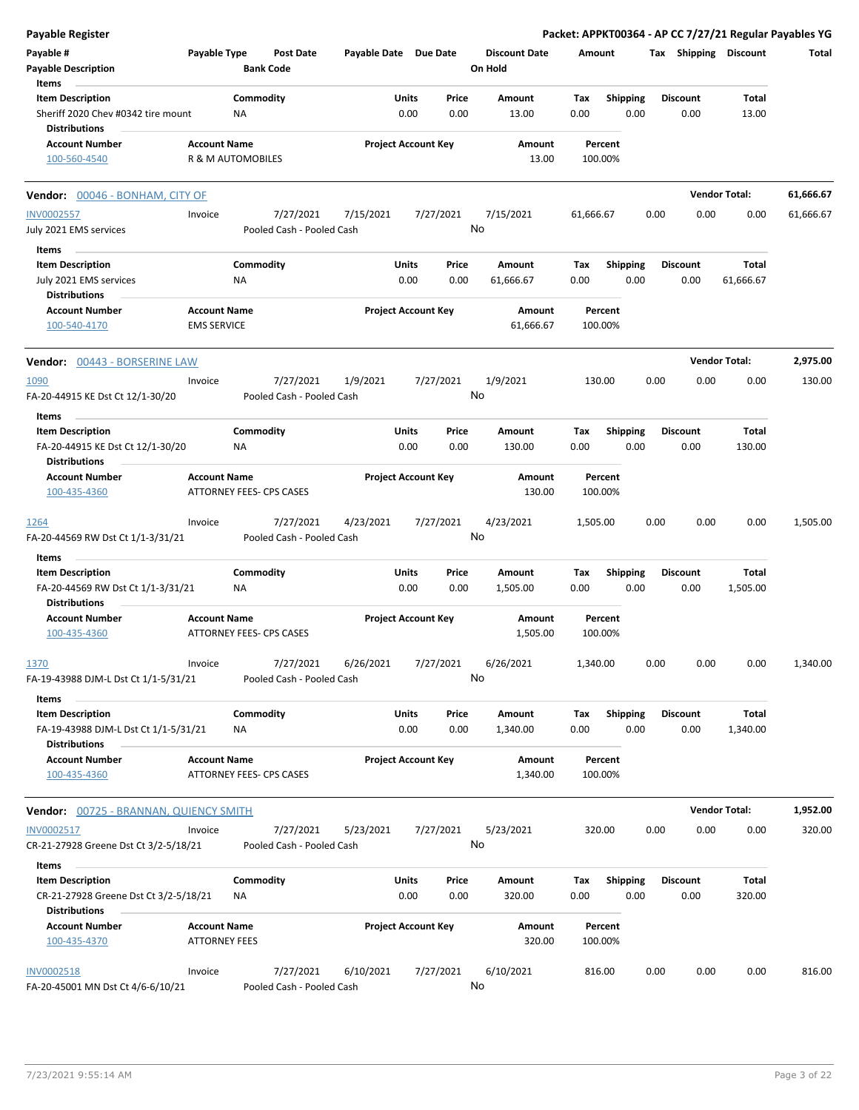| <b>Payable Register</b>                                                              |                                             |                        |                                        |                            |               |               |                                 |             |                         |      |                         |                      | Packet: APPKT00364 - AP CC 7/27/21 Regular Payables YG |
|--------------------------------------------------------------------------------------|---------------------------------------------|------------------------|----------------------------------------|----------------------------|---------------|---------------|---------------------------------|-------------|-------------------------|------|-------------------------|----------------------|--------------------------------------------------------|
| Payable #<br><b>Payable Description</b>                                              | Payable Type                                |                        | <b>Post Date</b><br><b>Bank Code</b>   | Payable Date Due Date      |               |               | <b>Discount Date</b><br>On Hold | Amount      |                         |      | Tax Shipping Discount   |                      | Total                                                  |
| Items                                                                                |                                             |                        |                                        |                            |               |               |                                 |             |                         |      |                         |                      |                                                        |
| <b>Item Description</b><br>Sheriff 2020 Chev #0342 tire mount                        |                                             | Commodity<br>ΝA        |                                        |                            | Units<br>0.00 | Price<br>0.00 | Amount<br>13.00                 | Tax<br>0.00 | <b>Shipping</b><br>0.00 |      | <b>Discount</b><br>0.00 | Total<br>13.00       |                                                        |
| <b>Distributions</b><br><b>Account Number</b>                                        | <b>Account Name</b>                         |                        |                                        | <b>Project Account Key</b> |               |               | Amount                          |             | Percent                 |      |                         |                      |                                                        |
| 100-560-4540                                                                         | R & M AUTOMOBILES                           |                        |                                        |                            |               |               | 13.00                           | 100.00%     |                         |      |                         |                      |                                                        |
| <b>Vendor:</b> 00046 - BONHAM, CITY OF                                               |                                             |                        |                                        |                            |               |               |                                 |             |                         |      |                         | <b>Vendor Total:</b> | 61,666.67                                              |
| <b>INV0002557</b>                                                                    | Invoice                                     |                        | 7/27/2021                              | 7/15/2021                  |               | 7/27/2021     | 7/15/2021                       | 61,666.67   |                         | 0.00 | 0.00                    | 0.00                 | 61,666.67                                              |
| July 2021 EMS services                                                               |                                             |                        | Pooled Cash - Pooled Cash              |                            |               |               | No                              |             |                         |      |                         |                      |                                                        |
| Items                                                                                |                                             |                        |                                        |                            |               |               |                                 |             |                         |      |                         |                      |                                                        |
| <b>Item Description</b>                                                              |                                             | Commodity              |                                        |                            | Units         | Price         | Amount                          | Tax         | Shipping                |      | <b>Discount</b>         | Total                |                                                        |
| July 2021 EMS services<br><b>Distributions</b>                                       |                                             | ΝA                     |                                        |                            | 0.00          | 0.00          | 61,666.67                       | 0.00        | 0.00                    |      | 0.00                    | 61,666.67            |                                                        |
| <b>Account Number</b><br>100-540-4170                                                | <b>Account Name</b><br><b>EMS SERVICE</b>   |                        |                                        | <b>Project Account Key</b> |               |               | Amount<br>61,666.67             | 100.00%     | Percent                 |      |                         |                      |                                                        |
| Vendor: 00443 - BORSERINE LAW                                                        |                                             |                        |                                        |                            |               |               |                                 |             |                         |      |                         | <b>Vendor Total:</b> | 2,975.00                                               |
| 1090                                                                                 | Invoice                                     |                        | 7/27/2021                              | 1/9/2021                   |               | 7/27/2021     | 1/9/2021                        | 130.00      |                         | 0.00 | 0.00                    | 0.00                 | 130.00                                                 |
| FA-20-44915 KE Dst Ct 12/1-30/20                                                     |                                             |                        | Pooled Cash - Pooled Cash              |                            |               |               | No                              |             |                         |      |                         |                      |                                                        |
| Items                                                                                |                                             |                        |                                        |                            |               |               |                                 |             |                         |      |                         |                      |                                                        |
| <b>Item Description</b><br>FA-20-44915 KE Dst Ct 12/1-30/20                          |                                             | Commodity<br>ΝA        |                                        |                            | Units<br>0.00 | Price<br>0.00 | Amount<br>130.00                | Tax<br>0.00 | <b>Shipping</b><br>0.00 |      | <b>Discount</b><br>0.00 | Total<br>130.00      |                                                        |
| <b>Distributions</b>                                                                 |                                             |                        |                                        |                            |               |               |                                 |             |                         |      |                         |                      |                                                        |
| <b>Account Number</b>                                                                | <b>Account Name</b>                         |                        |                                        | <b>Project Account Key</b> |               |               | Amount                          |             | Percent                 |      |                         |                      |                                                        |
| 100-435-4360                                                                         |                                             |                        | ATTORNEY FEES- CPS CASES               |                            |               |               | 130.00                          | 100.00%     |                         |      |                         |                      |                                                        |
| 1264                                                                                 | Invoice                                     |                        | 7/27/2021                              | 4/23/2021                  |               | 7/27/2021     | 4/23/2021                       | 1,505.00    |                         | 0.00 | 0.00                    | 0.00                 | 1,505.00                                               |
| FA-20-44569 RW Dst Ct 1/1-3/31/21                                                    |                                             |                        | Pooled Cash - Pooled Cash              |                            |               |               | No                              |             |                         |      |                         |                      |                                                        |
| Items                                                                                |                                             |                        |                                        |                            |               |               |                                 |             |                         |      |                         |                      |                                                        |
| <b>Item Description</b><br>FA-20-44569 RW Dst Ct 1/1-3/31/21<br><b>Distributions</b> |                                             | Commodity<br><b>NA</b> |                                        |                            | Units<br>0.00 | Price<br>0.00 | Amount<br>1,505.00              | Tax<br>0.00 | <b>Shipping</b><br>0.00 |      | <b>Discount</b><br>0.00 | Total<br>1,505.00    |                                                        |
| <b>Account Number</b>                                                                | <b>Account Name</b>                         |                        |                                        | <b>Project Account Key</b> |               |               | Amount                          |             | Percent                 |      |                         |                      |                                                        |
| 100-435-4360                                                                         |                                             |                        | <b>ATTORNEY FEES- CPS CASES</b>        |                            |               |               | 1,505.00                        | 100.00%     |                         |      |                         |                      |                                                        |
| 1370                                                                                 | Invoice                                     |                        | 7/27/2021                              | 6/26/2021                  |               | 7/27/2021     | 6/26/2021                       | 1,340.00    |                         | 0.00 | 0.00                    | 0.00                 | 1,340.00                                               |
| FA-19-43988 DJM-L Dst Ct 1/1-5/31/21                                                 |                                             |                        | Pooled Cash - Pooled Cash              |                            |               |               | No                              |             |                         |      |                         |                      |                                                        |
| Items                                                                                |                                             |                        |                                        |                            |               |               |                                 |             |                         |      |                         |                      |                                                        |
| <b>Item Description</b><br>FA-19-43988 DJM-L Dst Ct 1/1-5/31/21                      |                                             | Commodity<br>NA        |                                        |                            | Units<br>0.00 | Price<br>0.00 | Amount<br>1,340.00              | Tax<br>0.00 | Shipping<br>0.00        |      | <b>Discount</b><br>0.00 | Total<br>1,340.00    |                                                        |
| <b>Distributions</b>                                                                 |                                             |                        |                                        |                            |               |               |                                 |             |                         |      |                         |                      |                                                        |
| <b>Account Number</b><br>100-435-4360                                                | <b>Account Name</b>                         |                        | ATTORNEY FEES- CPS CASES               | <b>Project Account Key</b> |               |               | Amount<br>1,340.00              | 100.00%     | Percent                 |      |                         |                      |                                                        |
| <b>Vendor: 00725 - BRANNAN, QUIENCY SMITH</b>                                        |                                             |                        |                                        |                            |               |               |                                 |             |                         |      |                         | <b>Vendor Total:</b> | 1,952.00                                               |
| INV0002517                                                                           | Invoice                                     |                        | 7/27/2021                              | 5/23/2021                  |               | 7/27/2021     | 5/23/2021                       | 320.00      |                         | 0.00 | 0.00                    | 0.00                 | 320.00                                                 |
| CR-21-27928 Greene Dst Ct 3/2-5/18/21                                                |                                             |                        | Pooled Cash - Pooled Cash              |                            |               | No            |                                 |             |                         |      |                         |                      |                                                        |
| Items                                                                                |                                             |                        |                                        |                            |               |               |                                 |             |                         |      |                         |                      |                                                        |
| <b>Item Description</b><br>CR-21-27928 Greene Dst Ct 3/2-5/18/21                     |                                             | Commodity<br>ΝA        |                                        |                            | Units<br>0.00 | Price<br>0.00 | Amount<br>320.00                | Tax<br>0.00 | <b>Shipping</b><br>0.00 |      | <b>Discount</b><br>0.00 | Total<br>320.00      |                                                        |
| <b>Distributions</b>                                                                 |                                             |                        |                                        |                            |               |               |                                 |             |                         |      |                         |                      |                                                        |
| <b>Account Number</b><br>100-435-4370                                                | <b>Account Name</b><br><b>ATTORNEY FEES</b> |                        |                                        | <b>Project Account Key</b> |               |               | Amount<br>320.00                | 100.00%     | Percent                 |      |                         |                      |                                                        |
| <b>INV0002518</b><br>FA-20-45001 MN Dst Ct 4/6-6/10/21                               | Invoice                                     |                        | 7/27/2021<br>Pooled Cash - Pooled Cash | 6/10/2021                  |               | 7/27/2021     | 6/10/2021<br>No                 | 816.00      |                         | 0.00 | 0.00                    | 0.00                 | 816.00                                                 |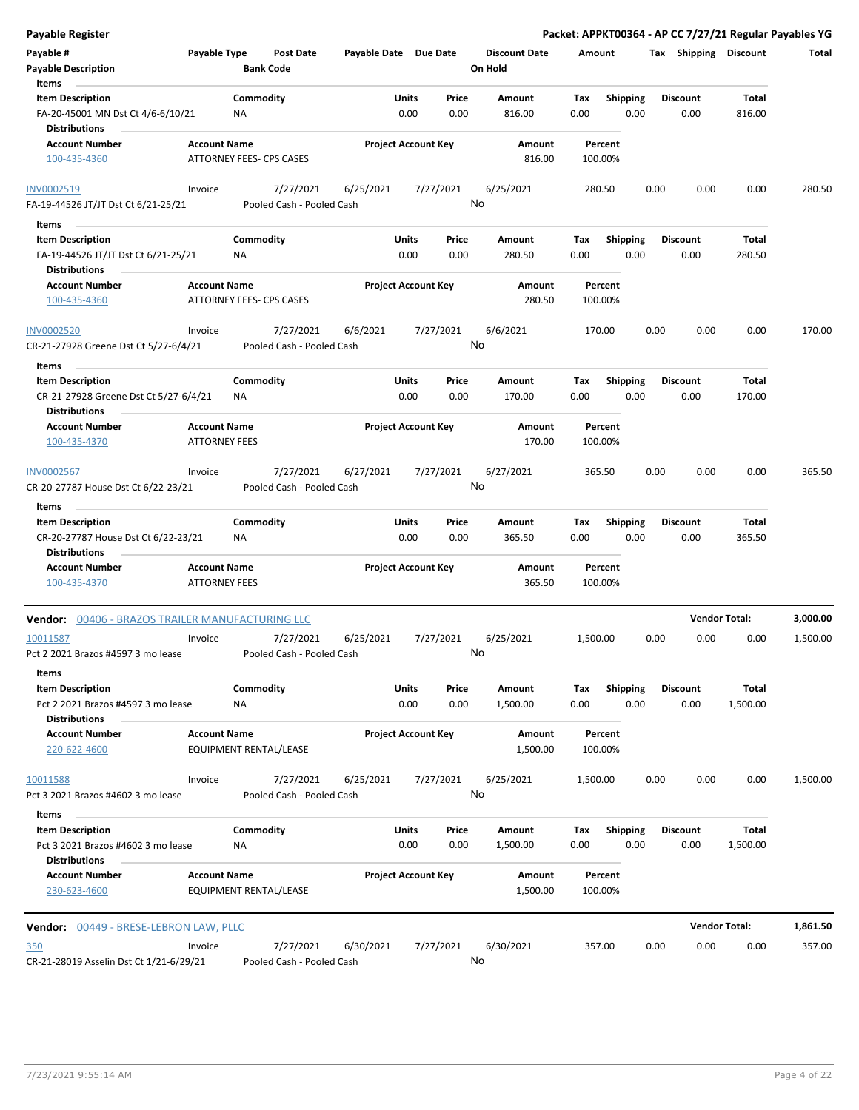| <b>Payable Register</b>                                          |                                             |                                        |                            |               |                 |                                 |                    |                         |      |                         | Packet: APPKT00364 - AP CC 7/27/21 Regular Payables YG |          |
|------------------------------------------------------------------|---------------------------------------------|----------------------------------------|----------------------------|---------------|-----------------|---------------------------------|--------------------|-------------------------|------|-------------------------|--------------------------------------------------------|----------|
| Payable #<br><b>Payable Description</b>                          | Payable Type                                | <b>Post Date</b><br><b>Bank Code</b>   | Payable Date Due Date      |               |                 | <b>Discount Date</b><br>On Hold | Amount             |                         |      | Tax Shipping Discount   |                                                        | Total    |
| Items<br><b>Item Description</b>                                 |                                             | Commodity                              |                            | Units         | Price           | Amount                          | Tax                | <b>Shipping</b>         |      | <b>Discount</b>         | Total                                                  |          |
| FA-20-45001 MN Dst Ct 4/6-6/10/21<br><b>Distributions</b>        |                                             | NA                                     |                            | 0.00          | 0.00            | 816.00                          | 0.00               | 0.00                    |      | 0.00                    | 816.00                                                 |          |
| <b>Account Number</b>                                            | <b>Account Name</b>                         |                                        | <b>Project Account Key</b> |               |                 | Amount                          | Percent            |                         |      |                         |                                                        |          |
| 100-435-4360                                                     |                                             | <b>ATTORNEY FEES- CPS CASES</b>        |                            |               |                 | 816.00                          | 100.00%            |                         |      |                         |                                                        |          |
| INV0002519                                                       | Invoice                                     | 7/27/2021<br>Pooled Cash - Pooled Cash | 6/25/2021                  |               | 7/27/2021<br>No | 6/25/2021                       | 280.50             |                         | 0.00 | 0.00                    | 0.00                                                   | 280.50   |
| FA-19-44526 JT/JT Dst Ct 6/21-25/21                              |                                             |                                        |                            |               |                 |                                 |                    |                         |      |                         |                                                        |          |
| Items<br><b>Item Description</b>                                 |                                             | Commodity                              |                            | Units         | Price           | Amount                          | Tax                | <b>Shipping</b>         |      | <b>Discount</b>         | Total                                                  |          |
| FA-19-44526 JT/JT Dst Ct 6/21-25/21<br><b>Distributions</b>      |                                             | NA                                     |                            | 0.00          | 0.00            | 280.50                          | 0.00               | 0.00                    |      | 0.00                    | 280.50                                                 |          |
| <b>Account Number</b><br>100-435-4360                            | <b>Account Name</b>                         | ATTORNEY FEES- CPS CASES               | <b>Project Account Key</b> |               |                 | Amount<br>280.50                | Percent<br>100.00% |                         |      |                         |                                                        |          |
|                                                                  |                                             |                                        |                            |               |                 |                                 |                    |                         |      |                         |                                                        |          |
| <b>INV0002520</b><br>CR-21-27928 Greene Dst Ct 5/27-6/4/21       | Invoice                                     | 7/27/2021<br>Pooled Cash - Pooled Cash | 6/6/2021                   |               | 7/27/2021<br>No | 6/6/2021                        | 170.00             |                         | 0.00 | 0.00                    | 0.00                                                   | 170.00   |
| Items                                                            |                                             |                                        |                            |               |                 |                                 |                    |                         |      |                         |                                                        |          |
| <b>Item Description</b><br>CR-21-27928 Greene Dst Ct 5/27-6/4/21 |                                             | Commodity<br>ΝA                        |                            | Units<br>0.00 | Price<br>0.00   | Amount<br>170.00                | Tax<br>0.00        | Shipping<br>0.00        |      | <b>Discount</b><br>0.00 | Total<br>170.00                                        |          |
| <b>Distributions</b><br><b>Account Number</b>                    | <b>Account Name</b>                         |                                        | <b>Project Account Key</b> |               |                 | Amount                          | Percent            |                         |      |                         |                                                        |          |
| 100-435-4370                                                     | <b>ATTORNEY FEES</b>                        |                                        |                            |               |                 | 170.00                          | 100.00%            |                         |      |                         |                                                        |          |
| INV0002567<br>CR-20-27787 House Dst Ct 6/22-23/21                | Invoice                                     | 7/27/2021<br>Pooled Cash - Pooled Cash | 6/27/2021                  |               | 7/27/2021<br>No | 6/27/2021                       | 365.50             |                         | 0.00 | 0.00                    | 0.00                                                   | 365.50   |
| Items                                                            |                                             |                                        |                            |               |                 |                                 |                    |                         |      |                         |                                                        |          |
| <b>Item Description</b>                                          |                                             | Commodity                              |                            | Units         | Price           | Amount                          | Tax                | Shipping                |      | <b>Discount</b>         | Total                                                  |          |
| CR-20-27787 House Dst Ct 6/22-23/21<br><b>Distributions</b>      |                                             | ΝA                                     |                            | 0.00          | 0.00            | 365.50                          | 0.00               | 0.00                    |      | 0.00                    | 365.50                                                 |          |
| <b>Account Number</b><br>100-435-4370                            | <b>Account Name</b><br><b>ATTORNEY FEES</b> |                                        | <b>Project Account Key</b> |               |                 | Amount<br>365.50                | Percent<br>100.00% |                         |      |                         |                                                        |          |
| Vendor: 00406 - BRAZOS TRAILER MANUFACTURING LLC                 |                                             |                                        |                            |               |                 |                                 |                    |                         |      | <b>Vendor Total:</b>    |                                                        | 3,000.00 |
| 10011587<br>Pct 2 2021 Brazos #4597 3 mo lease                   | Invoice                                     | 7/27/2021<br>Pooled Cash - Pooled Cash | 6/25/2021                  |               | 7/27/2021<br>No | 6/25/2021                       | 1,500.00           |                         | 0.00 | 0.00                    | 0.00                                                   | 1,500.00 |
| Items                                                            |                                             |                                        |                            |               |                 |                                 |                    |                         |      |                         |                                                        |          |
| <b>Item Description</b><br>Pct 2 2021 Brazos #4597 3 mo lease    |                                             | Commodity<br>ΝA                        |                            | Units<br>0.00 | Price<br>0.00   | Amount<br>1,500.00              | Tax<br>0.00        | <b>Shipping</b><br>0.00 |      | <b>Discount</b><br>0.00 | Total<br>1,500.00                                      |          |
| <b>Distributions</b>                                             |                                             |                                        |                            |               |                 |                                 |                    |                         |      |                         |                                                        |          |
| <b>Account Number</b><br>220-622-4600                            | <b>Account Name</b>                         | EQUIPMENT RENTAL/LEASE                 | <b>Project Account Key</b> |               |                 | Amount<br>1,500.00              | Percent<br>100.00% |                         |      |                         |                                                        |          |
| 10011588                                                         | Invoice                                     | 7/27/2021                              | 6/25/2021                  |               | 7/27/2021       | 6/25/2021                       | 1,500.00           |                         | 0.00 | 0.00                    | 0.00                                                   | 1,500.00 |
| Pct 3 2021 Brazos #4602 3 mo lease                               |                                             | Pooled Cash - Pooled Cash              |                            |               | No              |                                 |                    |                         |      |                         |                                                        |          |
| Items<br><b>Item Description</b>                                 |                                             | Commodity                              |                            | Units         | Price           | Amount                          | Tax                | Shipping                |      | <b>Discount</b>         | Total                                                  |          |
| Pct 3 2021 Brazos #4602 3 mo lease<br><b>Distributions</b>       |                                             | NA                                     |                            | 0.00          | 0.00            | 1,500.00                        | 0.00               | 0.00                    |      | 0.00                    | 1,500.00                                               |          |
| <b>Account Number</b><br>230-623-4600                            | <b>Account Name</b>                         | EQUIPMENT RENTAL/LEASE                 | <b>Project Account Key</b> |               |                 | Amount<br>1,500.00              | Percent<br>100.00% |                         |      |                         |                                                        |          |
| Vendor: 00449 - BRESE-LEBRON LAW, PLLC                           |                                             |                                        |                            |               |                 |                                 |                    |                         |      |                         | <b>Vendor Total:</b>                                   | 1,861.50 |
| 350                                                              | Invoice                                     | 7/27/2021                              | 6/30/2021                  |               | 7/27/2021       | 6/30/2021                       | 357.00             |                         | 0.00 | 0.00                    | 0.00                                                   | 357.00   |
| CR-21-28019 Asselin Dst Ct 1/21-6/29/21                          |                                             | Pooled Cash - Pooled Cash              |                            |               | No              |                                 |                    |                         |      |                         |                                                        |          |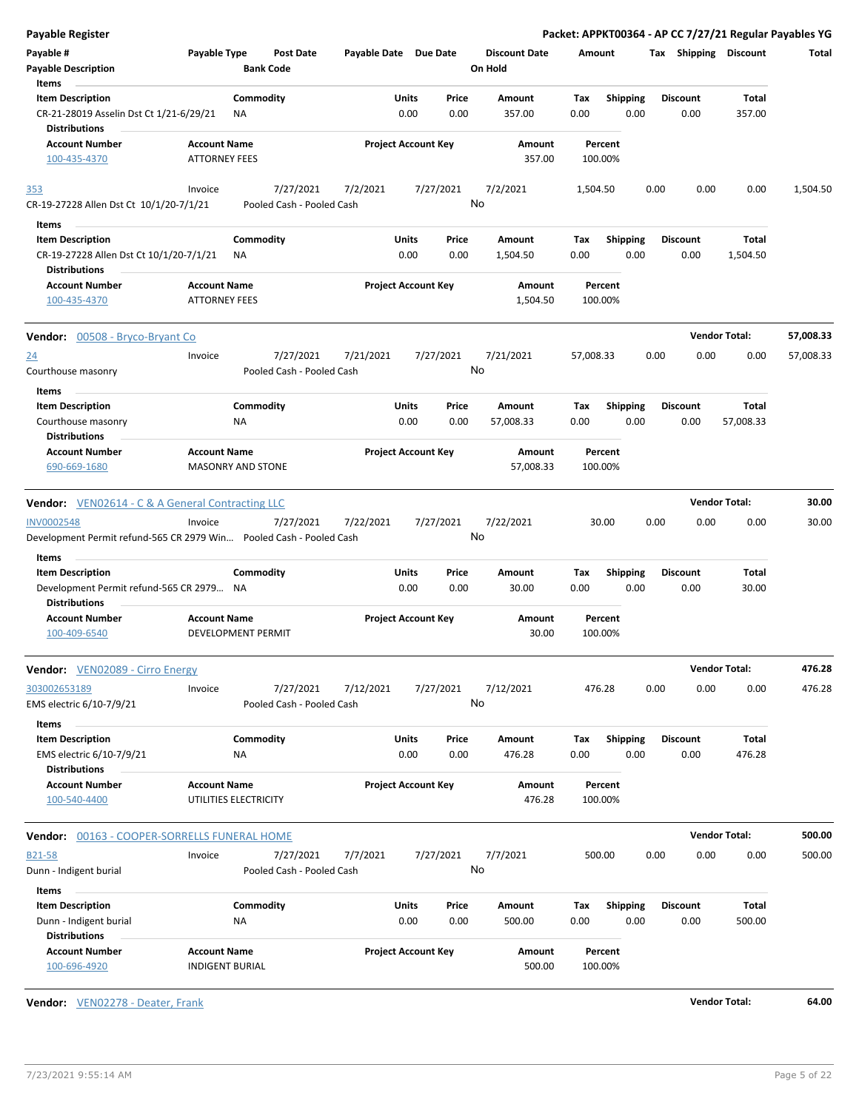| <b>Payable Register</b>                                             |                                                      |                       |                                |                                 | Packet: APPKT00364 - AP CC 7/27/21 Regular Payables YG |      |                         |                      |           |
|---------------------------------------------------------------------|------------------------------------------------------|-----------------------|--------------------------------|---------------------------------|--------------------------------------------------------|------|-------------------------|----------------------|-----------|
| Payable #<br><b>Payable Description</b>                             | Payable Type<br><b>Post Date</b><br><b>Bank Code</b> | Payable Date Due Date |                                | <b>Discount Date</b><br>On Hold | Amount                                                 |      | Tax Shipping Discount   |                      | Total     |
| Items                                                               |                                                      |                       |                                |                                 |                                                        |      |                         |                      |           |
| <b>Item Description</b><br>CR-21-28019 Asselin Dst Ct 1/21-6/29/21  | Commodity<br>ΝA                                      |                       | Units<br>Price<br>0.00<br>0.00 | Amount<br>357.00                | <b>Shipping</b><br>Tax<br>0.00                         | 0.00 | <b>Discount</b><br>0.00 | Total<br>357.00      |           |
| <b>Distributions</b>                                                |                                                      |                       |                                |                                 |                                                        |      |                         |                      |           |
| <b>Account Number</b><br>100-435-4370                               | <b>Account Name</b><br><b>ATTORNEY FEES</b>          |                       | <b>Project Account Key</b>     | Amount<br>357.00                | Percent<br>100.00%                                     |      |                         |                      |           |
| 353                                                                 | 7/27/2021<br>Invoice                                 | 7/2/2021              | 7/27/2021                      | 7/2/2021                        | 1,504.50                                               | 0.00 | 0.00                    | 0.00                 | 1,504.50  |
| CR-19-27228 Allen Dst Ct 10/1/20-7/1/21<br>Items                    | Pooled Cash - Pooled Cash                            |                       |                                | No                              |                                                        |      |                         |                      |           |
| <b>Item Description</b>                                             | Commodity                                            |                       | Units<br>Price                 | Amount                          | <b>Shipping</b><br>Tax                                 |      | <b>Discount</b>         | Total                |           |
| CR-19-27228 Allen Dst Ct 10/1/20-7/1/21<br><b>Distributions</b>     | ΝA                                                   |                       | 0.00<br>0.00                   | 1,504.50                        | 0.00                                                   | 0.00 | 0.00                    | 1,504.50             |           |
| <b>Account Number</b>                                               | <b>Account Name</b>                                  |                       | <b>Project Account Key</b>     | Amount                          | Percent                                                |      |                         |                      |           |
| 100-435-4370                                                        | <b>ATTORNEY FEES</b>                                 |                       |                                | 1,504.50                        | 100.00%                                                |      |                         |                      |           |
| <b>Vendor:</b> 00508 - Bryco-Bryant Co                              |                                                      |                       |                                |                                 |                                                        |      |                         | <b>Vendor Total:</b> | 57,008.33 |
| 24                                                                  | 7/27/2021<br>Invoice                                 | 7/21/2021             | 7/27/2021                      | 7/21/2021                       | 57,008.33                                              | 0.00 | 0.00                    | 0.00                 | 57,008.33 |
| Courthouse masonry                                                  | Pooled Cash - Pooled Cash                            |                       |                                | No                              |                                                        |      |                         |                      |           |
| Items                                                               |                                                      |                       |                                |                                 |                                                        |      |                         |                      |           |
| <b>Item Description</b>                                             | Commodity                                            |                       | Units<br>Price                 | Amount                          | Shipping<br>Tax                                        |      | <b>Discount</b>         | Total                |           |
| Courthouse masonry                                                  | ΝA                                                   |                       | 0.00<br>0.00                   | 57,008.33                       | 0.00                                                   | 0.00 | 0.00                    | 57,008.33            |           |
| <b>Distributions</b>                                                |                                                      |                       |                                |                                 |                                                        |      |                         |                      |           |
| <b>Account Number</b><br>690-669-1680                               | <b>Account Name</b><br><b>MASONRY AND STONE</b>      |                       | <b>Project Account Key</b>     | Amount<br>57,008.33             | Percent<br>100.00%                                     |      |                         |                      |           |
| <b>Vendor:</b> VEN02614 - C & A General Contracting LLC             |                                                      |                       |                                |                                 |                                                        |      |                         | <b>Vendor Total:</b> | 30.00     |
| <b>INV0002548</b>                                                   | 7/27/2021<br>Invoice                                 | 7/22/2021             | 7/27/2021                      | 7/22/2021                       | 30.00                                                  | 0.00 | 0.00                    | 0.00                 | 30.00     |
| Development Permit refund-565 CR 2979 Win Pooled Cash - Pooled Cash |                                                      |                       |                                | No                              |                                                        |      |                         |                      |           |
| Items<br><b>Item Description</b>                                    | Commodity                                            |                       | Units<br>Price                 | Amount                          | Tax                                                    |      | <b>Discount</b>         | Total                |           |
| Development Permit refund-565 CR 2979 NA<br><b>Distributions</b>    |                                                      |                       | 0.00<br>0.00                   | 30.00                           | <b>Shipping</b><br>0.00                                | 0.00 | 0.00                    | 30.00                |           |
| <b>Account Number</b>                                               | <b>Account Name</b>                                  |                       | <b>Project Account Key</b>     | <b>Amount</b>                   | Percent                                                |      |                         |                      |           |
| 100-409-6540                                                        | DEVELOPMENT PERMIT                                   |                       |                                | 30.00                           | 100.00%                                                |      |                         |                      |           |
| <b>Vendor:</b> VEN02089 - Cirro Energy                              |                                                      |                       |                                |                                 |                                                        |      |                         | <b>Vendor Total:</b> | 476.28    |
| 303002653189<br>EMS electric 6/10-7/9/21                            | 7/27/2021<br>Invoice<br>Pooled Cash - Pooled Cash    | 7/12/2021             | 7/27/2021                      | 7/12/2021<br>No                 | 476.28                                                 | 0.00 | 0.00                    | 0.00                 | 476.28    |
| Items<br><b>Item Description</b>                                    | Commodity                                            |                       | Units<br>Price                 | Amount                          | <b>Shipping</b><br>Tax                                 |      | <b>Discount</b>         | Total                |           |
| EMS electric 6/10-7/9/21<br><b>Distributions</b>                    | ΝA                                                   |                       | 0.00<br>0.00                   | 476.28                          | 0.00                                                   | 0.00 | 0.00                    | 476.28               |           |
| <b>Account Number</b>                                               | <b>Account Name</b>                                  |                       | <b>Project Account Key</b>     | Amount                          | Percent                                                |      |                         |                      |           |
| 100-540-4400                                                        | UTILITIES ELECTRICITY                                |                       |                                | 476.28                          | 100.00%                                                |      |                         |                      |           |
| Vendor: 00163 - COOPER-SORRELLS FUNERAL HOME                        |                                                      |                       |                                |                                 |                                                        |      |                         | <b>Vendor Total:</b> | 500.00    |
| B21-58                                                              | 7/27/2021<br>Invoice                                 | 7/7/2021              | 7/27/2021                      | 7/7/2021                        | 500.00                                                 | 0.00 | 0.00                    | 0.00                 | 500.00    |
| Dunn - Indigent burial                                              | Pooled Cash - Pooled Cash                            |                       |                                | No                              |                                                        |      |                         |                      |           |
| Items                                                               |                                                      |                       |                                |                                 |                                                        |      |                         |                      |           |
| <b>Item Description</b>                                             | Commodity                                            |                       | Units<br>Price                 | Amount                          | Shipping<br>Tax                                        |      | <b>Discount</b>         | Total                |           |
| Dunn - Indigent burial<br><b>Distributions</b>                      | NA                                                   |                       | 0.00<br>0.00                   | 500.00                          | 0.00                                                   | 0.00 | 0.00                    | 500.00               |           |
| <b>Account Number</b><br>100-696-4920                               | <b>Account Name</b><br><b>INDIGENT BURIAL</b>        |                       | <b>Project Account Key</b>     | Amount<br>500.00                | Percent<br>100.00%                                     |      |                         |                      |           |

**Vendor:** VEN02278 - Deater, Frank **Vendor Total: 64.00**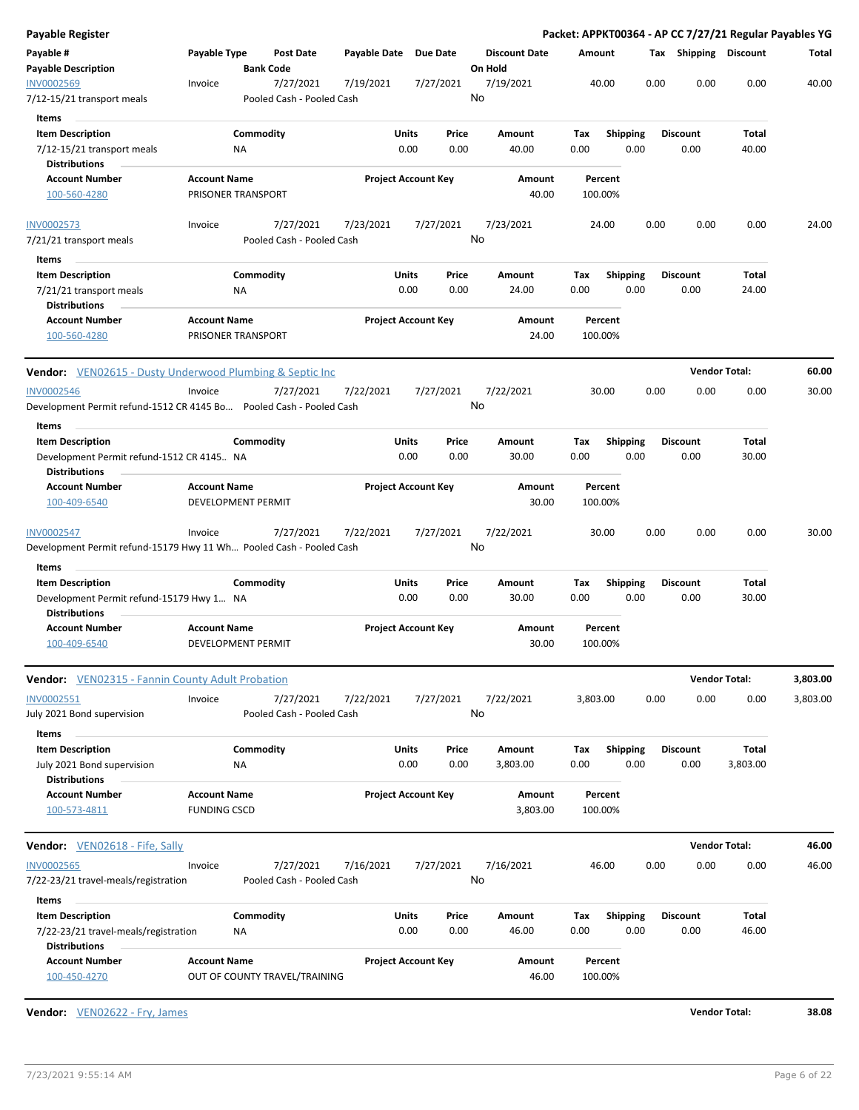| Payable #<br>Payable Type<br><b>Post Date</b><br>Payable Date Due Date<br><b>Discount Date</b><br>Tax Shipping Discount<br>Amount<br><b>Payable Description</b><br><b>Bank Code</b><br>On Hold<br>0.00<br>0.00<br>0.00<br>INV0002569<br>7/27/2021<br>7/19/2021<br>7/27/2021<br>7/19/2021<br>40.00<br>Invoice<br>No<br>Pooled Cash - Pooled Cash<br>7/12-15/21 transport meals<br>Items<br><b>Item Description</b><br>Commodity<br>Units<br>Price<br>Amount<br>Tax<br><b>Shipping</b><br><b>Discount</b><br>Total<br>0.00<br>0.00<br>0.00<br>7/12-15/21 transport meals<br><b>NA</b><br>0.00<br>40.00<br>0.00<br>40.00<br><b>Distributions</b><br><b>Account Number</b><br><b>Account Name</b><br><b>Project Account Key</b><br>Amount<br>Percent<br>PRISONER TRANSPORT<br>40.00<br>100.00%<br>100-560-4280<br>7/27/2021<br>7/23/2021<br>7/27/2021<br>7/23/2021<br>24.00<br>0.00<br>0.00<br>0.00<br><b>INV0002573</b><br>Invoice<br>No<br>Pooled Cash - Pooled Cash<br>7/21/21 transport meals<br>Items<br><b>Item Description</b><br>Commodity<br>Units<br>Price<br><b>Shipping</b><br><b>Discount</b><br>Total<br>Amount<br>Tax<br>0.00<br>0.00<br>24.00<br>0.00<br>0.00<br>0.00<br>24.00<br>7/21/21 transport meals<br>ΝA<br><b>Distributions</b><br><b>Account Number</b><br><b>Project Account Key</b><br><b>Account Name</b><br>Amount<br>Percent<br>PRISONER TRANSPORT<br>24.00<br>100.00%<br>100-560-4280<br><b>Vendor Total:</b><br><b>Vendor:</b> VEN02615 - Dusty Underwood Plumbing & Septic Inc<br><b>INV0002546</b><br>Invoice<br>7/27/2021<br>7/22/2021<br>7/27/2021<br>7/22/2021<br>30.00<br>0.00<br>0.00<br>0.00<br>No<br>Development Permit refund-1512 CR 4145 Bo Pooled Cash - Pooled Cash<br>Items<br>Commodity<br>Units<br>Price<br><b>Shipping</b><br>Total<br><b>Item Description</b><br>Amount<br>Tax<br><b>Discount</b><br>0.00<br>0.00<br>0.00<br>0.00<br>30.00<br>Development Permit refund-1512 CR 4145 NA<br>0.00<br>30.00<br><b>Distributions</b><br><b>Account Number</b><br><b>Project Account Key</b><br><b>Account Name</b><br>Amount<br>Percent<br>100-409-6540<br>DEVELOPMENT PERMIT<br>30.00<br>100.00%<br>7/27/2021<br>7/27/2021<br>7/22/2021<br>0.00<br>0.00<br>0.00<br><b>INV0002547</b><br>7/22/2021<br>30.00<br>Invoice<br>No<br>Development Permit refund-15179 Hwy 11 Wh Pooled Cash - Pooled Cash<br>Items<br><b>Item Description</b><br>Commodity<br>Units<br>Price<br>Total<br>Amount<br>Tax<br>Shipping<br><b>Discount</b><br>Development Permit refund-15179 Hwy 1 NA<br>0.00<br>0.00<br>30.00<br>0.00<br>0.00<br>0.00<br>30.00<br><b>Distributions</b><br><b>Account Number</b><br><b>Account Name</b><br><b>Project Account Key</b><br>Amount<br>Percent<br>100-409-6540<br>DEVELOPMENT PERMIT<br>30.00<br>100.00%<br><b>Vendor Total:</b><br><b>Vendor:</b> VEN02315 - Fannin County Adult Probation<br>INV0002551<br>Invoice<br>7/27/2021<br>7/22/2021<br>7/27/2021<br>7/22/2021<br>3,803.00<br>0.00<br>0.00<br>0.00<br>3,803.00<br>No<br>July 2021 Bond supervision<br>Pooled Cash - Pooled Cash<br>Items<br><b>Item Description</b><br>Commodity<br>Units<br>Price<br>Amount<br><b>Shipping</b><br><b>Discount</b><br>Total<br>Tax<br>0.00<br>0.00<br>3,803.00<br>0.00<br>0.00<br>0.00<br>3,803.00<br>July 2021 Bond supervision<br>ΝA<br><b>Distributions</b><br><b>Account Number</b><br><b>Account Name</b><br><b>Project Account Key</b><br>Amount<br>Percent<br><b>FUNDING CSCD</b><br>3,803.00<br>100.00%<br>100-573-4811<br><b>Vendor Total:</b><br>Vendor: VEN02618 - Fife, Sally<br>46.00<br>0.00<br>0.00<br>0.00<br><b>INV0002565</b><br>7/27/2021<br>7/16/2021<br>7/27/2021<br>7/16/2021<br>Invoice<br>No<br>7/22-23/21 travel-meals/registration<br>Pooled Cash - Pooled Cash<br>Items<br>Commodity<br><b>Item Description</b><br>Units<br>Amount<br><b>Shipping</b><br><b>Discount</b><br>Total<br>Price<br>Tax<br>0.00<br>0.00<br>0.00<br>7/22-23/21 travel-meals/registration<br><b>NA</b><br>0.00<br>46.00<br>0.00<br>46.00 | <b>Payable Register</b> |  |  |  |  |  | Packet: APPKT00364 - AP CC 7/27/21 Regular Payables YG |          |
|----------------------------------------------------------------------------------------------------------------------------------------------------------------------------------------------------------------------------------------------------------------------------------------------------------------------------------------------------------------------------------------------------------------------------------------------------------------------------------------------------------------------------------------------------------------------------------------------------------------------------------------------------------------------------------------------------------------------------------------------------------------------------------------------------------------------------------------------------------------------------------------------------------------------------------------------------------------------------------------------------------------------------------------------------------------------------------------------------------------------------------------------------------------------------------------------------------------------------------------------------------------------------------------------------------------------------------------------------------------------------------------------------------------------------------------------------------------------------------------------------------------------------------------------------------------------------------------------------------------------------------------------------------------------------------------------------------------------------------------------------------------------------------------------------------------------------------------------------------------------------------------------------------------------------------------------------------------------------------------------------------------------------------------------------------------------------------------------------------------------------------------------------------------------------------------------------------------------------------------------------------------------------------------------------------------------------------------------------------------------------------------------------------------------------------------------------------------------------------------------------------------------------------------------------------------------------------------------------------------------------------------------------------------------------------------------------------------------------------------------------------------------------------------------------------------------------------------------------------------------------------------------------------------------------------------------------------------------------------------------------------------------------------------------------------------------------------------------------------------------------------------------------------------------------------------------------------------------------------------------------------------------------------------------------------------------------------------------------------------------------------------------------------------------------------------------------------------------------------------------------------------------------------------------------------------------------------------------------------------------------------------------------------------------------------------------------------------------------------------------------------------------------------------------------------------------------------------------------------------------------------------------------------------------------------------------------------------------------------------------------|-------------------------|--|--|--|--|--|--------------------------------------------------------|----------|
|                                                                                                                                                                                                                                                                                                                                                                                                                                                                                                                                                                                                                                                                                                                                                                                                                                                                                                                                                                                                                                                                                                                                                                                                                                                                                                                                                                                                                                                                                                                                                                                                                                                                                                                                                                                                                                                                                                                                                                                                                                                                                                                                                                                                                                                                                                                                                                                                                                                                                                                                                                                                                                                                                                                                                                                                                                                                                                                                                                                                                                                                                                                                                                                                                                                                                                                                                                                                                                                                                                                                                                                                                                                                                                                                                                                                                                                                                                                                                                                                    |                         |  |  |  |  |  |                                                        | Total    |
|                                                                                                                                                                                                                                                                                                                                                                                                                                                                                                                                                                                                                                                                                                                                                                                                                                                                                                                                                                                                                                                                                                                                                                                                                                                                                                                                                                                                                                                                                                                                                                                                                                                                                                                                                                                                                                                                                                                                                                                                                                                                                                                                                                                                                                                                                                                                                                                                                                                                                                                                                                                                                                                                                                                                                                                                                                                                                                                                                                                                                                                                                                                                                                                                                                                                                                                                                                                                                                                                                                                                                                                                                                                                                                                                                                                                                                                                                                                                                                                                    |                         |  |  |  |  |  |                                                        | 40.00    |
|                                                                                                                                                                                                                                                                                                                                                                                                                                                                                                                                                                                                                                                                                                                                                                                                                                                                                                                                                                                                                                                                                                                                                                                                                                                                                                                                                                                                                                                                                                                                                                                                                                                                                                                                                                                                                                                                                                                                                                                                                                                                                                                                                                                                                                                                                                                                                                                                                                                                                                                                                                                                                                                                                                                                                                                                                                                                                                                                                                                                                                                                                                                                                                                                                                                                                                                                                                                                                                                                                                                                                                                                                                                                                                                                                                                                                                                                                                                                                                                                    |                         |  |  |  |  |  |                                                        |          |
|                                                                                                                                                                                                                                                                                                                                                                                                                                                                                                                                                                                                                                                                                                                                                                                                                                                                                                                                                                                                                                                                                                                                                                                                                                                                                                                                                                                                                                                                                                                                                                                                                                                                                                                                                                                                                                                                                                                                                                                                                                                                                                                                                                                                                                                                                                                                                                                                                                                                                                                                                                                                                                                                                                                                                                                                                                                                                                                                                                                                                                                                                                                                                                                                                                                                                                                                                                                                                                                                                                                                                                                                                                                                                                                                                                                                                                                                                                                                                                                                    |                         |  |  |  |  |  |                                                        |          |
|                                                                                                                                                                                                                                                                                                                                                                                                                                                                                                                                                                                                                                                                                                                                                                                                                                                                                                                                                                                                                                                                                                                                                                                                                                                                                                                                                                                                                                                                                                                                                                                                                                                                                                                                                                                                                                                                                                                                                                                                                                                                                                                                                                                                                                                                                                                                                                                                                                                                                                                                                                                                                                                                                                                                                                                                                                                                                                                                                                                                                                                                                                                                                                                                                                                                                                                                                                                                                                                                                                                                                                                                                                                                                                                                                                                                                                                                                                                                                                                                    |                         |  |  |  |  |  |                                                        |          |
|                                                                                                                                                                                                                                                                                                                                                                                                                                                                                                                                                                                                                                                                                                                                                                                                                                                                                                                                                                                                                                                                                                                                                                                                                                                                                                                                                                                                                                                                                                                                                                                                                                                                                                                                                                                                                                                                                                                                                                                                                                                                                                                                                                                                                                                                                                                                                                                                                                                                                                                                                                                                                                                                                                                                                                                                                                                                                                                                                                                                                                                                                                                                                                                                                                                                                                                                                                                                                                                                                                                                                                                                                                                                                                                                                                                                                                                                                                                                                                                                    |                         |  |  |  |  |  |                                                        |          |
|                                                                                                                                                                                                                                                                                                                                                                                                                                                                                                                                                                                                                                                                                                                                                                                                                                                                                                                                                                                                                                                                                                                                                                                                                                                                                                                                                                                                                                                                                                                                                                                                                                                                                                                                                                                                                                                                                                                                                                                                                                                                                                                                                                                                                                                                                                                                                                                                                                                                                                                                                                                                                                                                                                                                                                                                                                                                                                                                                                                                                                                                                                                                                                                                                                                                                                                                                                                                                                                                                                                                                                                                                                                                                                                                                                                                                                                                                                                                                                                                    |                         |  |  |  |  |  |                                                        |          |
|                                                                                                                                                                                                                                                                                                                                                                                                                                                                                                                                                                                                                                                                                                                                                                                                                                                                                                                                                                                                                                                                                                                                                                                                                                                                                                                                                                                                                                                                                                                                                                                                                                                                                                                                                                                                                                                                                                                                                                                                                                                                                                                                                                                                                                                                                                                                                                                                                                                                                                                                                                                                                                                                                                                                                                                                                                                                                                                                                                                                                                                                                                                                                                                                                                                                                                                                                                                                                                                                                                                                                                                                                                                                                                                                                                                                                                                                                                                                                                                                    |                         |  |  |  |  |  |                                                        | 24.00    |
|                                                                                                                                                                                                                                                                                                                                                                                                                                                                                                                                                                                                                                                                                                                                                                                                                                                                                                                                                                                                                                                                                                                                                                                                                                                                                                                                                                                                                                                                                                                                                                                                                                                                                                                                                                                                                                                                                                                                                                                                                                                                                                                                                                                                                                                                                                                                                                                                                                                                                                                                                                                                                                                                                                                                                                                                                                                                                                                                                                                                                                                                                                                                                                                                                                                                                                                                                                                                                                                                                                                                                                                                                                                                                                                                                                                                                                                                                                                                                                                                    |                         |  |  |  |  |  |                                                        |          |
|                                                                                                                                                                                                                                                                                                                                                                                                                                                                                                                                                                                                                                                                                                                                                                                                                                                                                                                                                                                                                                                                                                                                                                                                                                                                                                                                                                                                                                                                                                                                                                                                                                                                                                                                                                                                                                                                                                                                                                                                                                                                                                                                                                                                                                                                                                                                                                                                                                                                                                                                                                                                                                                                                                                                                                                                                                                                                                                                                                                                                                                                                                                                                                                                                                                                                                                                                                                                                                                                                                                                                                                                                                                                                                                                                                                                                                                                                                                                                                                                    |                         |  |  |  |  |  |                                                        |          |
|                                                                                                                                                                                                                                                                                                                                                                                                                                                                                                                                                                                                                                                                                                                                                                                                                                                                                                                                                                                                                                                                                                                                                                                                                                                                                                                                                                                                                                                                                                                                                                                                                                                                                                                                                                                                                                                                                                                                                                                                                                                                                                                                                                                                                                                                                                                                                                                                                                                                                                                                                                                                                                                                                                                                                                                                                                                                                                                                                                                                                                                                                                                                                                                                                                                                                                                                                                                                                                                                                                                                                                                                                                                                                                                                                                                                                                                                                                                                                                                                    |                         |  |  |  |  |  |                                                        |          |
|                                                                                                                                                                                                                                                                                                                                                                                                                                                                                                                                                                                                                                                                                                                                                                                                                                                                                                                                                                                                                                                                                                                                                                                                                                                                                                                                                                                                                                                                                                                                                                                                                                                                                                                                                                                                                                                                                                                                                                                                                                                                                                                                                                                                                                                                                                                                                                                                                                                                                                                                                                                                                                                                                                                                                                                                                                                                                                                                                                                                                                                                                                                                                                                                                                                                                                                                                                                                                                                                                                                                                                                                                                                                                                                                                                                                                                                                                                                                                                                                    |                         |  |  |  |  |  |                                                        |          |
|                                                                                                                                                                                                                                                                                                                                                                                                                                                                                                                                                                                                                                                                                                                                                                                                                                                                                                                                                                                                                                                                                                                                                                                                                                                                                                                                                                                                                                                                                                                                                                                                                                                                                                                                                                                                                                                                                                                                                                                                                                                                                                                                                                                                                                                                                                                                                                                                                                                                                                                                                                                                                                                                                                                                                                                                                                                                                                                                                                                                                                                                                                                                                                                                                                                                                                                                                                                                                                                                                                                                                                                                                                                                                                                                                                                                                                                                                                                                                                                                    |                         |  |  |  |  |  |                                                        | 60.00    |
|                                                                                                                                                                                                                                                                                                                                                                                                                                                                                                                                                                                                                                                                                                                                                                                                                                                                                                                                                                                                                                                                                                                                                                                                                                                                                                                                                                                                                                                                                                                                                                                                                                                                                                                                                                                                                                                                                                                                                                                                                                                                                                                                                                                                                                                                                                                                                                                                                                                                                                                                                                                                                                                                                                                                                                                                                                                                                                                                                                                                                                                                                                                                                                                                                                                                                                                                                                                                                                                                                                                                                                                                                                                                                                                                                                                                                                                                                                                                                                                                    |                         |  |  |  |  |  |                                                        | 30.00    |
|                                                                                                                                                                                                                                                                                                                                                                                                                                                                                                                                                                                                                                                                                                                                                                                                                                                                                                                                                                                                                                                                                                                                                                                                                                                                                                                                                                                                                                                                                                                                                                                                                                                                                                                                                                                                                                                                                                                                                                                                                                                                                                                                                                                                                                                                                                                                                                                                                                                                                                                                                                                                                                                                                                                                                                                                                                                                                                                                                                                                                                                                                                                                                                                                                                                                                                                                                                                                                                                                                                                                                                                                                                                                                                                                                                                                                                                                                                                                                                                                    |                         |  |  |  |  |  |                                                        |          |
|                                                                                                                                                                                                                                                                                                                                                                                                                                                                                                                                                                                                                                                                                                                                                                                                                                                                                                                                                                                                                                                                                                                                                                                                                                                                                                                                                                                                                                                                                                                                                                                                                                                                                                                                                                                                                                                                                                                                                                                                                                                                                                                                                                                                                                                                                                                                                                                                                                                                                                                                                                                                                                                                                                                                                                                                                                                                                                                                                                                                                                                                                                                                                                                                                                                                                                                                                                                                                                                                                                                                                                                                                                                                                                                                                                                                                                                                                                                                                                                                    |                         |  |  |  |  |  |                                                        |          |
|                                                                                                                                                                                                                                                                                                                                                                                                                                                                                                                                                                                                                                                                                                                                                                                                                                                                                                                                                                                                                                                                                                                                                                                                                                                                                                                                                                                                                                                                                                                                                                                                                                                                                                                                                                                                                                                                                                                                                                                                                                                                                                                                                                                                                                                                                                                                                                                                                                                                                                                                                                                                                                                                                                                                                                                                                                                                                                                                                                                                                                                                                                                                                                                                                                                                                                                                                                                                                                                                                                                                                                                                                                                                                                                                                                                                                                                                                                                                                                                                    |                         |  |  |  |  |  |                                                        |          |
|                                                                                                                                                                                                                                                                                                                                                                                                                                                                                                                                                                                                                                                                                                                                                                                                                                                                                                                                                                                                                                                                                                                                                                                                                                                                                                                                                                                                                                                                                                                                                                                                                                                                                                                                                                                                                                                                                                                                                                                                                                                                                                                                                                                                                                                                                                                                                                                                                                                                                                                                                                                                                                                                                                                                                                                                                                                                                                                                                                                                                                                                                                                                                                                                                                                                                                                                                                                                                                                                                                                                                                                                                                                                                                                                                                                                                                                                                                                                                                                                    |                         |  |  |  |  |  |                                                        |          |
|                                                                                                                                                                                                                                                                                                                                                                                                                                                                                                                                                                                                                                                                                                                                                                                                                                                                                                                                                                                                                                                                                                                                                                                                                                                                                                                                                                                                                                                                                                                                                                                                                                                                                                                                                                                                                                                                                                                                                                                                                                                                                                                                                                                                                                                                                                                                                                                                                                                                                                                                                                                                                                                                                                                                                                                                                                                                                                                                                                                                                                                                                                                                                                                                                                                                                                                                                                                                                                                                                                                                                                                                                                                                                                                                                                                                                                                                                                                                                                                                    |                         |  |  |  |  |  |                                                        |          |
|                                                                                                                                                                                                                                                                                                                                                                                                                                                                                                                                                                                                                                                                                                                                                                                                                                                                                                                                                                                                                                                                                                                                                                                                                                                                                                                                                                                                                                                                                                                                                                                                                                                                                                                                                                                                                                                                                                                                                                                                                                                                                                                                                                                                                                                                                                                                                                                                                                                                                                                                                                                                                                                                                                                                                                                                                                                                                                                                                                                                                                                                                                                                                                                                                                                                                                                                                                                                                                                                                                                                                                                                                                                                                                                                                                                                                                                                                                                                                                                                    |                         |  |  |  |  |  |                                                        |          |
|                                                                                                                                                                                                                                                                                                                                                                                                                                                                                                                                                                                                                                                                                                                                                                                                                                                                                                                                                                                                                                                                                                                                                                                                                                                                                                                                                                                                                                                                                                                                                                                                                                                                                                                                                                                                                                                                                                                                                                                                                                                                                                                                                                                                                                                                                                                                                                                                                                                                                                                                                                                                                                                                                                                                                                                                                                                                                                                                                                                                                                                                                                                                                                                                                                                                                                                                                                                                                                                                                                                                                                                                                                                                                                                                                                                                                                                                                                                                                                                                    |                         |  |  |  |  |  |                                                        | 30.00    |
|                                                                                                                                                                                                                                                                                                                                                                                                                                                                                                                                                                                                                                                                                                                                                                                                                                                                                                                                                                                                                                                                                                                                                                                                                                                                                                                                                                                                                                                                                                                                                                                                                                                                                                                                                                                                                                                                                                                                                                                                                                                                                                                                                                                                                                                                                                                                                                                                                                                                                                                                                                                                                                                                                                                                                                                                                                                                                                                                                                                                                                                                                                                                                                                                                                                                                                                                                                                                                                                                                                                                                                                                                                                                                                                                                                                                                                                                                                                                                                                                    |                         |  |  |  |  |  |                                                        |          |
|                                                                                                                                                                                                                                                                                                                                                                                                                                                                                                                                                                                                                                                                                                                                                                                                                                                                                                                                                                                                                                                                                                                                                                                                                                                                                                                                                                                                                                                                                                                                                                                                                                                                                                                                                                                                                                                                                                                                                                                                                                                                                                                                                                                                                                                                                                                                                                                                                                                                                                                                                                                                                                                                                                                                                                                                                                                                                                                                                                                                                                                                                                                                                                                                                                                                                                                                                                                                                                                                                                                                                                                                                                                                                                                                                                                                                                                                                                                                                                                                    |                         |  |  |  |  |  |                                                        |          |
|                                                                                                                                                                                                                                                                                                                                                                                                                                                                                                                                                                                                                                                                                                                                                                                                                                                                                                                                                                                                                                                                                                                                                                                                                                                                                                                                                                                                                                                                                                                                                                                                                                                                                                                                                                                                                                                                                                                                                                                                                                                                                                                                                                                                                                                                                                                                                                                                                                                                                                                                                                                                                                                                                                                                                                                                                                                                                                                                                                                                                                                                                                                                                                                                                                                                                                                                                                                                                                                                                                                                                                                                                                                                                                                                                                                                                                                                                                                                                                                                    |                         |  |  |  |  |  |                                                        |          |
|                                                                                                                                                                                                                                                                                                                                                                                                                                                                                                                                                                                                                                                                                                                                                                                                                                                                                                                                                                                                                                                                                                                                                                                                                                                                                                                                                                                                                                                                                                                                                                                                                                                                                                                                                                                                                                                                                                                                                                                                                                                                                                                                                                                                                                                                                                                                                                                                                                                                                                                                                                                                                                                                                                                                                                                                                                                                                                                                                                                                                                                                                                                                                                                                                                                                                                                                                                                                                                                                                                                                                                                                                                                                                                                                                                                                                                                                                                                                                                                                    |                         |  |  |  |  |  |                                                        | 3,803.00 |
|                                                                                                                                                                                                                                                                                                                                                                                                                                                                                                                                                                                                                                                                                                                                                                                                                                                                                                                                                                                                                                                                                                                                                                                                                                                                                                                                                                                                                                                                                                                                                                                                                                                                                                                                                                                                                                                                                                                                                                                                                                                                                                                                                                                                                                                                                                                                                                                                                                                                                                                                                                                                                                                                                                                                                                                                                                                                                                                                                                                                                                                                                                                                                                                                                                                                                                                                                                                                                                                                                                                                                                                                                                                                                                                                                                                                                                                                                                                                                                                                    |                         |  |  |  |  |  |                                                        |          |
|                                                                                                                                                                                                                                                                                                                                                                                                                                                                                                                                                                                                                                                                                                                                                                                                                                                                                                                                                                                                                                                                                                                                                                                                                                                                                                                                                                                                                                                                                                                                                                                                                                                                                                                                                                                                                                                                                                                                                                                                                                                                                                                                                                                                                                                                                                                                                                                                                                                                                                                                                                                                                                                                                                                                                                                                                                                                                                                                                                                                                                                                                                                                                                                                                                                                                                                                                                                                                                                                                                                                                                                                                                                                                                                                                                                                                                                                                                                                                                                                    |                         |  |  |  |  |  |                                                        |          |
|                                                                                                                                                                                                                                                                                                                                                                                                                                                                                                                                                                                                                                                                                                                                                                                                                                                                                                                                                                                                                                                                                                                                                                                                                                                                                                                                                                                                                                                                                                                                                                                                                                                                                                                                                                                                                                                                                                                                                                                                                                                                                                                                                                                                                                                                                                                                                                                                                                                                                                                                                                                                                                                                                                                                                                                                                                                                                                                                                                                                                                                                                                                                                                                                                                                                                                                                                                                                                                                                                                                                                                                                                                                                                                                                                                                                                                                                                                                                                                                                    |                         |  |  |  |  |  |                                                        |          |
|                                                                                                                                                                                                                                                                                                                                                                                                                                                                                                                                                                                                                                                                                                                                                                                                                                                                                                                                                                                                                                                                                                                                                                                                                                                                                                                                                                                                                                                                                                                                                                                                                                                                                                                                                                                                                                                                                                                                                                                                                                                                                                                                                                                                                                                                                                                                                                                                                                                                                                                                                                                                                                                                                                                                                                                                                                                                                                                                                                                                                                                                                                                                                                                                                                                                                                                                                                                                                                                                                                                                                                                                                                                                                                                                                                                                                                                                                                                                                                                                    |                         |  |  |  |  |  |                                                        |          |
|                                                                                                                                                                                                                                                                                                                                                                                                                                                                                                                                                                                                                                                                                                                                                                                                                                                                                                                                                                                                                                                                                                                                                                                                                                                                                                                                                                                                                                                                                                                                                                                                                                                                                                                                                                                                                                                                                                                                                                                                                                                                                                                                                                                                                                                                                                                                                                                                                                                                                                                                                                                                                                                                                                                                                                                                                                                                                                                                                                                                                                                                                                                                                                                                                                                                                                                                                                                                                                                                                                                                                                                                                                                                                                                                                                                                                                                                                                                                                                                                    |                         |  |  |  |  |  |                                                        |          |
|                                                                                                                                                                                                                                                                                                                                                                                                                                                                                                                                                                                                                                                                                                                                                                                                                                                                                                                                                                                                                                                                                                                                                                                                                                                                                                                                                                                                                                                                                                                                                                                                                                                                                                                                                                                                                                                                                                                                                                                                                                                                                                                                                                                                                                                                                                                                                                                                                                                                                                                                                                                                                                                                                                                                                                                                                                                                                                                                                                                                                                                                                                                                                                                                                                                                                                                                                                                                                                                                                                                                                                                                                                                                                                                                                                                                                                                                                                                                                                                                    |                         |  |  |  |  |  |                                                        |          |
|                                                                                                                                                                                                                                                                                                                                                                                                                                                                                                                                                                                                                                                                                                                                                                                                                                                                                                                                                                                                                                                                                                                                                                                                                                                                                                                                                                                                                                                                                                                                                                                                                                                                                                                                                                                                                                                                                                                                                                                                                                                                                                                                                                                                                                                                                                                                                                                                                                                                                                                                                                                                                                                                                                                                                                                                                                                                                                                                                                                                                                                                                                                                                                                                                                                                                                                                                                                                                                                                                                                                                                                                                                                                                                                                                                                                                                                                                                                                                                                                    |                         |  |  |  |  |  |                                                        |          |
|                                                                                                                                                                                                                                                                                                                                                                                                                                                                                                                                                                                                                                                                                                                                                                                                                                                                                                                                                                                                                                                                                                                                                                                                                                                                                                                                                                                                                                                                                                                                                                                                                                                                                                                                                                                                                                                                                                                                                                                                                                                                                                                                                                                                                                                                                                                                                                                                                                                                                                                                                                                                                                                                                                                                                                                                                                                                                                                                                                                                                                                                                                                                                                                                                                                                                                                                                                                                                                                                                                                                                                                                                                                                                                                                                                                                                                                                                                                                                                                                    |                         |  |  |  |  |  |                                                        | 46.00    |
|                                                                                                                                                                                                                                                                                                                                                                                                                                                                                                                                                                                                                                                                                                                                                                                                                                                                                                                                                                                                                                                                                                                                                                                                                                                                                                                                                                                                                                                                                                                                                                                                                                                                                                                                                                                                                                                                                                                                                                                                                                                                                                                                                                                                                                                                                                                                                                                                                                                                                                                                                                                                                                                                                                                                                                                                                                                                                                                                                                                                                                                                                                                                                                                                                                                                                                                                                                                                                                                                                                                                                                                                                                                                                                                                                                                                                                                                                                                                                                                                    |                         |  |  |  |  |  |                                                        | 46.00    |
|                                                                                                                                                                                                                                                                                                                                                                                                                                                                                                                                                                                                                                                                                                                                                                                                                                                                                                                                                                                                                                                                                                                                                                                                                                                                                                                                                                                                                                                                                                                                                                                                                                                                                                                                                                                                                                                                                                                                                                                                                                                                                                                                                                                                                                                                                                                                                                                                                                                                                                                                                                                                                                                                                                                                                                                                                                                                                                                                                                                                                                                                                                                                                                                                                                                                                                                                                                                                                                                                                                                                                                                                                                                                                                                                                                                                                                                                                                                                                                                                    |                         |  |  |  |  |  |                                                        |          |
|                                                                                                                                                                                                                                                                                                                                                                                                                                                                                                                                                                                                                                                                                                                                                                                                                                                                                                                                                                                                                                                                                                                                                                                                                                                                                                                                                                                                                                                                                                                                                                                                                                                                                                                                                                                                                                                                                                                                                                                                                                                                                                                                                                                                                                                                                                                                                                                                                                                                                                                                                                                                                                                                                                                                                                                                                                                                                                                                                                                                                                                                                                                                                                                                                                                                                                                                                                                                                                                                                                                                                                                                                                                                                                                                                                                                                                                                                                                                                                                                    |                         |  |  |  |  |  |                                                        |          |
|                                                                                                                                                                                                                                                                                                                                                                                                                                                                                                                                                                                                                                                                                                                                                                                                                                                                                                                                                                                                                                                                                                                                                                                                                                                                                                                                                                                                                                                                                                                                                                                                                                                                                                                                                                                                                                                                                                                                                                                                                                                                                                                                                                                                                                                                                                                                                                                                                                                                                                                                                                                                                                                                                                                                                                                                                                                                                                                                                                                                                                                                                                                                                                                                                                                                                                                                                                                                                                                                                                                                                                                                                                                                                                                                                                                                                                                                                                                                                                                                    |                         |  |  |  |  |  |                                                        |          |
|                                                                                                                                                                                                                                                                                                                                                                                                                                                                                                                                                                                                                                                                                                                                                                                                                                                                                                                                                                                                                                                                                                                                                                                                                                                                                                                                                                                                                                                                                                                                                                                                                                                                                                                                                                                                                                                                                                                                                                                                                                                                                                                                                                                                                                                                                                                                                                                                                                                                                                                                                                                                                                                                                                                                                                                                                                                                                                                                                                                                                                                                                                                                                                                                                                                                                                                                                                                                                                                                                                                                                                                                                                                                                                                                                                                                                                                                                                                                                                                                    | <b>Distributions</b>    |  |  |  |  |  |                                                        |          |
| <b>Account Number</b><br><b>Account Name</b><br><b>Project Account Key</b><br>Amount<br>Percent<br>OUT OF COUNTY TRAVEL/TRAINING<br>46.00<br>100.00%<br>100-450-4270                                                                                                                                                                                                                                                                                                                                                                                                                                                                                                                                                                                                                                                                                                                                                                                                                                                                                                                                                                                                                                                                                                                                                                                                                                                                                                                                                                                                                                                                                                                                                                                                                                                                                                                                                                                                                                                                                                                                                                                                                                                                                                                                                                                                                                                                                                                                                                                                                                                                                                                                                                                                                                                                                                                                                                                                                                                                                                                                                                                                                                                                                                                                                                                                                                                                                                                                                                                                                                                                                                                                                                                                                                                                                                                                                                                                                               |                         |  |  |  |  |  |                                                        |          |

**Vendor:** VEN02622 - Fry, James **Vendor Total: 38.08**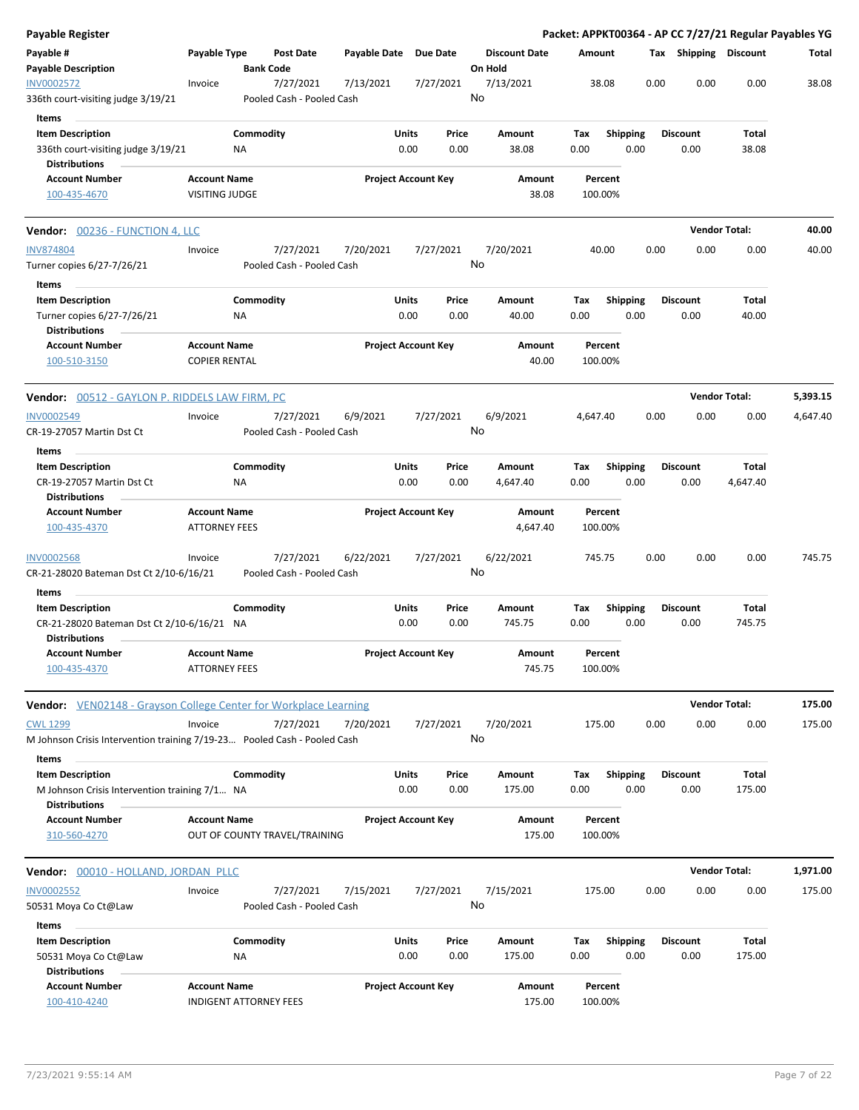| Payable Register                                                                              |                                                      |                 |                                        |                       |               |                            |                |                      |             |                 |      |                         |                      |                 | Packet: APPKT00364 - AP CC 7/27/21 Regular Payables YG |
|-----------------------------------------------------------------------------------------------|------------------------------------------------------|-----------------|----------------------------------------|-----------------------|---------------|----------------------------|----------------|----------------------|-------------|-----------------|------|-------------------------|----------------------|-----------------|--------------------------------------------------------|
| Payable #<br><b>Payable Description</b>                                                       | Payable Type                                         |                 | <b>Post Date</b><br><b>Bank Code</b>   | Payable Date Due Date |               |                            | On Hold        | <b>Discount Date</b> | Amount      |                 |      | Tax Shipping Discount   |                      |                 | Total                                                  |
| <b>INV0002572</b><br>336th court-visiting judge 3/19/21                                       | Invoice                                              |                 | 7/27/2021<br>Pooled Cash - Pooled Cash | 7/13/2021             |               | 7/27/2021                  | No             | 7/13/2021            |             | 38.08           | 0.00 | 0.00                    |                      | 0.00            | 38.08                                                  |
| Items                                                                                         |                                                      |                 |                                        |                       |               |                            |                |                      |             |                 |      |                         |                      |                 |                                                        |
| <b>Item Description</b><br>336th court-visiting judge 3/19/21<br><b>Distributions</b>         |                                                      | Commodity<br>ΝA |                                        |                       | Units<br>0.00 | Price<br>0.00              |                | Amount<br>38.08      | Тах<br>0.00 | <b>Shipping</b> | 0.00 | <b>Discount</b><br>0.00 |                      | Total<br>38.08  |                                                        |
| <b>Account Number</b><br>100-435-4670                                                         | <b>Account Name</b><br><b>VISITING JUDGE</b>         |                 |                                        |                       |               | <b>Project Account Key</b> |                | Amount<br>38.08      | 100.00%     | Percent         |      |                         |                      |                 |                                                        |
| Vendor: 00236 - FUNCTION 4, LLC                                                               |                                                      |                 |                                        |                       |               |                            |                |                      |             |                 |      |                         | <b>Vendor Total:</b> |                 | 40.00                                                  |
| <b>INV874804</b><br>Turner copies 6/27-7/26/21                                                | Invoice                                              |                 | 7/27/2021<br>Pooled Cash - Pooled Cash | 7/20/2021             |               | 7/27/2021                  | No             | 7/20/2021            |             | 40.00           | 0.00 | 0.00                    |                      | 0.00            | 40.00                                                  |
| Items                                                                                         |                                                      |                 |                                        |                       |               |                            |                |                      |             |                 |      |                         |                      |                 |                                                        |
| <b>Item Description</b><br>Turner copies 6/27-7/26/21<br><b>Distributions</b>                 |                                                      | Commodity<br>ΝA |                                        |                       | Units<br>0.00 | Price<br>0.00              |                | Amount<br>40.00      | Tax<br>0.00 | <b>Shipping</b> | 0.00 | <b>Discount</b><br>0.00 |                      | Total<br>40.00  |                                                        |
| <b>Account Number</b><br>100-510-3150                                                         | <b>Account Name</b><br><b>COPIER RENTAL</b>          |                 |                                        |                       |               | <b>Project Account Key</b> |                | Amount<br>40.00      | 100.00%     | Percent         |      |                         |                      |                 |                                                        |
| Vendor: 00512 - GAYLON P. RIDDELS LAW FIRM, PC                                                |                                                      |                 |                                        |                       |               |                            |                |                      |             |                 |      |                         | <b>Vendor Total:</b> |                 | 5,393.15                                               |
| <b>INV0002549</b><br>CR-19-27057 Martin Dst Ct                                                | Invoice                                              |                 | 7/27/2021<br>Pooled Cash - Pooled Cash | 6/9/2021              |               | 7/27/2021                  | 6/9/2021<br>No |                      | 4,647.40    |                 | 0.00 | 0.00                    |                      | 0.00            | 4,647.40                                               |
| Items                                                                                         |                                                      |                 |                                        |                       |               |                            |                |                      |             |                 |      |                         |                      |                 |                                                        |
| <b>Item Description</b>                                                                       |                                                      | Commodity       |                                        |                       | Units         | Price                      |                | Amount               | Tax         | <b>Shipping</b> |      | <b>Discount</b>         |                      | Total           |                                                        |
| CR-19-27057 Martin Dst Ct<br><b>Distributions</b>                                             |                                                      | ΝA              |                                        |                       | 0.00          | 0.00                       |                | 4,647.40             | 0.00        |                 | 0.00 | 0.00                    |                      | 4,647.40        |                                                        |
| <b>Account Number</b><br>100-435-4370                                                         | <b>Account Name</b><br><b>ATTORNEY FEES</b>          |                 |                                        |                       |               | <b>Project Account Key</b> |                | Amount<br>4,647.40   | 100.00%     | Percent         |      |                         |                      |                 |                                                        |
| <b>INV0002568</b><br>CR-21-28020 Bateman Dst Ct 2/10-6/16/21                                  | Invoice                                              |                 | 7/27/2021<br>Pooled Cash - Pooled Cash | 6/22/2021             |               | 7/27/2021                  | No             | 6/22/2021            | 745.75      |                 | 0.00 | 0.00                    |                      | 0.00            | 745.75                                                 |
| Items                                                                                         |                                                      |                 |                                        |                       |               |                            |                |                      |             |                 |      |                         |                      |                 |                                                        |
| <b>Item Description</b><br>CR-21-28020 Bateman Dst Ct 2/10-6/16/21 NA<br><b>Distributions</b> |                                                      | Commodity       |                                        |                       | Units<br>0.00 | Price<br>0.00              |                | Amount<br>745.75     | Tax<br>0.00 | <b>Shipping</b> | 0.00 | <b>Discount</b><br>0.00 |                      | Total<br>745.75 |                                                        |
| <b>Account Number</b><br>100-435-4370                                                         | <b>Account Name</b><br><b>ATTORNEY FEES</b>          |                 |                                        |                       |               | <b>Project Account Key</b> |                | Amount<br>745.75     | 100.00%     | Percent         |      |                         |                      |                 |                                                        |
| Vendor: VEN02148 - Grayson College Center for Workplace Learning                              |                                                      |                 |                                        |                       |               |                            |                |                      |             |                 |      |                         | <b>Vendor Total:</b> |                 | 175.00                                                 |
| <b>CWL 1299</b><br>M Johnson Crisis Intervention training 7/19-23 Pooled Cash - Pooled Cash   | Invoice                                              |                 | 7/27/2021                              | 7/20/2021             |               | 7/27/2021                  | No             | 7/20/2021            | 175.00      |                 | 0.00 | 0.00                    |                      | 0.00            | 175.00                                                 |
| Items                                                                                         |                                                      |                 |                                        |                       |               |                            |                |                      |             |                 |      |                         |                      |                 |                                                        |
| <b>Item Description</b><br>M Johnson Crisis Intervention training 7/1 NA                      |                                                      | Commodity       |                                        |                       | Units<br>0.00 | Price<br>0.00              |                | Amount<br>175.00     | Тах<br>0.00 | Shipping        | 0.00 | <b>Discount</b><br>0.00 |                      | Total<br>175.00 |                                                        |
| <b>Distributions</b><br><b>Account Number</b><br>310-560-4270                                 | <b>Account Name</b>                                  |                 | OUT OF COUNTY TRAVEL/TRAINING          |                       |               | <b>Project Account Key</b> |                | Amount<br>175.00     | 100.00%     | Percent         |      |                         |                      |                 |                                                        |
| Vendor: 00010 - HOLLAND, JORDAN PLLC                                                          |                                                      |                 |                                        |                       |               |                            |                |                      |             |                 |      |                         | <b>Vendor Total:</b> |                 | 1,971.00                                               |
| <b>INV0002552</b><br>50531 Moya Co Ct@Law                                                     | Invoice                                              |                 | 7/27/2021<br>Pooled Cash - Pooled Cash | 7/15/2021             |               | 7/27/2021                  | No             | 7/15/2021            | 175.00      |                 | 0.00 | 0.00                    |                      | 0.00            | 175.00                                                 |
| Items                                                                                         |                                                      |                 |                                        |                       |               |                            |                |                      |             |                 |      |                         |                      |                 |                                                        |
| <b>Item Description</b><br>50531 Moya Co Ct@Law                                               |                                                      | Commodity<br>ΝA |                                        |                       | Units<br>0.00 | Price<br>0.00              |                | Amount<br>175.00     | Тах<br>0.00 | <b>Shipping</b> | 0.00 | <b>Discount</b><br>0.00 |                      | Total<br>175.00 |                                                        |
| <b>Distributions</b><br><b>Account Number</b><br>100-410-4240                                 | <b>Account Name</b><br><b>INDIGENT ATTORNEY FEES</b> |                 |                                        |                       |               | <b>Project Account Key</b> |                | Amount<br>175.00     | 100.00%     | Percent         |      |                         |                      |                 |                                                        |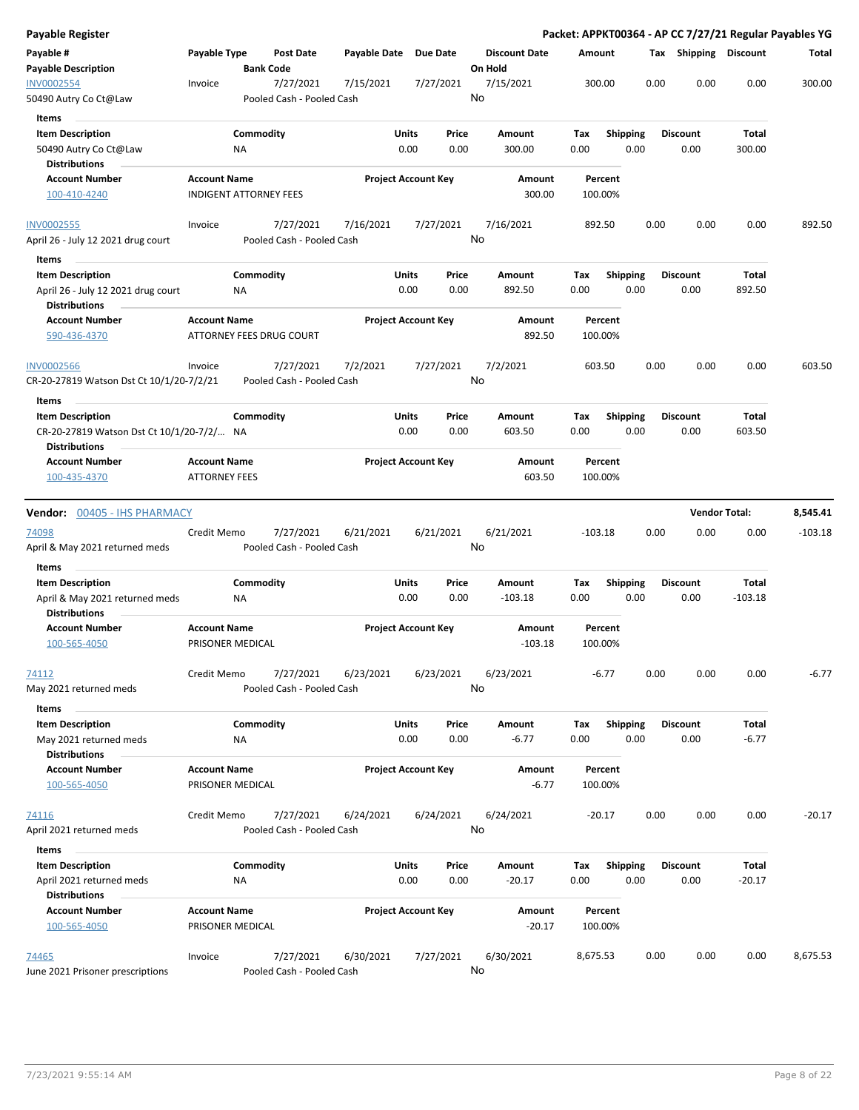| Payable Type<br>Payable Date Due Date<br><b>Discount Date</b><br>Tax Shipping Discount<br><b>Post Date</b><br>Amount<br>Total<br><b>Bank Code</b><br>On Hold<br>0.00<br>7/15/2021<br>300.00<br>0.00<br>0.00<br>300.00<br>7/27/2021<br>7/15/2021<br>7/27/2021<br>Invoice<br>No<br>Pooled Cash - Pooled Cash<br><b>Items</b><br>Commodity<br>Units<br>Price<br><b>Shipping</b><br>Total<br><b>Item Description</b><br>Amount<br>Tax<br><b>Discount</b><br>50490 Autry Co Ct@Law<br>0.00<br>0.00<br>300.00<br>0.00<br>0.00<br>0.00<br>300.00<br>ΝA<br><b>Distributions</b><br><b>Account Name</b><br><b>Project Account Key</b><br><b>Account Number</b><br>Amount<br>Percent<br>300.00<br>100-410-4240<br><b>INDIGENT ATTORNEY FEES</b><br>100.00%<br>7/27/2021<br>7/16/2021<br>7/27/2021<br>7/16/2021<br>892.50<br>0.00<br>0.00<br>0.00<br>892.50<br>Invoice<br>No<br>April 26 - July 12 2021 drug court<br>Pooled Cash - Pooled Cash<br>Items<br><b>Item Description</b><br>Commodity<br>Units<br>Price<br>Tax<br><b>Shipping</b><br><b>Discount</b><br>Total<br>Amount<br>0.00<br>0.00<br>April 26 - July 12 2021 drug court<br>NA<br>0.00<br>892.50<br>0.00<br>0.00<br>892.50<br><b>Distributions</b><br><b>Project Account Key</b><br><b>Account Number</b><br><b>Account Name</b><br><b>Amount</b><br>Percent<br>ATTORNEY FEES DRUG COURT<br>892.50<br>590-436-4370<br>100.00%<br>7/27/2021<br>7/2/2021<br>7/27/2021<br>7/2/2021<br>603.50<br>0.00<br>0.00<br>0.00<br>603.50<br>Invoice<br>No<br>CR-20-27819 Watson Dst Ct 10/1/20-7/2/21<br>Pooled Cash - Pooled Cash<br>Items<br>Commodity<br>Units<br><b>Shipping</b><br><b>Discount</b><br><b>Item Description</b><br>Price<br>Amount<br>Tax<br>Total<br>0.00<br>0.00<br>603.50<br>CR-20-27819 Watson Dst Ct 10/1/20-7/2/ NA<br>0.00<br>603.50<br>0.00<br>0.00<br><b>Distributions</b><br><b>Project Account Key</b><br><b>Account Number</b><br><b>Account Name</b><br>Amount<br>Percent<br><b>ATTORNEY FEES</b><br>603.50<br>100.00%<br>100-435-4370<br><b>Vendor Total:</b><br>8,545.41<br><b>Vendor:</b> 00405 - IHS PHARMACY<br>6/21/2021<br>Credit Memo<br>7/27/2021<br>6/21/2021<br>6/21/2021<br>0.00<br>0.00<br>0.00<br>$-103.18$<br>$-103.18$<br>No<br>Pooled Cash - Pooled Cash<br>Items<br>Commodity<br>Units<br><b>Shipping</b><br>Total<br><b>Item Description</b><br>Price<br>Tax<br><b>Discount</b><br>Amount<br>0.00<br>0.00<br>0.00<br>0.00<br>0.00<br>$-103.18$<br>April & May 2021 returned meds<br>ΝA<br>$-103.18$<br><b>Distributions</b><br><b>Project Account Key</b><br><b>Account Number</b><br><b>Account Name</b><br>Amount<br>Percent<br>100-565-4050<br>PRISONER MEDICAL<br>$-103.18$<br>100.00%<br>74112<br>Credit Memo<br>7/27/2021<br>6/23/2021<br>6/23/2021<br>6/23/2021<br>0.00<br>0.00<br>$-6.77$<br>0.00<br>$-6.77$<br>No<br>Pooled Cash - Pooled Cash<br>Items<br><b>Item Description</b><br>Commodity<br>Units<br><b>Shipping</b><br><b>Discount</b><br>Price<br>Amount<br>Tax<br>Total<br>$-6.77$<br>0.00<br>0.00<br>$-6.77$<br>0.00<br>0.00<br>0.00<br>May 2021 returned meds<br>ΝA<br><b>Distributions</b><br><b>Account Number</b><br><b>Account Name</b><br><b>Project Account Key</b><br>Percent<br>Amount<br>100-565-4050<br>PRISONER MEDICAL<br>$-6.77$<br>100.00%<br>0.00<br>0.00<br>0.00<br>$-20.17$<br>Credit Memo<br>7/27/2021<br>6/24/2021<br>6/24/2021<br>6/24/2021<br>$-20.17$<br>No<br>April 2021 returned meds<br>Pooled Cash - Pooled Cash<br>Items<br><b>Item Description</b><br>Commodity<br>Units<br>Total<br>Price<br>Amount<br>Tax<br><b>Shipping</b><br><b>Discount</b><br>April 2021 returned meds<br>0.00<br>0.00<br>$-20.17$<br>0.00<br>0.00<br>0.00<br>$-20.17$<br>ΝA<br><b>Distributions</b><br><b>Account Name</b><br><b>Project Account Key</b><br><b>Account Number</b><br>Amount<br>Percent<br>100-565-4050<br>$-20.17$<br>PRISONER MEDICAL<br>100.00%<br>7/27/2021<br>6/30/2021<br>7/27/2021<br>6/30/2021<br>0.00<br>0.00<br>8,675.53<br>Invoice<br>8,675.53<br>0.00<br>No<br>June 2021 Prisoner prescriptions<br>Pooled Cash - Pooled Cash | Payable Register                           |  |  |  |  |  |  | Packet: APPKT00364 - AP CC 7/27/21 Regular Payables YG |
|-----------------------------------------------------------------------------------------------------------------------------------------------------------------------------------------------------------------------------------------------------------------------------------------------------------------------------------------------------------------------------------------------------------------------------------------------------------------------------------------------------------------------------------------------------------------------------------------------------------------------------------------------------------------------------------------------------------------------------------------------------------------------------------------------------------------------------------------------------------------------------------------------------------------------------------------------------------------------------------------------------------------------------------------------------------------------------------------------------------------------------------------------------------------------------------------------------------------------------------------------------------------------------------------------------------------------------------------------------------------------------------------------------------------------------------------------------------------------------------------------------------------------------------------------------------------------------------------------------------------------------------------------------------------------------------------------------------------------------------------------------------------------------------------------------------------------------------------------------------------------------------------------------------------------------------------------------------------------------------------------------------------------------------------------------------------------------------------------------------------------------------------------------------------------------------------------------------------------------------------------------------------------------------------------------------------------------------------------------------------------------------------------------------------------------------------------------------------------------------------------------------------------------------------------------------------------------------------------------------------------------------------------------------------------------------------------------------------------------------------------------------------------------------------------------------------------------------------------------------------------------------------------------------------------------------------------------------------------------------------------------------------------------------------------------------------------------------------------------------------------------------------------------------------------------------------------------------------------------------------------------------------------------------------------------------------------------------------------------------------------------------------------------------------------------------------------------------------------------------------------------------------------------------------------------------------------------------------------------------------------------------------------------------------------------------------------------------------------------------------------------------------------------------------------------------------------------------------------------------------------------------------------------------------------------------------------------------------------------------------------------------------------------------------------------------------------------|--------------------------------------------|--|--|--|--|--|--|--------------------------------------------------------|
|                                                                                                                                                                                                                                                                                                                                                                                                                                                                                                                                                                                                                                                                                                                                                                                                                                                                                                                                                                                                                                                                                                                                                                                                                                                                                                                                                                                                                                                                                                                                                                                                                                                                                                                                                                                                                                                                                                                                                                                                                                                                                                                                                                                                                                                                                                                                                                                                                                                                                                                                                                                                                                                                                                                                                                                                                                                                                                                                                                                                                                                                                                                                                                                                                                                                                                                                                                                                                                                                                                                                                                                                                                                                                                                                                                                                                                                                                                                                                                                                                                                                             | Payable #<br><b>Payable Description</b>    |  |  |  |  |  |  |                                                        |
|                                                                                                                                                                                                                                                                                                                                                                                                                                                                                                                                                                                                                                                                                                                                                                                                                                                                                                                                                                                                                                                                                                                                                                                                                                                                                                                                                                                                                                                                                                                                                                                                                                                                                                                                                                                                                                                                                                                                                                                                                                                                                                                                                                                                                                                                                                                                                                                                                                                                                                                                                                                                                                                                                                                                                                                                                                                                                                                                                                                                                                                                                                                                                                                                                                                                                                                                                                                                                                                                                                                                                                                                                                                                                                                                                                                                                                                                                                                                                                                                                                                                             | <b>INV0002554</b><br>50490 Autry Co Ct@Law |  |  |  |  |  |  |                                                        |
|                                                                                                                                                                                                                                                                                                                                                                                                                                                                                                                                                                                                                                                                                                                                                                                                                                                                                                                                                                                                                                                                                                                                                                                                                                                                                                                                                                                                                                                                                                                                                                                                                                                                                                                                                                                                                                                                                                                                                                                                                                                                                                                                                                                                                                                                                                                                                                                                                                                                                                                                                                                                                                                                                                                                                                                                                                                                                                                                                                                                                                                                                                                                                                                                                                                                                                                                                                                                                                                                                                                                                                                                                                                                                                                                                                                                                                                                                                                                                                                                                                                                             |                                            |  |  |  |  |  |  |                                                        |
|                                                                                                                                                                                                                                                                                                                                                                                                                                                                                                                                                                                                                                                                                                                                                                                                                                                                                                                                                                                                                                                                                                                                                                                                                                                                                                                                                                                                                                                                                                                                                                                                                                                                                                                                                                                                                                                                                                                                                                                                                                                                                                                                                                                                                                                                                                                                                                                                                                                                                                                                                                                                                                                                                                                                                                                                                                                                                                                                                                                                                                                                                                                                                                                                                                                                                                                                                                                                                                                                                                                                                                                                                                                                                                                                                                                                                                                                                                                                                                                                                                                                             |                                            |  |  |  |  |  |  |                                                        |
|                                                                                                                                                                                                                                                                                                                                                                                                                                                                                                                                                                                                                                                                                                                                                                                                                                                                                                                                                                                                                                                                                                                                                                                                                                                                                                                                                                                                                                                                                                                                                                                                                                                                                                                                                                                                                                                                                                                                                                                                                                                                                                                                                                                                                                                                                                                                                                                                                                                                                                                                                                                                                                                                                                                                                                                                                                                                                                                                                                                                                                                                                                                                                                                                                                                                                                                                                                                                                                                                                                                                                                                                                                                                                                                                                                                                                                                                                                                                                                                                                                                                             |                                            |  |  |  |  |  |  |                                                        |
|                                                                                                                                                                                                                                                                                                                                                                                                                                                                                                                                                                                                                                                                                                                                                                                                                                                                                                                                                                                                                                                                                                                                                                                                                                                                                                                                                                                                                                                                                                                                                                                                                                                                                                                                                                                                                                                                                                                                                                                                                                                                                                                                                                                                                                                                                                                                                                                                                                                                                                                                                                                                                                                                                                                                                                                                                                                                                                                                                                                                                                                                                                                                                                                                                                                                                                                                                                                                                                                                                                                                                                                                                                                                                                                                                                                                                                                                                                                                                                                                                                                                             |                                            |  |  |  |  |  |  |                                                        |
|                                                                                                                                                                                                                                                                                                                                                                                                                                                                                                                                                                                                                                                                                                                                                                                                                                                                                                                                                                                                                                                                                                                                                                                                                                                                                                                                                                                                                                                                                                                                                                                                                                                                                                                                                                                                                                                                                                                                                                                                                                                                                                                                                                                                                                                                                                                                                                                                                                                                                                                                                                                                                                                                                                                                                                                                                                                                                                                                                                                                                                                                                                                                                                                                                                                                                                                                                                                                                                                                                                                                                                                                                                                                                                                                                                                                                                                                                                                                                                                                                                                                             |                                            |  |  |  |  |  |  |                                                        |
|                                                                                                                                                                                                                                                                                                                                                                                                                                                                                                                                                                                                                                                                                                                                                                                                                                                                                                                                                                                                                                                                                                                                                                                                                                                                                                                                                                                                                                                                                                                                                                                                                                                                                                                                                                                                                                                                                                                                                                                                                                                                                                                                                                                                                                                                                                                                                                                                                                                                                                                                                                                                                                                                                                                                                                                                                                                                                                                                                                                                                                                                                                                                                                                                                                                                                                                                                                                                                                                                                                                                                                                                                                                                                                                                                                                                                                                                                                                                                                                                                                                                             |                                            |  |  |  |  |  |  |                                                        |
|                                                                                                                                                                                                                                                                                                                                                                                                                                                                                                                                                                                                                                                                                                                                                                                                                                                                                                                                                                                                                                                                                                                                                                                                                                                                                                                                                                                                                                                                                                                                                                                                                                                                                                                                                                                                                                                                                                                                                                                                                                                                                                                                                                                                                                                                                                                                                                                                                                                                                                                                                                                                                                                                                                                                                                                                                                                                                                                                                                                                                                                                                                                                                                                                                                                                                                                                                                                                                                                                                                                                                                                                                                                                                                                                                                                                                                                                                                                                                                                                                                                                             | <b>INV0002555</b>                          |  |  |  |  |  |  |                                                        |
|                                                                                                                                                                                                                                                                                                                                                                                                                                                                                                                                                                                                                                                                                                                                                                                                                                                                                                                                                                                                                                                                                                                                                                                                                                                                                                                                                                                                                                                                                                                                                                                                                                                                                                                                                                                                                                                                                                                                                                                                                                                                                                                                                                                                                                                                                                                                                                                                                                                                                                                                                                                                                                                                                                                                                                                                                                                                                                                                                                                                                                                                                                                                                                                                                                                                                                                                                                                                                                                                                                                                                                                                                                                                                                                                                                                                                                                                                                                                                                                                                                                                             |                                            |  |  |  |  |  |  |                                                        |
|                                                                                                                                                                                                                                                                                                                                                                                                                                                                                                                                                                                                                                                                                                                                                                                                                                                                                                                                                                                                                                                                                                                                                                                                                                                                                                                                                                                                                                                                                                                                                                                                                                                                                                                                                                                                                                                                                                                                                                                                                                                                                                                                                                                                                                                                                                                                                                                                                                                                                                                                                                                                                                                                                                                                                                                                                                                                                                                                                                                                                                                                                                                                                                                                                                                                                                                                                                                                                                                                                                                                                                                                                                                                                                                                                                                                                                                                                                                                                                                                                                                                             |                                            |  |  |  |  |  |  |                                                        |
|                                                                                                                                                                                                                                                                                                                                                                                                                                                                                                                                                                                                                                                                                                                                                                                                                                                                                                                                                                                                                                                                                                                                                                                                                                                                                                                                                                                                                                                                                                                                                                                                                                                                                                                                                                                                                                                                                                                                                                                                                                                                                                                                                                                                                                                                                                                                                                                                                                                                                                                                                                                                                                                                                                                                                                                                                                                                                                                                                                                                                                                                                                                                                                                                                                                                                                                                                                                                                                                                                                                                                                                                                                                                                                                                                                                                                                                                                                                                                                                                                                                                             |                                            |  |  |  |  |  |  |                                                        |
|                                                                                                                                                                                                                                                                                                                                                                                                                                                                                                                                                                                                                                                                                                                                                                                                                                                                                                                                                                                                                                                                                                                                                                                                                                                                                                                                                                                                                                                                                                                                                                                                                                                                                                                                                                                                                                                                                                                                                                                                                                                                                                                                                                                                                                                                                                                                                                                                                                                                                                                                                                                                                                                                                                                                                                                                                                                                                                                                                                                                                                                                                                                                                                                                                                                                                                                                                                                                                                                                                                                                                                                                                                                                                                                                                                                                                                                                                                                                                                                                                                                                             |                                            |  |  |  |  |  |  |                                                        |
|                                                                                                                                                                                                                                                                                                                                                                                                                                                                                                                                                                                                                                                                                                                                                                                                                                                                                                                                                                                                                                                                                                                                                                                                                                                                                                                                                                                                                                                                                                                                                                                                                                                                                                                                                                                                                                                                                                                                                                                                                                                                                                                                                                                                                                                                                                                                                                                                                                                                                                                                                                                                                                                                                                                                                                                                                                                                                                                                                                                                                                                                                                                                                                                                                                                                                                                                                                                                                                                                                                                                                                                                                                                                                                                                                                                                                                                                                                                                                                                                                                                                             |                                            |  |  |  |  |  |  |                                                        |
|                                                                                                                                                                                                                                                                                                                                                                                                                                                                                                                                                                                                                                                                                                                                                                                                                                                                                                                                                                                                                                                                                                                                                                                                                                                                                                                                                                                                                                                                                                                                                                                                                                                                                                                                                                                                                                                                                                                                                                                                                                                                                                                                                                                                                                                                                                                                                                                                                                                                                                                                                                                                                                                                                                                                                                                                                                                                                                                                                                                                                                                                                                                                                                                                                                                                                                                                                                                                                                                                                                                                                                                                                                                                                                                                                                                                                                                                                                                                                                                                                                                                             | <b>INV0002566</b>                          |  |  |  |  |  |  |                                                        |
|                                                                                                                                                                                                                                                                                                                                                                                                                                                                                                                                                                                                                                                                                                                                                                                                                                                                                                                                                                                                                                                                                                                                                                                                                                                                                                                                                                                                                                                                                                                                                                                                                                                                                                                                                                                                                                                                                                                                                                                                                                                                                                                                                                                                                                                                                                                                                                                                                                                                                                                                                                                                                                                                                                                                                                                                                                                                                                                                                                                                                                                                                                                                                                                                                                                                                                                                                                                                                                                                                                                                                                                                                                                                                                                                                                                                                                                                                                                                                                                                                                                                             |                                            |  |  |  |  |  |  |                                                        |
|                                                                                                                                                                                                                                                                                                                                                                                                                                                                                                                                                                                                                                                                                                                                                                                                                                                                                                                                                                                                                                                                                                                                                                                                                                                                                                                                                                                                                                                                                                                                                                                                                                                                                                                                                                                                                                                                                                                                                                                                                                                                                                                                                                                                                                                                                                                                                                                                                                                                                                                                                                                                                                                                                                                                                                                                                                                                                                                                                                                                                                                                                                                                                                                                                                                                                                                                                                                                                                                                                                                                                                                                                                                                                                                                                                                                                                                                                                                                                                                                                                                                             |                                            |  |  |  |  |  |  |                                                        |
|                                                                                                                                                                                                                                                                                                                                                                                                                                                                                                                                                                                                                                                                                                                                                                                                                                                                                                                                                                                                                                                                                                                                                                                                                                                                                                                                                                                                                                                                                                                                                                                                                                                                                                                                                                                                                                                                                                                                                                                                                                                                                                                                                                                                                                                                                                                                                                                                                                                                                                                                                                                                                                                                                                                                                                                                                                                                                                                                                                                                                                                                                                                                                                                                                                                                                                                                                                                                                                                                                                                                                                                                                                                                                                                                                                                                                                                                                                                                                                                                                                                                             |                                            |  |  |  |  |  |  |                                                        |
|                                                                                                                                                                                                                                                                                                                                                                                                                                                                                                                                                                                                                                                                                                                                                                                                                                                                                                                                                                                                                                                                                                                                                                                                                                                                                                                                                                                                                                                                                                                                                                                                                                                                                                                                                                                                                                                                                                                                                                                                                                                                                                                                                                                                                                                                                                                                                                                                                                                                                                                                                                                                                                                                                                                                                                                                                                                                                                                                                                                                                                                                                                                                                                                                                                                                                                                                                                                                                                                                                                                                                                                                                                                                                                                                                                                                                                                                                                                                                                                                                                                                             |                                            |  |  |  |  |  |  |                                                        |
|                                                                                                                                                                                                                                                                                                                                                                                                                                                                                                                                                                                                                                                                                                                                                                                                                                                                                                                                                                                                                                                                                                                                                                                                                                                                                                                                                                                                                                                                                                                                                                                                                                                                                                                                                                                                                                                                                                                                                                                                                                                                                                                                                                                                                                                                                                                                                                                                                                                                                                                                                                                                                                                                                                                                                                                                                                                                                                                                                                                                                                                                                                                                                                                                                                                                                                                                                                                                                                                                                                                                                                                                                                                                                                                                                                                                                                                                                                                                                                                                                                                                             |                                            |  |  |  |  |  |  |                                                        |
|                                                                                                                                                                                                                                                                                                                                                                                                                                                                                                                                                                                                                                                                                                                                                                                                                                                                                                                                                                                                                                                                                                                                                                                                                                                                                                                                                                                                                                                                                                                                                                                                                                                                                                                                                                                                                                                                                                                                                                                                                                                                                                                                                                                                                                                                                                                                                                                                                                                                                                                                                                                                                                                                                                                                                                                                                                                                                                                                                                                                                                                                                                                                                                                                                                                                                                                                                                                                                                                                                                                                                                                                                                                                                                                                                                                                                                                                                                                                                                                                                                                                             |                                            |  |  |  |  |  |  |                                                        |
|                                                                                                                                                                                                                                                                                                                                                                                                                                                                                                                                                                                                                                                                                                                                                                                                                                                                                                                                                                                                                                                                                                                                                                                                                                                                                                                                                                                                                                                                                                                                                                                                                                                                                                                                                                                                                                                                                                                                                                                                                                                                                                                                                                                                                                                                                                                                                                                                                                                                                                                                                                                                                                                                                                                                                                                                                                                                                                                                                                                                                                                                                                                                                                                                                                                                                                                                                                                                                                                                                                                                                                                                                                                                                                                                                                                                                                                                                                                                                                                                                                                                             | <u>74098</u>                               |  |  |  |  |  |  |                                                        |
|                                                                                                                                                                                                                                                                                                                                                                                                                                                                                                                                                                                                                                                                                                                                                                                                                                                                                                                                                                                                                                                                                                                                                                                                                                                                                                                                                                                                                                                                                                                                                                                                                                                                                                                                                                                                                                                                                                                                                                                                                                                                                                                                                                                                                                                                                                                                                                                                                                                                                                                                                                                                                                                                                                                                                                                                                                                                                                                                                                                                                                                                                                                                                                                                                                                                                                                                                                                                                                                                                                                                                                                                                                                                                                                                                                                                                                                                                                                                                                                                                                                                             | April & May 2021 returned meds             |  |  |  |  |  |  |                                                        |
|                                                                                                                                                                                                                                                                                                                                                                                                                                                                                                                                                                                                                                                                                                                                                                                                                                                                                                                                                                                                                                                                                                                                                                                                                                                                                                                                                                                                                                                                                                                                                                                                                                                                                                                                                                                                                                                                                                                                                                                                                                                                                                                                                                                                                                                                                                                                                                                                                                                                                                                                                                                                                                                                                                                                                                                                                                                                                                                                                                                                                                                                                                                                                                                                                                                                                                                                                                                                                                                                                                                                                                                                                                                                                                                                                                                                                                                                                                                                                                                                                                                                             |                                            |  |  |  |  |  |  |                                                        |
|                                                                                                                                                                                                                                                                                                                                                                                                                                                                                                                                                                                                                                                                                                                                                                                                                                                                                                                                                                                                                                                                                                                                                                                                                                                                                                                                                                                                                                                                                                                                                                                                                                                                                                                                                                                                                                                                                                                                                                                                                                                                                                                                                                                                                                                                                                                                                                                                                                                                                                                                                                                                                                                                                                                                                                                                                                                                                                                                                                                                                                                                                                                                                                                                                                                                                                                                                                                                                                                                                                                                                                                                                                                                                                                                                                                                                                                                                                                                                                                                                                                                             |                                            |  |  |  |  |  |  |                                                        |
|                                                                                                                                                                                                                                                                                                                                                                                                                                                                                                                                                                                                                                                                                                                                                                                                                                                                                                                                                                                                                                                                                                                                                                                                                                                                                                                                                                                                                                                                                                                                                                                                                                                                                                                                                                                                                                                                                                                                                                                                                                                                                                                                                                                                                                                                                                                                                                                                                                                                                                                                                                                                                                                                                                                                                                                                                                                                                                                                                                                                                                                                                                                                                                                                                                                                                                                                                                                                                                                                                                                                                                                                                                                                                                                                                                                                                                                                                                                                                                                                                                                                             |                                            |  |  |  |  |  |  |                                                        |
|                                                                                                                                                                                                                                                                                                                                                                                                                                                                                                                                                                                                                                                                                                                                                                                                                                                                                                                                                                                                                                                                                                                                                                                                                                                                                                                                                                                                                                                                                                                                                                                                                                                                                                                                                                                                                                                                                                                                                                                                                                                                                                                                                                                                                                                                                                                                                                                                                                                                                                                                                                                                                                                                                                                                                                                                                                                                                                                                                                                                                                                                                                                                                                                                                                                                                                                                                                                                                                                                                                                                                                                                                                                                                                                                                                                                                                                                                                                                                                                                                                                                             |                                            |  |  |  |  |  |  |                                                        |
|                                                                                                                                                                                                                                                                                                                                                                                                                                                                                                                                                                                                                                                                                                                                                                                                                                                                                                                                                                                                                                                                                                                                                                                                                                                                                                                                                                                                                                                                                                                                                                                                                                                                                                                                                                                                                                                                                                                                                                                                                                                                                                                                                                                                                                                                                                                                                                                                                                                                                                                                                                                                                                                                                                                                                                                                                                                                                                                                                                                                                                                                                                                                                                                                                                                                                                                                                                                                                                                                                                                                                                                                                                                                                                                                                                                                                                                                                                                                                                                                                                                                             |                                            |  |  |  |  |  |  |                                                        |
|                                                                                                                                                                                                                                                                                                                                                                                                                                                                                                                                                                                                                                                                                                                                                                                                                                                                                                                                                                                                                                                                                                                                                                                                                                                                                                                                                                                                                                                                                                                                                                                                                                                                                                                                                                                                                                                                                                                                                                                                                                                                                                                                                                                                                                                                                                                                                                                                                                                                                                                                                                                                                                                                                                                                                                                                                                                                                                                                                                                                                                                                                                                                                                                                                                                                                                                                                                                                                                                                                                                                                                                                                                                                                                                                                                                                                                                                                                                                                                                                                                                                             | May 2021 returned meds                     |  |  |  |  |  |  |                                                        |
|                                                                                                                                                                                                                                                                                                                                                                                                                                                                                                                                                                                                                                                                                                                                                                                                                                                                                                                                                                                                                                                                                                                                                                                                                                                                                                                                                                                                                                                                                                                                                                                                                                                                                                                                                                                                                                                                                                                                                                                                                                                                                                                                                                                                                                                                                                                                                                                                                                                                                                                                                                                                                                                                                                                                                                                                                                                                                                                                                                                                                                                                                                                                                                                                                                                                                                                                                                                                                                                                                                                                                                                                                                                                                                                                                                                                                                                                                                                                                                                                                                                                             |                                            |  |  |  |  |  |  |                                                        |
|                                                                                                                                                                                                                                                                                                                                                                                                                                                                                                                                                                                                                                                                                                                                                                                                                                                                                                                                                                                                                                                                                                                                                                                                                                                                                                                                                                                                                                                                                                                                                                                                                                                                                                                                                                                                                                                                                                                                                                                                                                                                                                                                                                                                                                                                                                                                                                                                                                                                                                                                                                                                                                                                                                                                                                                                                                                                                                                                                                                                                                                                                                                                                                                                                                                                                                                                                                                                                                                                                                                                                                                                                                                                                                                                                                                                                                                                                                                                                                                                                                                                             |                                            |  |  |  |  |  |  |                                                        |
|                                                                                                                                                                                                                                                                                                                                                                                                                                                                                                                                                                                                                                                                                                                                                                                                                                                                                                                                                                                                                                                                                                                                                                                                                                                                                                                                                                                                                                                                                                                                                                                                                                                                                                                                                                                                                                                                                                                                                                                                                                                                                                                                                                                                                                                                                                                                                                                                                                                                                                                                                                                                                                                                                                                                                                                                                                                                                                                                                                                                                                                                                                                                                                                                                                                                                                                                                                                                                                                                                                                                                                                                                                                                                                                                                                                                                                                                                                                                                                                                                                                                             |                                            |  |  |  |  |  |  |                                                        |
|                                                                                                                                                                                                                                                                                                                                                                                                                                                                                                                                                                                                                                                                                                                                                                                                                                                                                                                                                                                                                                                                                                                                                                                                                                                                                                                                                                                                                                                                                                                                                                                                                                                                                                                                                                                                                                                                                                                                                                                                                                                                                                                                                                                                                                                                                                                                                                                                                                                                                                                                                                                                                                                                                                                                                                                                                                                                                                                                                                                                                                                                                                                                                                                                                                                                                                                                                                                                                                                                                                                                                                                                                                                                                                                                                                                                                                                                                                                                                                                                                                                                             |                                            |  |  |  |  |  |  |                                                        |
|                                                                                                                                                                                                                                                                                                                                                                                                                                                                                                                                                                                                                                                                                                                                                                                                                                                                                                                                                                                                                                                                                                                                                                                                                                                                                                                                                                                                                                                                                                                                                                                                                                                                                                                                                                                                                                                                                                                                                                                                                                                                                                                                                                                                                                                                                                                                                                                                                                                                                                                                                                                                                                                                                                                                                                                                                                                                                                                                                                                                                                                                                                                                                                                                                                                                                                                                                                                                                                                                                                                                                                                                                                                                                                                                                                                                                                                                                                                                                                                                                                                                             | 74116                                      |  |  |  |  |  |  |                                                        |
|                                                                                                                                                                                                                                                                                                                                                                                                                                                                                                                                                                                                                                                                                                                                                                                                                                                                                                                                                                                                                                                                                                                                                                                                                                                                                                                                                                                                                                                                                                                                                                                                                                                                                                                                                                                                                                                                                                                                                                                                                                                                                                                                                                                                                                                                                                                                                                                                                                                                                                                                                                                                                                                                                                                                                                                                                                                                                                                                                                                                                                                                                                                                                                                                                                                                                                                                                                                                                                                                                                                                                                                                                                                                                                                                                                                                                                                                                                                                                                                                                                                                             |                                            |  |  |  |  |  |  |                                                        |
|                                                                                                                                                                                                                                                                                                                                                                                                                                                                                                                                                                                                                                                                                                                                                                                                                                                                                                                                                                                                                                                                                                                                                                                                                                                                                                                                                                                                                                                                                                                                                                                                                                                                                                                                                                                                                                                                                                                                                                                                                                                                                                                                                                                                                                                                                                                                                                                                                                                                                                                                                                                                                                                                                                                                                                                                                                                                                                                                                                                                                                                                                                                                                                                                                                                                                                                                                                                                                                                                                                                                                                                                                                                                                                                                                                                                                                                                                                                                                                                                                                                                             |                                            |  |  |  |  |  |  |                                                        |
|                                                                                                                                                                                                                                                                                                                                                                                                                                                                                                                                                                                                                                                                                                                                                                                                                                                                                                                                                                                                                                                                                                                                                                                                                                                                                                                                                                                                                                                                                                                                                                                                                                                                                                                                                                                                                                                                                                                                                                                                                                                                                                                                                                                                                                                                                                                                                                                                                                                                                                                                                                                                                                                                                                                                                                                                                                                                                                                                                                                                                                                                                                                                                                                                                                                                                                                                                                                                                                                                                                                                                                                                                                                                                                                                                                                                                                                                                                                                                                                                                                                                             |                                            |  |  |  |  |  |  |                                                        |
|                                                                                                                                                                                                                                                                                                                                                                                                                                                                                                                                                                                                                                                                                                                                                                                                                                                                                                                                                                                                                                                                                                                                                                                                                                                                                                                                                                                                                                                                                                                                                                                                                                                                                                                                                                                                                                                                                                                                                                                                                                                                                                                                                                                                                                                                                                                                                                                                                                                                                                                                                                                                                                                                                                                                                                                                                                                                                                                                                                                                                                                                                                                                                                                                                                                                                                                                                                                                                                                                                                                                                                                                                                                                                                                                                                                                                                                                                                                                                                                                                                                                             |                                            |  |  |  |  |  |  |                                                        |
|                                                                                                                                                                                                                                                                                                                                                                                                                                                                                                                                                                                                                                                                                                                                                                                                                                                                                                                                                                                                                                                                                                                                                                                                                                                                                                                                                                                                                                                                                                                                                                                                                                                                                                                                                                                                                                                                                                                                                                                                                                                                                                                                                                                                                                                                                                                                                                                                                                                                                                                                                                                                                                                                                                                                                                                                                                                                                                                                                                                                                                                                                                                                                                                                                                                                                                                                                                                                                                                                                                                                                                                                                                                                                                                                                                                                                                                                                                                                                                                                                                                                             |                                            |  |  |  |  |  |  |                                                        |
|                                                                                                                                                                                                                                                                                                                                                                                                                                                                                                                                                                                                                                                                                                                                                                                                                                                                                                                                                                                                                                                                                                                                                                                                                                                                                                                                                                                                                                                                                                                                                                                                                                                                                                                                                                                                                                                                                                                                                                                                                                                                                                                                                                                                                                                                                                                                                                                                                                                                                                                                                                                                                                                                                                                                                                                                                                                                                                                                                                                                                                                                                                                                                                                                                                                                                                                                                                                                                                                                                                                                                                                                                                                                                                                                                                                                                                                                                                                                                                                                                                                                             | 74465                                      |  |  |  |  |  |  |                                                        |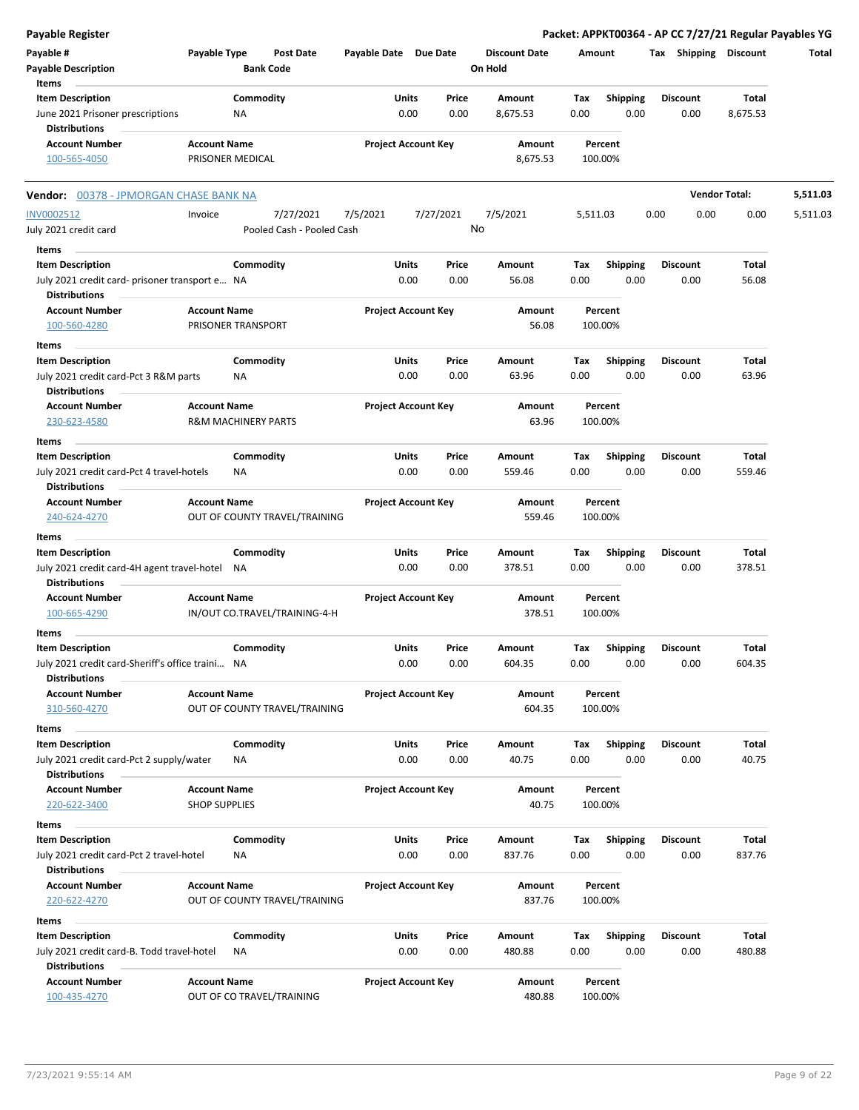| <b>Payable Register</b>                                                  |                      |                                |                       |                            |               |                      |             |                         |      |                 |                       | Packet: APPKT00364 - AP CC 7/27/21 Regular Payables YG |
|--------------------------------------------------------------------------|----------------------|--------------------------------|-----------------------|----------------------------|---------------|----------------------|-------------|-------------------------|------|-----------------|-----------------------|--------------------------------------------------------|
| Payable #                                                                | Payable Type         | <b>Post Date</b>               | Payable Date Due Date |                            |               | <b>Discount Date</b> | Amount      |                         |      |                 | Tax Shipping Discount | Total                                                  |
| <b>Payable Description</b>                                               |                      | <b>Bank Code</b>               |                       |                            |               | On Hold              |             |                         |      |                 |                       |                                                        |
| Items                                                                    |                      |                                |                       |                            |               |                      |             |                         |      |                 |                       |                                                        |
| <b>Item Description</b>                                                  |                      | Commodity                      |                       | Units                      | Price         | Amount               | Tax         | <b>Shipping</b>         |      | <b>Discount</b> | Total                 |                                                        |
| June 2021 Prisoner prescriptions                                         |                      | NA                             |                       | 0.00                       | 0.00          | 8,675.53             | 0.00        | 0.00                    |      | 0.00            | 8,675.53              |                                                        |
| <b>Distributions</b>                                                     |                      |                                |                       |                            |               |                      |             |                         |      |                 |                       |                                                        |
| <b>Account Number</b>                                                    | <b>Account Name</b>  |                                |                       | <b>Project Account Key</b> |               | Amount               |             | Percent                 |      |                 |                       |                                                        |
| 100-565-4050                                                             |                      | PRISONER MEDICAL               |                       |                            |               | 8,675.53             |             | 100.00%                 |      |                 |                       |                                                        |
| Vendor: 00378 - JPMORGAN CHASE BANK NA                                   |                      |                                |                       |                            |               |                      |             |                         |      |                 | <b>Vendor Total:</b>  | 5,511.03                                               |
| <b>INV0002512</b>                                                        | Invoice              | 7/27/2021                      | 7/5/2021              | 7/27/2021                  |               | 7/5/2021             | 5,511.03    |                         | 0.00 | 0.00            | 0.00                  | 5,511.03                                               |
| July 2021 credit card                                                    |                      | Pooled Cash - Pooled Cash      |                       |                            |               | No                   |             |                         |      |                 |                       |                                                        |
| Items                                                                    |                      |                                |                       |                            |               |                      |             |                         |      |                 |                       |                                                        |
| <b>Item Description</b>                                                  |                      | Commodity                      |                       | Units                      | Price         | Amount               | Tax         | <b>Shipping</b>         |      | <b>Discount</b> | Total                 |                                                        |
| July 2021 credit card- prisoner transport e NA<br><b>Distributions</b>   |                      |                                |                       | 0.00                       | 0.00          | 56.08                | 0.00        | 0.00                    |      | 0.00            | 56.08                 |                                                        |
| <b>Account Number</b>                                                    | <b>Account Name</b>  |                                |                       | <b>Project Account Key</b> |               | Amount               |             | Percent                 |      |                 |                       |                                                        |
| 100-560-4280                                                             |                      | PRISONER TRANSPORT             |                       |                            |               | 56.08                |             | 100.00%                 |      |                 |                       |                                                        |
|                                                                          |                      |                                |                       |                            |               |                      |             |                         |      |                 |                       |                                                        |
| Items                                                                    |                      |                                |                       |                            |               | Amount               |             |                         |      | <b>Discount</b> |                       |                                                        |
| <b>Item Description</b><br>July 2021 credit card-Pct 3 R&M parts         |                      | Commodity<br>ΝA                |                       | Units<br>0.00              | Price<br>0.00 | 63.96                | Tax<br>0.00 | <b>Shipping</b><br>0.00 |      | 0.00            | Total<br>63.96        |                                                        |
| <b>Distributions</b>                                                     |                      |                                |                       |                            |               |                      |             |                         |      |                 |                       |                                                        |
| <b>Account Number</b>                                                    | <b>Account Name</b>  |                                |                       | <b>Project Account Key</b> |               | Amount               |             | Percent                 |      |                 |                       |                                                        |
| 230-623-4580                                                             |                      | <b>R&amp;M MACHINERY PARTS</b> |                       |                            |               | 63.96                |             | 100.00%                 |      |                 |                       |                                                        |
|                                                                          |                      |                                |                       |                            |               |                      |             |                         |      |                 |                       |                                                        |
| Items                                                                    |                      |                                |                       |                            |               |                      |             |                         |      |                 |                       |                                                        |
| <b>Item Description</b>                                                  |                      | Commodity                      |                       | Units                      | Price         | Amount               | Tax         | <b>Shipping</b>         |      | <b>Discount</b> | Total                 |                                                        |
| July 2021 credit card-Pct 4 travel-hotels<br><b>Distributions</b>        |                      | ΝA                             |                       | 0.00                       | 0.00          | 559.46               | 0.00        | 0.00                    |      | 0.00            | 559.46                |                                                        |
| <b>Account Number</b>                                                    | <b>Account Name</b>  |                                |                       | <b>Project Account Key</b> |               | Amount               |             | Percent                 |      |                 |                       |                                                        |
| 240-624-4270                                                             |                      | OUT OF COUNTY TRAVEL/TRAINING  |                       |                            |               | 559.46               |             | 100.00%                 |      |                 |                       |                                                        |
|                                                                          |                      |                                |                       |                            |               |                      |             |                         |      |                 |                       |                                                        |
| Items                                                                    |                      |                                |                       |                            |               |                      |             |                         |      |                 |                       |                                                        |
| <b>Item Description</b>                                                  |                      | Commodity                      |                       | Units                      | Price         | Amount               | Tax         | <b>Shipping</b>         |      | <b>Discount</b> | Total                 |                                                        |
| July 2021 credit card-4H agent travel-hotel<br><b>Distributions</b>      |                      | ΝA                             |                       | 0.00                       | 0.00          | 378.51               | 0.00        | 0.00                    |      | 0.00            | 378.51                |                                                        |
| <b>Account Number</b>                                                    | <b>Account Name</b>  |                                |                       | <b>Project Account Key</b> |               | Amount               |             | Percent                 |      |                 |                       |                                                        |
| 100-665-4290                                                             |                      | IN/OUT CO.TRAVEL/TRAINING-4-H  |                       |                            |               | 378.51               |             | 100.00%                 |      |                 |                       |                                                        |
|                                                                          |                      |                                |                       |                            |               |                      |             |                         |      |                 |                       |                                                        |
| Items                                                                    |                      |                                |                       |                            |               |                      |             |                         |      |                 |                       |                                                        |
| <b>Item Description</b>                                                  |                      | Commodity                      |                       | Units                      | Price         | Amount               | Tax         | <b>Shipping</b>         |      | <b>Discount</b> | Total                 |                                                        |
| July 2021 credit card-Sheriff's office traini NA<br><b>Distributions</b> |                      |                                |                       | 0.00                       | 0.00          | 604.35               | 0.00        | 0.00                    |      | 0.00            | 604.35                |                                                        |
| <b>Account Number</b>                                                    | <b>Account Name</b>  |                                |                       | <b>Project Account Key</b> |               | Amount               |             | Percent                 |      |                 |                       |                                                        |
| 310-560-4270                                                             |                      | OUT OF COUNTY TRAVEL/TRAINING  |                       |                            |               | 604.35               |             | 100.00%                 |      |                 |                       |                                                        |
|                                                                          |                      |                                |                       |                            |               |                      |             |                         |      |                 |                       |                                                        |
| Items                                                                    |                      |                                |                       |                            |               |                      |             |                         |      |                 |                       |                                                        |
| <b>Item Description</b>                                                  |                      | Commodity                      |                       | Units                      | Price         | Amount               | Tax         | <b>Shipping</b>         |      | <b>Discount</b> | Total                 |                                                        |
| July 2021 credit card-Pct 2 supply/water<br><b>Distributions</b>         |                      | ΝA                             |                       | 0.00                       | 0.00          | 40.75                | 0.00        | 0.00                    |      | 0.00            | 40.75                 |                                                        |
| <b>Account Number</b>                                                    | <b>Account Name</b>  |                                |                       | <b>Project Account Key</b> |               | Amount               |             | Percent                 |      |                 |                       |                                                        |
| 220-622-3400                                                             | <b>SHOP SUPPLIES</b> |                                |                       |                            |               | 40.75                |             | 100.00%                 |      |                 |                       |                                                        |
|                                                                          |                      |                                |                       |                            |               |                      |             |                         |      |                 |                       |                                                        |
| Items                                                                    |                      |                                |                       |                            |               |                      |             |                         |      |                 |                       |                                                        |
| <b>Item Description</b>                                                  |                      | Commodity                      |                       | <b>Units</b>               | Price         | Amount               | Tax         | <b>Shipping</b>         |      | <b>Discount</b> | Total                 |                                                        |
| July 2021 credit card-Pct 2 travel-hotel                                 |                      | ΝA                             |                       | 0.00                       | 0.00          | 837.76               | 0.00        | 0.00                    |      | 0.00            | 837.76                |                                                        |
| <b>Distributions</b>                                                     |                      |                                |                       |                            |               |                      |             |                         |      |                 |                       |                                                        |
| <b>Account Number</b><br>220-622-4270                                    | <b>Account Name</b>  | OUT OF COUNTY TRAVEL/TRAINING  |                       | <b>Project Account Key</b> |               | Amount<br>837.76     |             | Percent<br>100.00%      |      |                 |                       |                                                        |
|                                                                          |                      |                                |                       |                            |               |                      |             |                         |      |                 |                       |                                                        |
| Items                                                                    |                      |                                |                       |                            |               |                      |             |                         |      |                 |                       |                                                        |
| <b>Item Description</b>                                                  |                      | Commodity                      |                       | Units                      | Price         | Amount               | Tax         | Shipping                |      | <b>Discount</b> | Total                 |                                                        |
| July 2021 credit card-B. Todd travel-hotel<br><b>Distributions</b>       |                      | NA                             |                       | 0.00                       | 0.00          | 480.88               | 0.00        | 0.00                    |      | 0.00            | 480.88                |                                                        |
| <b>Account Number</b>                                                    | <b>Account Name</b>  |                                |                       | <b>Project Account Key</b> |               | Amount               |             | Percent                 |      |                 |                       |                                                        |
| 100-435-4270                                                             |                      | OUT OF CO TRAVEL/TRAINING      |                       |                            |               | 480.88               |             | 100.00%                 |      |                 |                       |                                                        |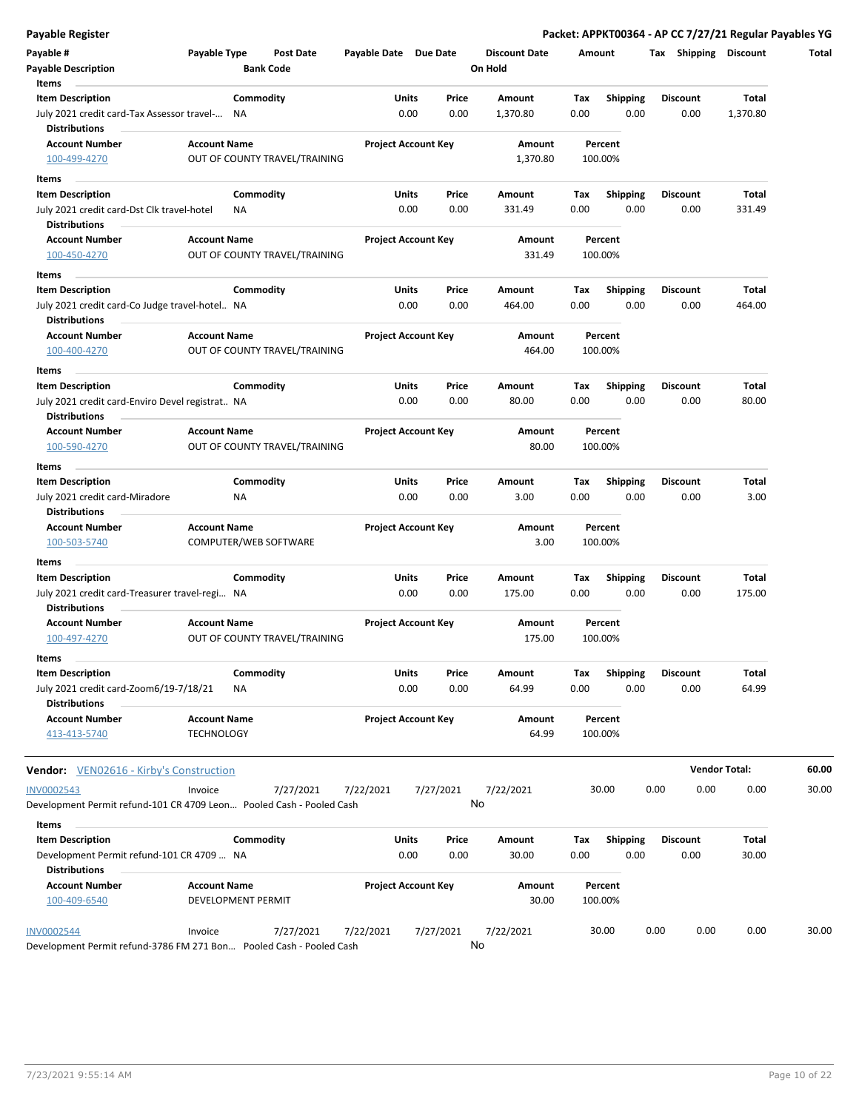|  | Payable Register |  |
|--|------------------|--|
|  |                  |  |

| Payable Register<br>Payable #                                              | Payable Type        | <b>Post Date</b>              | Payable Date Due Date |                                | <b>Discount Date</b> | Amount      |                         | Packet: APPKT00364 - AP CC 7/27/21 Regular Payables YG<br>Tax Shipping Discount |                      | Total |
|----------------------------------------------------------------------------|---------------------|-------------------------------|-----------------------|--------------------------------|----------------------|-------------|-------------------------|---------------------------------------------------------------------------------|----------------------|-------|
| <b>Payable Description</b>                                                 |                     | <b>Bank Code</b>              |                       |                                | On Hold              |             |                         |                                                                                 |                      |       |
| Items                                                                      |                     |                               |                       |                                |                      |             |                         |                                                                                 |                      |       |
| <b>Item Description</b><br>July 2021 credit card-Tax Assessor travel-      |                     | Commodity<br>NA               |                       | Units<br>Price<br>0.00<br>0.00 | Amount<br>1,370.80   | Tax<br>0.00 | <b>Shipping</b><br>0.00 | <b>Discount</b><br>0.00                                                         | Total<br>1,370.80    |       |
| <b>Distributions</b>                                                       |                     |                               |                       |                                |                      |             |                         |                                                                                 |                      |       |
| <b>Account Number</b>                                                      | <b>Account Name</b> |                               |                       | <b>Project Account Key</b>     | Amount               |             | Percent                 |                                                                                 |                      |       |
| 100-499-4270                                                               |                     | OUT OF COUNTY TRAVEL/TRAINING |                       |                                | 1,370.80             |             | 100.00%                 |                                                                                 |                      |       |
| Items                                                                      |                     |                               |                       |                                |                      |             |                         |                                                                                 |                      |       |
| <b>Item Description</b>                                                    |                     | Commodity                     |                       | Units<br>Price                 | Amount               | Tax         | <b>Shipping</b>         | <b>Discount</b>                                                                 | Total                |       |
| July 2021 credit card-Dst Clk travel-hotel<br><b>Distributions</b>         |                     | NA                            |                       | 0.00<br>0.00                   | 331.49               | 0.00        | 0.00                    | 0.00                                                                            | 331.49               |       |
| <b>Account Number</b><br>100-450-4270                                      | <b>Account Name</b> | OUT OF COUNTY TRAVEL/TRAINING |                       | <b>Project Account Key</b>     | Amount<br>331.49     |             | Percent<br>100.00%      |                                                                                 |                      |       |
| Items                                                                      |                     |                               |                       |                                |                      |             |                         |                                                                                 |                      |       |
| <b>Item Description</b>                                                    |                     | Commodity                     |                       | Units<br>Price                 | Amount               | Tax         | Shipping                | <b>Discount</b>                                                                 | Total                |       |
| July 2021 credit card-Co Judge travel-hotel NA<br><b>Distributions</b>     |                     |                               |                       | 0.00<br>0.00                   | 464.00               | 0.00        | 0.00                    | 0.00                                                                            | 464.00               |       |
| <b>Account Number</b>                                                      | <b>Account Name</b> |                               |                       | <b>Project Account Key</b>     | Amount               |             | Percent                 |                                                                                 |                      |       |
| 100-400-4270                                                               |                     | OUT OF COUNTY TRAVEL/TRAINING |                       |                                | 464.00               |             | 100.00%                 |                                                                                 |                      |       |
| <b>Items</b>                                                               |                     |                               |                       |                                |                      |             |                         |                                                                                 |                      |       |
| <b>Item Description</b><br>July 2021 credit card-Enviro Devel registrat NA |                     | Commodity                     |                       | Units<br>Price<br>0.00<br>0.00 | Amount<br>80.00      | Tax<br>0.00 | <b>Shipping</b><br>0.00 | <b>Discount</b><br>0.00                                                         | Total<br>80.00       |       |
| <b>Distributions</b>                                                       |                     |                               |                       |                                |                      |             |                         |                                                                                 |                      |       |
| <b>Account Number</b>                                                      | <b>Account Name</b> |                               |                       | <b>Project Account Key</b>     | Amount               |             | Percent                 |                                                                                 |                      |       |
| 100-590-4270                                                               |                     | OUT OF COUNTY TRAVEL/TRAINING |                       |                                | 80.00                |             | 100.00%                 |                                                                                 |                      |       |
| Items                                                                      |                     |                               |                       |                                |                      |             |                         |                                                                                 |                      |       |
| <b>Item Description</b>                                                    |                     | Commodity                     |                       | Units<br>Price                 | Amount               | Tax         | <b>Shipping</b>         | <b>Discount</b>                                                                 | Total                |       |
| July 2021 credit card-Miradore<br><b>Distributions</b>                     |                     | <b>NA</b>                     |                       | 0.00<br>0.00                   | 3.00                 | 0.00        | 0.00                    | 0.00                                                                            | 3.00                 |       |
| <b>Account Number</b>                                                      | <b>Account Name</b> |                               |                       | <b>Project Account Key</b>     | Amount               |             | Percent                 |                                                                                 |                      |       |
| 100-503-5740                                                               |                     | COMPUTER/WEB SOFTWARE         |                       |                                | 3.00                 |             | 100.00%                 |                                                                                 |                      |       |
| Items                                                                      |                     |                               |                       |                                |                      |             |                         |                                                                                 |                      |       |
| <b>Item Description</b>                                                    |                     | Commodity                     |                       | Units<br>Price                 | Amount               | Tax         | <b>Shipping</b>         | <b>Discount</b>                                                                 | Total                |       |
| July 2021 credit card-Treasurer travel-regi NA<br><b>Distributions</b>     |                     |                               |                       | 0.00<br>0.00                   | 175.00               | 0.00        | 0.00                    | 0.00                                                                            | 175.00               |       |
| <b>Account Number</b>                                                      | <b>Account Name</b> |                               |                       | <b>Project Account Key</b>     | Amount               |             | Percent                 |                                                                                 |                      |       |
| 100-497-4270                                                               |                     | OUT OF COUNTY TRAVEL/TRAINING |                       |                                | 175.00               |             | 100.00%                 |                                                                                 |                      |       |
| Items                                                                      |                     |                               |                       |                                |                      |             |                         |                                                                                 |                      |       |
| <b>Item Description</b>                                                    |                     | Commodity                     |                       | Units<br>Price                 | Amount               | Tax         | Shipping                | Discount                                                                        | Total                |       |
| July 2021 credit card-Zoom6/19-7/18/21<br><b>Distributions</b>             |                     | ΝA                            |                       | 0.00<br>0.00                   | 64.99                | 0.00        | 0.00                    | 0.00                                                                            | 64.99                |       |
| <b>Account Number</b>                                                      | <b>Account Name</b> |                               |                       | <b>Project Account Key</b>     | Amount               |             | Percent                 |                                                                                 |                      |       |
| 413-413-5740                                                               | <b>TECHNOLOGY</b>   |                               |                       |                                | 64.99                |             | 100.00%                 |                                                                                 |                      |       |
| <b>Vendor:</b> VEN02616 - Kirby's Construction                             |                     |                               |                       |                                |                      |             |                         |                                                                                 | <b>Vendor Total:</b> | 60.00 |
| INV0002543                                                                 | Invoice             | 7/27/2021                     | 7/22/2021             | 7/27/2021                      | 7/22/2021            |             | 30.00                   | 0.00<br>0.00                                                                    | 0.00                 | 30.00 |
| Development Permit refund-101 CR 4709 Leon Pooled Cash - Pooled Cash       |                     |                               |                       |                                | No                   |             |                         |                                                                                 |                      |       |
| Items                                                                      |                     |                               |                       |                                |                      |             |                         |                                                                                 |                      |       |
| <b>Item Description</b>                                                    |                     | Commodity                     |                       | Units<br>Price                 | Amount               | Tax         | <b>Shipping</b>         | <b>Discount</b>                                                                 | Total                |       |
| Development Permit refund-101 CR 4709  NA<br><b>Distributions</b>          |                     |                               |                       | 0.00<br>0.00                   | 30.00                | 0.00        | 0.00                    | 0.00                                                                            | 30.00                |       |
| <b>Account Number</b>                                                      | <b>Account Name</b> |                               |                       | <b>Project Account Key</b>     | Amount               |             | Percent                 |                                                                                 |                      |       |
| 100-409-6540                                                               |                     | DEVELOPMENT PERMIT            |                       |                                | 30.00                |             | 100.00%                 |                                                                                 |                      |       |
| <b>INV0002544</b>                                                          | Invoice             | 7/27/2021                     | 7/22/2021             | 7/27/2021                      | 7/22/2021            |             | 30.00                   | 0.00<br>0.00                                                                    | 0.00                 | 30.00 |
| Development Permit refund-3786 FM 271 Bon Pooled Cash - Pooled Cash        |                     |                               |                       |                                | No                   |             |                         |                                                                                 |                      |       |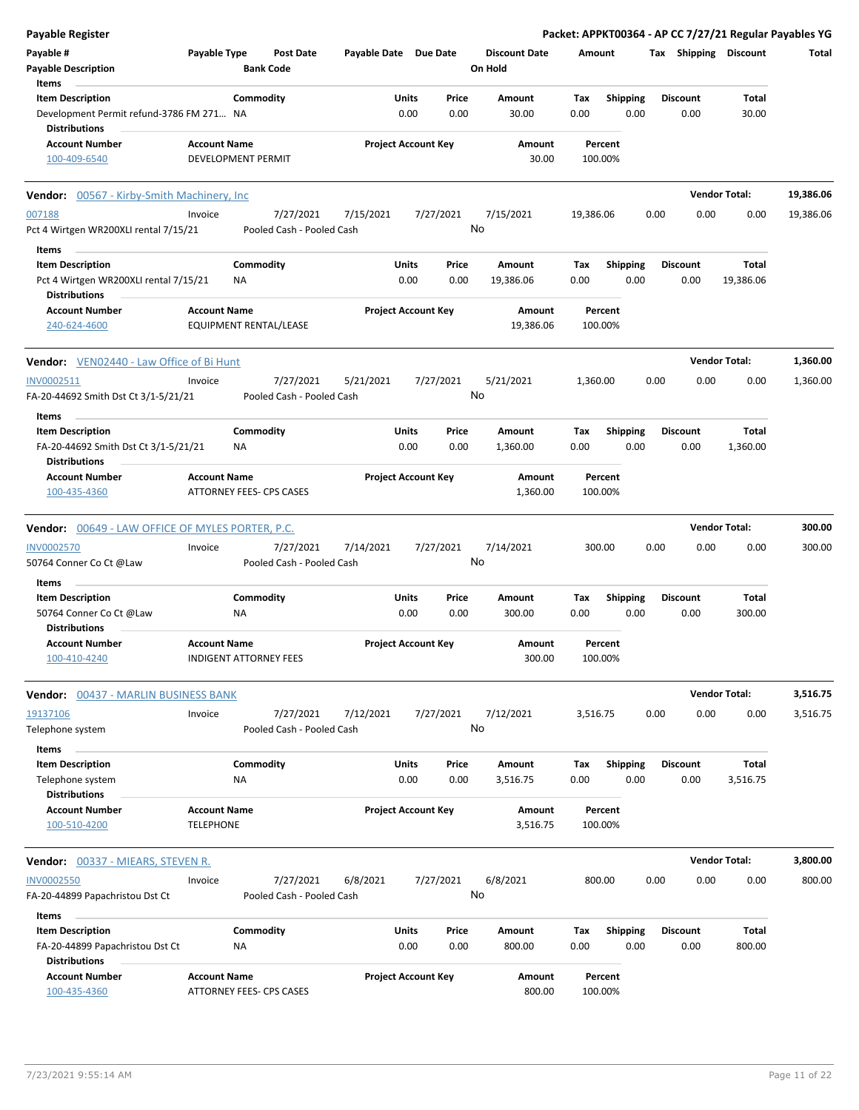| <b>Payable Register</b>                                                            |                                                        |                        |                                        |                       |               |                            |                                 |             |                         |      |                         |                      | Packet: APPKT00364 - AP CC 7/27/21 Regular Payables YG |
|------------------------------------------------------------------------------------|--------------------------------------------------------|------------------------|----------------------------------------|-----------------------|---------------|----------------------------|---------------------------------|-------------|-------------------------|------|-------------------------|----------------------|--------------------------------------------------------|
| Payable #<br><b>Payable Description</b>                                            | Payable Type                                           | <b>Bank Code</b>       | <b>Post Date</b>                       | Payable Date Due Date |               |                            | <b>Discount Date</b><br>On Hold | Amount      |                         |      | Tax Shipping Discount   |                      | Total                                                  |
| Items                                                                              |                                                        |                        |                                        |                       |               |                            |                                 |             |                         |      |                         |                      |                                                        |
| <b>Item Description</b>                                                            |                                                        | Commodity              |                                        |                       | Units         | Price                      | Amount                          | Tax         | <b>Shipping</b>         |      | <b>Discount</b>         | Total                |                                                        |
| Development Permit refund-3786 FM 271 NA                                           |                                                        |                        |                                        |                       | 0.00          | 0.00                       | 30.00                           | 0.00        | 0.00                    |      | 0.00                    | 30.00                |                                                        |
| <b>Distributions</b>                                                               |                                                        |                        |                                        |                       |               |                            |                                 |             |                         |      |                         |                      |                                                        |
| <b>Account Number</b><br>100-409-6540                                              | <b>Account Name</b><br>DEVELOPMENT PERMIT              |                        |                                        |                       |               | <b>Project Account Key</b> | Amount<br>30.00                 |             | Percent<br>100.00%      |      |                         |                      |                                                        |
| Vendor: 00567 - Kirby-Smith Machinery, Inc.                                        |                                                        |                        |                                        |                       |               |                            |                                 |             |                         |      |                         | <b>Vendor Total:</b> | 19,386.06                                              |
| 007188<br>Pct 4 Wirtgen WR200XLI rental 7/15/21                                    | Invoice                                                |                        | 7/27/2021<br>Pooled Cash - Pooled Cash | 7/15/2021             |               | 7/27/2021<br>No            | 7/15/2021                       | 19,386.06   |                         | 0.00 | 0.00                    | 0.00                 | 19,386.06                                              |
| Items                                                                              |                                                        |                        |                                        |                       |               |                            |                                 |             |                         |      |                         |                      |                                                        |
| <b>Item Description</b>                                                            |                                                        | Commodity              |                                        |                       | Units         | Price                      | Amount                          | Тах         | <b>Shipping</b>         |      | <b>Discount</b>         | Total                |                                                        |
| Pct 4 Wirtgen WR200XLI rental 7/15/21<br><b>Distributions</b>                      |                                                        | <b>NA</b>              |                                        |                       | 0.00          | 0.00                       | 19,386.06                       | 0.00        | 0.00                    |      | 0.00                    | 19,386.06            |                                                        |
| <b>Account Number</b>                                                              | <b>Account Name</b>                                    |                        |                                        |                       |               | <b>Project Account Key</b> | Amount                          |             | Percent                 |      |                         |                      |                                                        |
| 240-624-4600                                                                       | <b>EQUIPMENT RENTAL/LEASE</b>                          |                        |                                        |                       |               |                            | 19,386.06                       |             | 100.00%                 |      |                         |                      |                                                        |
| <b>Vendor:</b> VEN02440 - Law Office of Bi Hunt                                    |                                                        |                        |                                        |                       |               |                            |                                 |             |                         |      |                         | <b>Vendor Total:</b> | 1,360.00                                               |
| INV0002511                                                                         | Invoice                                                |                        | 7/27/2021                              | 5/21/2021             |               | 7/27/2021                  | 5/21/2021                       | 1,360.00    |                         | 0.00 | 0.00                    | 0.00                 | 1,360.00                                               |
| FA-20-44692 Smith Dst Ct 3/1-5/21/21                                               |                                                        |                        | Pooled Cash - Pooled Cash              |                       |               | No                         |                                 |             |                         |      |                         |                      |                                                        |
| Items                                                                              |                                                        |                        |                                        |                       |               |                            |                                 |             |                         |      |                         |                      |                                                        |
| <b>Item Description</b>                                                            |                                                        | Commodity              |                                        |                       | Units         | Price                      | Amount                          | Tax         | <b>Shipping</b>         |      | <b>Discount</b>         | Total                |                                                        |
| FA-20-44692 Smith Dst Ct 3/1-5/21/21<br><b>Distributions</b>                       |                                                        | ΝA                     |                                        |                       | 0.00          | 0.00                       | 1,360.00                        | 0.00        | 0.00                    |      | 0.00                    | 1,360.00             |                                                        |
| <b>Account Number</b><br>100-435-4360                                              | <b>Account Name</b><br><b>ATTORNEY FEES- CPS CASES</b> |                        |                                        |                       |               | <b>Project Account Key</b> | Amount<br>1,360.00              |             | Percent<br>100.00%      |      |                         |                      |                                                        |
| <b>Vendor:</b> 00649 - LAW OFFICE OF MYLES PORTER, P.C.                            |                                                        |                        |                                        |                       |               |                            |                                 |             |                         |      |                         | <b>Vendor Total:</b> | 300.00                                                 |
| <b>INV0002570</b>                                                                  | Invoice                                                |                        | 7/27/2021                              | 7/14/2021             |               | 7/27/2021                  | 7/14/2021                       |             | 300.00                  | 0.00 | 0.00                    | 0.00                 | 300.00                                                 |
| 50764 Conner Co Ct @Law                                                            |                                                        |                        | Pooled Cash - Pooled Cash              |                       |               | No                         |                                 |             |                         |      |                         |                      |                                                        |
| Items                                                                              |                                                        |                        |                                        |                       |               |                            |                                 |             |                         |      |                         |                      |                                                        |
| <b>Item Description</b>                                                            |                                                        | Commodity              |                                        |                       | Units         | Price                      | Amount                          | Тах         | <b>Shipping</b>         |      | <b>Discount</b>         | Total                |                                                        |
| 50764 Conner Co Ct @Law<br>Distributions                                           |                                                        | NA                     |                                        |                       | 0.00          | 0.00                       | 300.00                          | 0.00        | 0.00                    |      | 0.00                    | 300.00               |                                                        |
| Account Number<br>100-410-4240                                                     | <b>Account Name</b><br>INDIGENT ATTORNEY FEES          |                        |                                        |                       |               | <b>Project Account Key</b> | Amount<br>300.00                |             | Percent<br>100.00%      |      |                         |                      |                                                        |
| <b>Vendor: 00437 - MARLIN BUSINESS BANK</b>                                        |                                                        |                        |                                        |                       |               |                            |                                 |             |                         |      |                         | <b>Vendor Total:</b> | 3,516.75                                               |
| 19137106<br>Telephone system                                                       | Invoice                                                |                        | 7/27/2021<br>Pooled Cash - Pooled Cash | 7/12/2021             |               | 7/27/2021<br>No            | 7/12/2021                       | 3,516.75    |                         | 0.00 | 0.00                    | 0.00                 | 3,516.75                                               |
| Items                                                                              |                                                        |                        |                                        |                       |               |                            |                                 |             |                         |      |                         |                      |                                                        |
| <b>Item Description</b><br>Telephone system                                        |                                                        | Commodity<br>ΝA        |                                        |                       | Units<br>0.00 | Price<br>0.00              | Amount<br>3,516.75              | Tax<br>0.00 | <b>Shipping</b><br>0.00 |      | <b>Discount</b><br>0.00 | Total<br>3,516.75    |                                                        |
| <b>Distributions</b><br><b>Account Number</b>                                      |                                                        |                        |                                        |                       |               | <b>Project Account Key</b> |                                 |             |                         |      |                         |                      |                                                        |
| 100-510-4200                                                                       | <b>Account Name</b><br><b>TELEPHONE</b>                |                        |                                        |                       |               |                            | Amount<br>3,516.75              |             | Percent<br>100.00%      |      |                         |                      |                                                        |
| <b>Vendor: 00337 - MIEARS, STEVEN R.</b>                                           |                                                        |                        |                                        |                       |               |                            |                                 |             |                         |      |                         | <b>Vendor Total:</b> | 3,800.00                                               |
| <b>INV0002550</b>                                                                  | Invoice                                                |                        | 7/27/2021                              | 6/8/2021              |               | 7/27/2021                  | 6/8/2021                        |             | 800.00                  | 0.00 | 0.00                    | 0.00                 | 800.00                                                 |
| FA-20-44899 Papachristou Dst Ct                                                    |                                                        |                        | Pooled Cash - Pooled Cash              |                       |               | No                         |                                 |             |                         |      |                         |                      |                                                        |
| Items                                                                              |                                                        |                        |                                        |                       |               |                            |                                 |             |                         |      |                         |                      |                                                        |
| <b>Item Description</b><br>FA-20-44899 Papachristou Dst Ct<br><b>Distributions</b> |                                                        | Commodity<br><b>NA</b> |                                        |                       | Units<br>0.00 | Price<br>0.00              | Amount<br>800.00                | Tax<br>0.00 | <b>Shipping</b><br>0.00 |      | <b>Discount</b><br>0.00 | Total<br>800.00      |                                                        |
| <b>Account Number</b><br>100-435-4360                                              | <b>Account Name</b><br>ATTORNEY FEES- CPS CASES        |                        |                                        |                       |               | <b>Project Account Key</b> | Amount<br>800.00                |             | Percent<br>100.00%      |      |                         |                      |                                                        |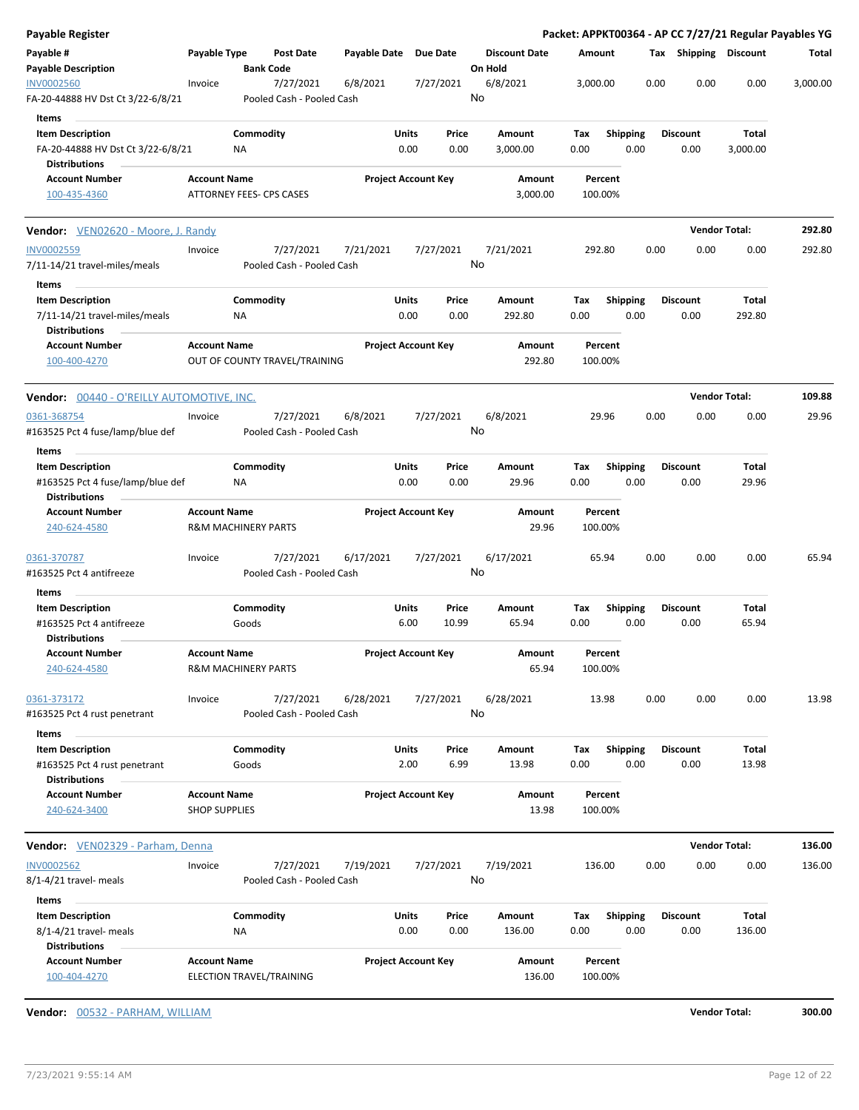| Payable Register                                                                    |                      |                                |           |              |                            |                            |         |                      |             |                 |      |      |                         |                       | Packet: APPKT00364 - AP CC 7/27/21 Regular Payables YG |
|-------------------------------------------------------------------------------------|----------------------|--------------------------------|-----------|--------------|----------------------------|----------------------------|---------|----------------------|-------------|-----------------|------|------|-------------------------|-----------------------|--------------------------------------------------------|
| Payable #<br><b>Payable Description</b>                                             | Payable Type         | <b>Bank Code</b>               | Post Date | Payable Date |                            | Due Date                   | On Hold | <b>Discount Date</b> | Amount      |                 |      |      | Tax Shipping Discount   |                       | Total                                                  |
| <b>INV0002560</b><br>FA-20-44888 HV Dst Ct 3/22-6/8/21                              | Invoice              | Pooled Cash - Pooled Cash      | 7/27/2021 | 6/8/2021     |                            | 7/27/2021                  | No      | 6/8/2021             | 3,000.00    |                 |      | 0.00 | 0.00                    | 0.00                  | 3,000.00                                               |
| Items                                                                               |                      |                                |           |              |                            |                            |         |                      |             |                 |      |      |                         |                       |                                                        |
| <b>Item Description</b><br>FA-20-44888 HV Dst Ct 3/22-6/8/21                        |                      | Commodity<br>ΝA                |           |              | Units<br>0.00              | Price<br>0.00              |         | Amount<br>3,000.00   | Tax<br>0.00 | <b>Shipping</b> | 0.00 |      | <b>Discount</b><br>0.00 | Total<br>3,000.00     |                                                        |
| <b>Distributions</b><br><b>Account Number</b>                                       | <b>Account Name</b>  |                                |           |              | <b>Project Account Key</b> |                            |         | Amount               |             | Percent         |      |      |                         |                       |                                                        |
| 100-435-4360                                                                        |                      | ATTORNEY FEES- CPS CASES       |           |              |                            |                            |         | 3,000.00             | 100.00%     |                 |      |      |                         |                       |                                                        |
| <b>Vendor:</b> VEN02620 - Moore, J. Randy                                           |                      |                                |           |              |                            |                            |         |                      |             |                 |      |      | <b>Vendor Total:</b>    |                       | 292.80                                                 |
| <b>INV0002559</b><br>7/11-14/21 travel-miles/meals                                  | Invoice              | Pooled Cash - Pooled Cash      | 7/27/2021 | 7/21/2021    |                            | 7/27/2021                  | No      | 7/21/2021            | 292.80      |                 |      | 0.00 | 0.00                    | 0.00                  | 292.80                                                 |
| Items                                                                               |                      |                                |           |              |                            |                            |         |                      |             |                 |      |      |                         |                       |                                                        |
| <b>Item Description</b><br>7/11-14/21 travel-miles/meals<br><b>Distributions</b>    |                      | Commodity<br>ΝA                |           |              | Units<br>0.00              | Price<br>0.00              |         | Amount<br>292.80     | Tax<br>0.00 | <b>Shipping</b> | 0.00 |      | <b>Discount</b><br>0.00 | Total<br>292.80       |                                                        |
| <b>Account Number</b><br>100-400-4270                                               | <b>Account Name</b>  | OUT OF COUNTY TRAVEL/TRAINING  |           |              | <b>Project Account Key</b> |                            |         | Amount<br>292.80     | 100.00%     | Percent         |      |      |                         |                       |                                                        |
| Vendor: 00440 - O'REILLY AUTOMOTIVE, INC.                                           |                      |                                |           |              |                            |                            |         |                      |             |                 |      |      | <b>Vendor Total:</b>    |                       | 109.88                                                 |
| 0361-368754                                                                         | Invoice              |                                | 7/27/2021 | 6/8/2021     |                            | 7/27/2021                  |         | 6/8/2021             |             | 29.96           |      | 0.00 | 0.00                    | 0.00                  | 29.96                                                  |
| #163525 Pct 4 fuse/lamp/blue def                                                    |                      | Pooled Cash - Pooled Cash      |           |              |                            |                            | No      |                      |             |                 |      |      |                         |                       |                                                        |
| Items                                                                               |                      |                                |           |              |                            |                            |         |                      |             |                 |      |      |                         |                       |                                                        |
| <b>Item Description</b><br>#163525 Pct 4 fuse/lamp/blue def<br><b>Distributions</b> |                      | Commodity<br>ΝA                |           |              | Units<br>0.00              | Price<br>0.00              |         | Amount<br>29.96      | Tax<br>0.00 | <b>Shipping</b> | 0.00 |      | <b>Discount</b><br>0.00 | Total<br>29.96        |                                                        |
| <b>Account Number</b><br>240-624-4580                                               | <b>Account Name</b>  | <b>R&amp;M MACHINERY PARTS</b> |           |              | <b>Project Account Key</b> |                            |         | Amount<br>29.96      | 100.00%     | Percent         |      |      |                         |                       |                                                        |
| 0361-370787<br>#163525 Pct 4 antifreeze                                             | Invoice              | Pooled Cash - Pooled Cash      | 7/27/2021 | 6/17/2021    |                            | 7/27/2021                  | No      | 6/17/2021            |             | 65.94           |      | 0.00 | 0.00                    | 0.00                  | 65.94                                                  |
| Items                                                                               |                      |                                |           |              |                            |                            |         |                      |             |                 |      |      |                         |                       |                                                        |
| <b>Item Description</b><br>#163525 Pct 4 antifreeze<br><b>Distributions</b>         |                      | Commodity<br>Goods             |           |              | Units<br>6.00              | Price<br>10.99             |         | Amount<br>65.94      | Tax<br>0.00 | <b>Shipping</b> | 0.00 |      | <b>Discount</b><br>0.00 | Total<br>65.94        |                                                        |
| <b>Account Number</b><br>240-624-4580                                               | <b>Account Name</b>  | <b>R&amp;M MACHINERY PARTS</b> |           |              |                            | <b>Project Account Key</b> |         | Amount<br>65.94      | 100.00%     | Percent         |      |      |                         |                       |                                                        |
| 0361-373172<br>#163525 Pct 4 rust penetrant                                         | Invoice              | Pooled Cash - Pooled Cash      | 7/27/2021 | 6/28/2021    |                            | 7/27/2021                  | No      | 6/28/2021            |             | 13.98           |      | 0.00 | 0.00                    | 0.00                  | 13.98                                                  |
| Items                                                                               |                      |                                |           |              |                            |                            |         |                      |             |                 |      |      |                         |                       |                                                        |
| <b>Item Description</b><br>#163525 Pct 4 rust penetrant                             |                      | Commodity<br>Goods             |           |              | Units<br>2.00              | Price<br>6.99              |         | Amount<br>13.98      | Tax<br>0.00 | <b>Shipping</b> | 0.00 |      | <b>Discount</b><br>0.00 | <b>Total</b><br>13.98 |                                                        |
| <b>Distributions</b><br><b>Account Number</b>                                       | <b>Account Name</b>  |                                |           |              | <b>Project Account Key</b> |                            |         | Amount               |             | Percent         |      |      |                         |                       |                                                        |
| 240-624-3400                                                                        | <b>SHOP SUPPLIES</b> |                                |           |              |                            |                            |         | 13.98                | 100.00%     |                 |      |      |                         |                       |                                                        |
| Vendor: VEN02329 - Parham, Denna                                                    |                      |                                |           |              |                            |                            |         |                      |             |                 |      |      | <b>Vendor Total:</b>    |                       | 136.00                                                 |
| <b>INV0002562</b><br>8/1-4/21 travel- meals                                         | Invoice              | Pooled Cash - Pooled Cash      | 7/27/2021 | 7/19/2021    |                            | 7/27/2021                  | No      | 7/19/2021            | 136.00      |                 |      | 0.00 | 0.00                    | 0.00                  | 136.00                                                 |
| Items                                                                               |                      |                                |           |              |                            |                            |         |                      |             |                 |      |      |                         |                       |                                                        |
| <b>Item Description</b>                                                             |                      | Commodity                      |           |              | <b>Units</b>               | Price                      |         | Amount               | Tax         | Shipping        |      |      | <b>Discount</b>         | Total                 |                                                        |
| 8/1-4/21 travel- meals<br><b>Distributions</b>                                      |                      | ΝA                             |           |              | 0.00                       | 0.00                       |         | 136.00               | 0.00        |                 | 0.00 |      | 0.00                    | 136.00                |                                                        |
| <b>Account Number</b><br>100-404-4270                                               | <b>Account Name</b>  | ELECTION TRAVEL/TRAINING       |           |              | <b>Project Account Key</b> |                            |         | Amount<br>136.00     | 100.00%     | Percent         |      |      |                         |                       |                                                        |

**Vendor:** 00532 - PARHAM, WILLIAM **Vendor Total: 300.00**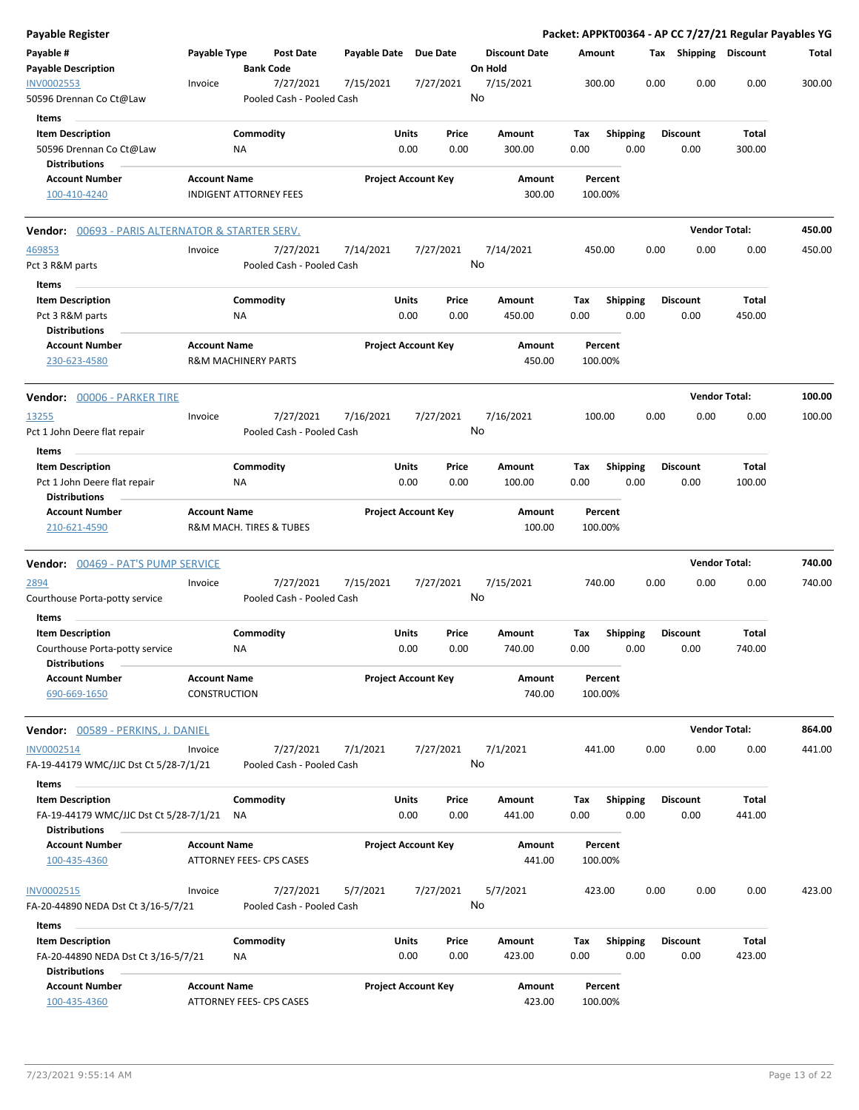| Payable Register                                                                       |                                            |                                |                                        |                       |                                |                                 |             |                         |      |                         | Packet: APPKT00364 - AP CC 7/27/21 Regular Payables YG |        |
|----------------------------------------------------------------------------------------|--------------------------------------------|--------------------------------|----------------------------------------|-----------------------|--------------------------------|---------------------------------|-------------|-------------------------|------|-------------------------|--------------------------------------------------------|--------|
| Payable #<br><b>Payable Description</b>                                                | Payable Type                               | <b>Bank Code</b>               | <b>Post Date</b>                       | Payable Date Due Date |                                | <b>Discount Date</b><br>On Hold |             | Amount                  |      | Tax Shipping Discount   |                                                        | Total  |
| <b>INV0002553</b><br>50596 Drennan Co Ct@Law                                           | Invoice                                    |                                | 7/27/2021<br>Pooled Cash - Pooled Cash | 7/15/2021             | 7/27/2021                      | 7/15/2021<br>No                 |             | 300.00                  | 0.00 | 0.00                    | 0.00                                                   | 300.00 |
| <b>Items</b>                                                                           |                                            |                                |                                        |                       |                                |                                 |             |                         |      |                         |                                                        |        |
| <b>Item Description</b><br>50596 Drennan Co Ct@Law<br><b>Distributions</b>             |                                            | Commodity<br>ΝA                |                                        |                       | Units<br>Price<br>0.00<br>0.00 | Amount<br>300.00                | Tax<br>0.00 | <b>Shipping</b><br>0.00 |      | <b>Discount</b><br>0.00 | Total<br>300.00                                        |        |
| <b>Account Number</b><br>100-410-4240                                                  | <b>Account Name</b>                        | <b>INDIGENT ATTORNEY FEES</b>  |                                        |                       | <b>Project Account Key</b>     | Amount<br>300.00                |             | Percent<br>100.00%      |      |                         |                                                        |        |
| <b>Vendor:</b> 00693 - PARIS ALTERNATOR & STARTER SERV.                                |                                            |                                |                                        |                       |                                |                                 |             |                         |      | <b>Vendor Total:</b>    |                                                        | 450.00 |
|                                                                                        |                                            |                                |                                        |                       |                                |                                 |             |                         |      |                         |                                                        |        |
| 469853<br>Pct 3 R&M parts                                                              | Invoice                                    |                                | 7/27/2021<br>Pooled Cash - Pooled Cash | 7/14/2021             | 7/27/2021                      | 7/14/2021<br>No                 |             | 450.00                  | 0.00 | 0.00                    | 0.00                                                   | 450.00 |
| Items                                                                                  |                                            |                                |                                        |                       |                                |                                 |             |                         |      |                         |                                                        |        |
| <b>Item Description</b><br>Pct 3 R&M parts                                             |                                            | Commodity<br>ΝA                |                                        |                       | Units<br>Price<br>0.00<br>0.00 | Amount<br>450.00                | Tax<br>0.00 | <b>Shipping</b><br>0.00 |      | <b>Discount</b><br>0.00 | Total<br>450.00                                        |        |
| <b>Distributions</b><br><b>Account Number</b><br>230-623-4580                          | <b>Account Name</b>                        | <b>R&amp;M MACHINERY PARTS</b> |                                        |                       | <b>Project Account Key</b>     | Amount<br>450.00                |             | Percent<br>100.00%      |      |                         |                                                        |        |
| Vendor: 00006 - PARKER TIRE                                                            |                                            |                                |                                        |                       |                                |                                 |             |                         |      | <b>Vendor Total:</b>    |                                                        | 100.00 |
| <u> 13255 </u><br>Pct 1 John Deere flat repair                                         | Invoice                                    |                                | 7/27/2021<br>Pooled Cash - Pooled Cash | 7/16/2021             | 7/27/2021                      | 7/16/2021<br>No                 |             | 100.00                  | 0.00 | 0.00                    | 0.00                                                   | 100.00 |
| Items                                                                                  |                                            |                                |                                        |                       |                                |                                 |             |                         |      |                         |                                                        |        |
| <b>Item Description</b><br>Pct 1 John Deere flat repair<br><b>Distributions</b>        |                                            | Commodity<br>ΝA                |                                        |                       | Units<br>Price<br>0.00<br>0.00 | Amount<br>100.00                | Tax<br>0.00 | <b>Shipping</b><br>0.00 |      | <b>Discount</b><br>0.00 | Total<br>100.00                                        |        |
| <b>Account Number</b><br>210-621-4590                                                  | <b>Account Name</b>                        |                                | R&M MACH. TIRES & TUBES                |                       | <b>Project Account Key</b>     | Amount<br>100.00                |             | Percent<br>100.00%      |      |                         |                                                        |        |
| <b>Vendor:</b> 00469 - PAT'S PUMP SERVICE                                              |                                            |                                |                                        |                       |                                |                                 |             |                         |      | <b>Vendor Total:</b>    |                                                        | 740.00 |
| <u> 2894</u><br>Courthouse Porta-potty service                                         | Invoice                                    |                                | 7/27/2021<br>Pooled Cash - Pooled Cash | 7/15/2021             | 7/27/2021                      | 7/15/2021<br>No                 |             | 740.00                  | 0.00 | 0.00                    | 0.00                                                   | 740.00 |
| Items<br><b>Item Description</b>                                                       |                                            | Commodity                      |                                        |                       | Units<br>Price                 | Amount                          | Tax         | <b>Shipping</b>         |      | <b>Discount</b>         | Total                                                  |        |
| Courthouse Porta-potty service<br><b>Distributions</b>                                 |                                            | ΝA                             |                                        |                       | 0.00<br>0.00                   | 740.00                          | 0.00        | 0.00                    |      | 0.00                    | 740.00                                                 |        |
| <b>Account Number</b><br>690-669-1650                                                  | <b>Account Name</b><br><b>CONSTRUCTION</b> |                                |                                        |                       | <b>Project Account Key</b>     | Amount<br>740.00                |             | Percent<br>100.00%      |      |                         |                                                        |        |
| <b>Vendor:</b> 00589 - PERKINS, J. DANIEL                                              |                                            |                                |                                        |                       |                                |                                 |             |                         |      | <b>Vendor Total:</b>    |                                                        | 864.00 |
| INV0002514<br>FA-19-44179 WMC/JJC Dst Ct 5/28-7/1/21                                   | Invoice                                    |                                | 7/27/2021<br>Pooled Cash - Pooled Cash | 7/1/2021              | 7/27/2021                      | 7/1/2021<br>No                  |             | 441.00                  | 0.00 | 0.00                    | 0.00                                                   | 441.00 |
| Items                                                                                  |                                            |                                |                                        |                       |                                |                                 |             |                         |      |                         |                                                        |        |
| <b>Item Description</b><br>FA-19-44179 WMC/JJC Dst Ct 5/28-7/1/21                      |                                            | Commodity<br>ΝA                |                                        |                       | Units<br>Price<br>0.00<br>0.00 | Amount<br>441.00                | Tax<br>0.00 | <b>Shipping</b><br>0.00 |      | Discount<br>0.00        | Total<br>441.00                                        |        |
| <b>Distributions</b>                                                                   |                                            |                                |                                        |                       |                                |                                 |             |                         |      |                         |                                                        |        |
| <b>Account Number</b><br>100-435-4360                                                  | <b>Account Name</b>                        |                                | ATTORNEY FEES- CPS CASES               |                       | <b>Project Account Key</b>     | Amount<br>441.00                |             | Percent<br>100.00%      |      |                         |                                                        |        |
| INV0002515<br>FA-20-44890 NEDA Dst Ct 3/16-5/7/21                                      | Invoice                                    |                                | 7/27/2021<br>Pooled Cash - Pooled Cash | 5/7/2021              | 7/27/2021                      | 5/7/2021<br>No                  |             | 423.00                  | 0.00 | 0.00                    | 0.00                                                   | 423.00 |
| Items                                                                                  |                                            |                                |                                        |                       |                                |                                 |             |                         |      |                         |                                                        |        |
| <b>Item Description</b><br>FA-20-44890 NEDA Dst Ct 3/16-5/7/21<br><b>Distributions</b> |                                            | Commodity<br>ΝA                |                                        |                       | Units<br>Price<br>0.00<br>0.00 | Amount<br>423.00                | Tax<br>0.00 | Shipping<br>0.00        |      | <b>Discount</b><br>0.00 | Total<br>423.00                                        |        |
| <b>Account Number</b><br>100-435-4360                                                  | <b>Account Name</b>                        | ATTORNEY FEES- CPS CASES       |                                        |                       | <b>Project Account Key</b>     | Amount<br>423.00                |             | Percent<br>100.00%      |      |                         |                                                        |        |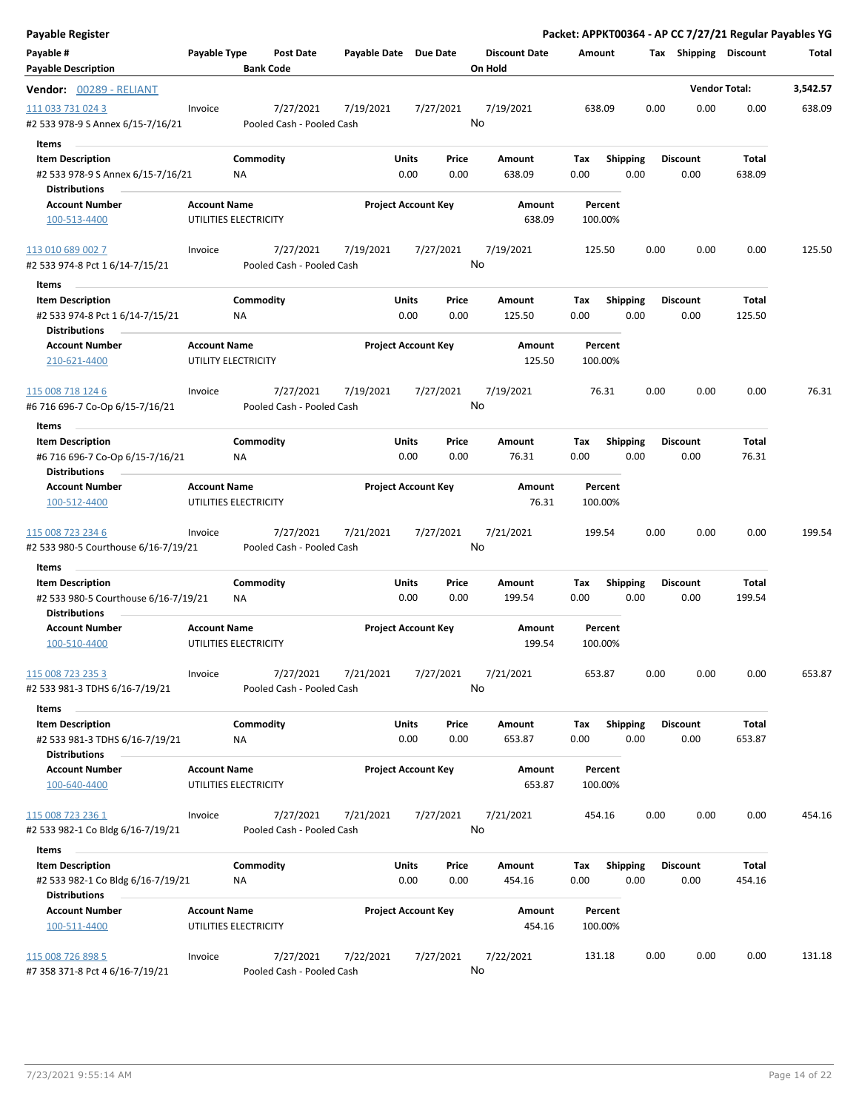| Payable Register                                             |                     |                                        |                       |                            |               |                                 |                    |                         |      |                         | Packet: APPKT00364 - AP CC 7/27/21 Regular Payables YG |          |
|--------------------------------------------------------------|---------------------|----------------------------------------|-----------------------|----------------------------|---------------|---------------------------------|--------------------|-------------------------|------|-------------------------|--------------------------------------------------------|----------|
| Payable #<br><b>Payable Description</b>                      | Payable Type        | <b>Post Date</b><br><b>Bank Code</b>   | Payable Date Due Date |                            |               | <b>Discount Date</b><br>On Hold | Amount             |                         |      |                         | Tax Shipping Discount                                  | Total    |
| <b>Vendor:</b> 00289 - RELIANT                               |                     |                                        |                       |                            |               |                                 |                    |                         |      | <b>Vendor Total:</b>    |                                                        | 3,542.57 |
| 111 033 731 024 3<br>#2 533 978-9 S Annex 6/15-7/16/21       | Invoice             | 7/27/2021<br>Pooled Cash - Pooled Cash | 7/19/2021             | 7/27/2021                  |               | 7/19/2021<br>No                 | 638.09             |                         | 0.00 | 0.00                    | 0.00                                                   | 638.09   |
| <b>Items</b>                                                 |                     |                                        |                       |                            |               |                                 |                    |                         |      |                         |                                                        |          |
| <b>Item Description</b>                                      |                     | Commodity                              |                       | Units                      | Price         | Amount                          | Tax                | <b>Shipping</b>         |      | <b>Discount</b>         | Total                                                  |          |
| #2 533 978-9 S Annex 6/15-7/16/21<br><b>Distributions</b>    |                     | ΝA                                     |                       | 0.00                       | 0.00          | 638.09                          | 0.00               | 0.00                    |      | 0.00                    | 638.09                                                 |          |
| <b>Account Number</b>                                        | <b>Account Name</b> |                                        |                       | <b>Project Account Key</b> |               | Amount                          | Percent            |                         |      |                         |                                                        |          |
| 100-513-4400                                                 |                     | UTILITIES ELECTRICITY                  |                       |                            |               | 638.09                          | 100.00%            |                         |      |                         |                                                        |          |
| 113 010 689 002 7<br>#2 533 974-8 Pct 1 6/14-7/15/21         | Invoice             | 7/27/2021<br>Pooled Cash - Pooled Cash | 7/19/2021             | 7/27/2021                  |               | 7/19/2021<br>No                 | 125.50             |                         | 0.00 | 0.00                    | 0.00                                                   | 125.50   |
| Items                                                        |                     |                                        |                       |                            |               |                                 |                    |                         |      |                         |                                                        |          |
| <b>Item Description</b>                                      |                     | Commodity                              |                       | Units                      | Price         | Amount                          | Tax                | <b>Shipping</b>         |      | <b>Discount</b>         | Total                                                  |          |
| #2 533 974-8 Pct 1 6/14-7/15/21<br><b>Distributions</b>      |                     | <b>NA</b>                              |                       | 0.00                       | 0.00          | 125.50                          | 0.00               | 0.00                    |      | 0.00                    | 125.50                                                 |          |
| <b>Account Number</b><br>210-621-4400                        | <b>Account Name</b> | UTILITY ELECTRICITY                    |                       | <b>Project Account Key</b> |               | Amount<br>125.50                | Percent<br>100.00% |                         |      |                         |                                                        |          |
| 115 008 718 124 6<br>#6 716 696-7 Co-Op 6/15-7/16/21         | Invoice             | 7/27/2021<br>Pooled Cash - Pooled Cash | 7/19/2021             | 7/27/2021                  |               | 7/19/2021<br>No                 | 76.31              |                         | 0.00 | 0.00                    | 0.00                                                   | 76.31    |
| Items                                                        |                     |                                        |                       |                            |               |                                 |                    |                         |      |                         |                                                        |          |
| <b>Item Description</b>                                      |                     | Commodity                              |                       | Units                      | Price         | Amount                          | Tax                | <b>Shipping</b>         |      | <b>Discount</b>         | Total                                                  |          |
| #6 716 696-7 Co-Op 6/15-7/16/21<br><b>Distributions</b>      |                     | ΝA                                     |                       | 0.00                       | 0.00          | 76.31                           | 0.00               | 0.00                    |      | 0.00                    | 76.31                                                  |          |
| <b>Account Number</b>                                        | <b>Account Name</b> |                                        |                       | <b>Project Account Key</b> |               | Amount                          | Percent            |                         |      |                         |                                                        |          |
| 100-512-4400                                                 |                     | UTILITIES ELECTRICITY                  |                       |                            |               | 76.31                           | 100.00%            |                         |      |                         |                                                        |          |
| 115 008 723 234 6<br>#2 533 980-5 Courthouse 6/16-7/19/21    | Invoice             | 7/27/2021<br>Pooled Cash - Pooled Cash | 7/21/2021             | 7/27/2021                  |               | 7/21/2021<br>No                 | 199.54             |                         | 0.00 | 0.00                    | 0.00                                                   | 199.54   |
| Items                                                        |                     |                                        |                       |                            |               |                                 |                    |                         |      |                         |                                                        |          |
| <b>Item Description</b>                                      |                     | Commodity                              |                       | Units                      | Price         | Amount                          | Tax                | <b>Shipping</b>         |      | <b>Discount</b>         | Total                                                  |          |
| #2 533 980-5 Courthouse 6/16-7/19/21<br><b>Distributions</b> |                     | ΝA                                     |                       | 0.00                       | 0.00          | 199.54                          | 0.00               | 0.00                    |      | 0.00                    | 199.54                                                 |          |
| <b>Account Number</b><br>100-510-4400                        | <b>Account Name</b> | UTILITIES ELECTRICITY                  |                       | <b>Project Account Key</b> |               | Amount<br>199.54                | Percent<br>100.00% |                         |      |                         |                                                        |          |
| 115 008 723 235 3                                            | Invoice             | 7/27/2021                              | 7/21/2021             | 7/27/2021                  |               | 7/21/2021                       | 653.87             |                         | 0.00 | 0.00                    | 0.00                                                   | 653.87   |
| #2 533 981-3 TDHS 6/16-7/19/21                               |                     | Pooled Cash - Pooled Cash              |                       |                            |               | No                              |                    |                         |      |                         |                                                        |          |
| Items                                                        |                     |                                        |                       |                            |               |                                 |                    |                         |      |                         |                                                        |          |
| <b>Item Description</b><br>#2 533 981-3 TDHS 6/16-7/19/21    |                     | Commodity<br>ΝA                        |                       | Units<br>0.00              | Price<br>0.00 | Amount<br>653.87                | Tax<br>0.00        | <b>Shipping</b><br>0.00 |      | <b>Discount</b><br>0.00 | Total<br>653.87                                        |          |
| <b>Distributions</b><br><b>Account Number</b>                | <b>Account Name</b> |                                        |                       | <b>Project Account Key</b> |               | Amount                          | Percent            |                         |      |                         |                                                        |          |
| 100-640-4400                                                 |                     | UTILITIES ELECTRICITY                  |                       |                            |               | 653.87                          | 100.00%            |                         |      |                         |                                                        |          |
| 115 008 723 236 1<br>#2 533 982-1 Co Bldg 6/16-7/19/21       | Invoice             | 7/27/2021<br>Pooled Cash - Pooled Cash | 7/21/2021             | 7/27/2021                  |               | 7/21/2021<br>No                 | 454.16             |                         | 0.00 | 0.00                    | 0.00                                                   | 454.16   |
| Items                                                        |                     |                                        |                       |                            |               |                                 |                    |                         |      |                         |                                                        |          |
| <b>Item Description</b><br>#2 533 982-1 Co Bldg 6/16-7/19/21 |                     | Commodity<br>ΝA                        |                       | Units<br>0.00              | Price<br>0.00 | Amount<br>454.16                | Tax<br>0.00        | <b>Shipping</b><br>0.00 |      | <b>Discount</b><br>0.00 | Total<br>454.16                                        |          |
| <b>Distributions</b>                                         |                     |                                        |                       |                            |               |                                 |                    |                         |      |                         |                                                        |          |
| <b>Account Number</b><br>100-511-4400                        | <b>Account Name</b> | UTILITIES ELECTRICITY                  |                       | <b>Project Account Key</b> |               | Amount<br>454.16                | Percent<br>100.00% |                         |      |                         |                                                        |          |
| 115 008 726 898 5                                            | Invoice             | 7/27/2021                              | 7/22/2021             | 7/27/2021                  |               | 7/22/2021                       | 131.18             |                         | 0.00 | 0.00                    | 0.00                                                   | 131.18   |
| #7 358 371-8 Pct 4 6/16-7/19/21                              |                     | Pooled Cash - Pooled Cash              |                       |                            |               | No                              |                    |                         |      |                         |                                                        |          |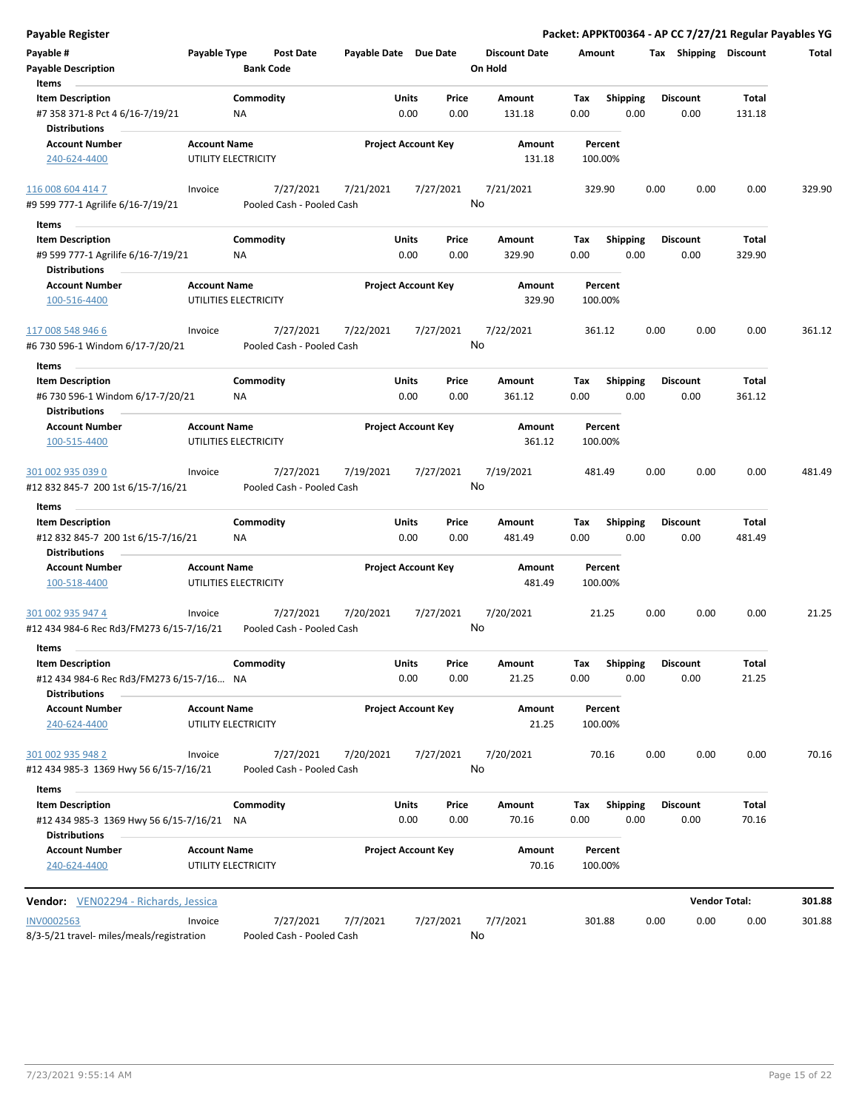| <b>Payable Register</b>                                             |                     |                       |                           |                       |                            |               |                      |             |                         |      |                         | Packet: APPKT00364 - AP CC 7/27/21 Regular Payables YG |        |
|---------------------------------------------------------------------|---------------------|-----------------------|---------------------------|-----------------------|----------------------------|---------------|----------------------|-------------|-------------------------|------|-------------------------|--------------------------------------------------------|--------|
| Payable #                                                           | Payable Type        |                       | <b>Post Date</b>          | Payable Date Due Date |                            |               | <b>Discount Date</b> | Amount      |                         |      | Tax Shipping Discount   |                                                        | Total  |
| <b>Payable Description</b>                                          |                     | <b>Bank Code</b>      |                           |                       |                            |               | On Hold              |             |                         |      |                         |                                                        |        |
| Items                                                               |                     |                       |                           |                       |                            |               |                      |             |                         |      |                         |                                                        |        |
| <b>Item Description</b>                                             |                     | Commodity             |                           |                       | Units                      | Price         | Amount               | Tax         | <b>Shipping</b>         |      | <b>Discount</b>         | Total                                                  |        |
| #7 358 371-8 Pct 4 6/16-7/19/21<br><b>Distributions</b>             |                     | <b>NA</b>             |                           |                       | 0.00                       | 0.00          | 131.18               | 0.00        | 0.00                    |      | 0.00                    | 131.18                                                 |        |
| <b>Account Number</b>                                               | <b>Account Name</b> |                       |                           |                       | <b>Project Account Key</b> |               | Amount               |             | Percent                 |      |                         |                                                        |        |
| 240-624-4400                                                        |                     | UTILITY ELECTRICITY   |                           |                       |                            |               | 131.18               |             | 100.00%                 |      |                         |                                                        |        |
| 116 008 604 414 7                                                   | Invoice             |                       | 7/27/2021                 | 7/21/2021             |                            | 7/27/2021     | 7/21/2021            |             | 329.90                  | 0.00 | 0.00                    | 0.00                                                   | 329.90 |
| #9 599 777-1 Agrilife 6/16-7/19/21                                  |                     |                       | Pooled Cash - Pooled Cash |                       |                            |               | No                   |             |                         |      |                         |                                                        |        |
| Items                                                               |                     |                       |                           |                       |                            |               |                      |             |                         |      |                         |                                                        |        |
| <b>Item Description</b><br>#9 599 777-1 Agrilife 6/16-7/19/21       |                     | Commodity<br>ΝA       |                           |                       | Units<br>0.00              | Price<br>0.00 | Amount<br>329.90     | Tax<br>0.00 | <b>Shipping</b><br>0.00 |      | <b>Discount</b><br>0.00 | Total<br>329.90                                        |        |
| <b>Distributions</b>                                                |                     |                       |                           |                       |                            |               |                      |             |                         |      |                         |                                                        |        |
| <b>Account Number</b><br>100-516-4400                               | <b>Account Name</b> | UTILITIES ELECTRICITY |                           |                       | <b>Project Account Key</b> |               | Amount<br>329.90     |             | Percent<br>100.00%      |      |                         |                                                        |        |
| 117 008 548 946 6                                                   | Invoice             |                       | 7/27/2021                 | 7/22/2021             |                            | 7/27/2021     | 7/22/2021            |             | 361.12                  | 0.00 | 0.00                    | 0.00                                                   | 361.12 |
| #6 730 596-1 Windom 6/17-7/20/21                                    |                     |                       | Pooled Cash - Pooled Cash |                       |                            |               | No                   |             |                         |      |                         |                                                        |        |
| Items                                                               |                     |                       |                           |                       |                            |               |                      |             |                         |      |                         |                                                        |        |
| <b>Item Description</b>                                             |                     | Commodity             |                           |                       | Units                      | Price         | Amount               | Tax         | <b>Shipping</b>         |      | <b>Discount</b>         | Total                                                  |        |
| #6 730 596-1 Windom 6/17-7/20/21<br><b>Distributions</b>            |                     | <b>NA</b>             |                           |                       | 0.00                       | 0.00          | 361.12               | 0.00        | 0.00                    |      | 0.00                    | 361.12                                                 |        |
| <b>Account Number</b>                                               | <b>Account Name</b> |                       |                           |                       | <b>Project Account Key</b> |               | <b>Amount</b>        |             | Percent                 |      |                         |                                                        |        |
| 100-515-4400                                                        |                     | UTILITIES ELECTRICITY |                           |                       |                            |               | 361.12               |             | 100.00%                 |      |                         |                                                        |        |
| 301 002 935 039 0                                                   | Invoice             |                       | 7/27/2021                 | 7/19/2021             |                            | 7/27/2021     | 7/19/2021            |             | 481.49                  | 0.00 | 0.00                    | 0.00                                                   | 481.49 |
| #12 832 845-7 200 1st 6/15-7/16/21                                  |                     |                       | Pooled Cash - Pooled Cash |                       |                            |               | No                   |             |                         |      |                         |                                                        |        |
| Items                                                               |                     |                       |                           |                       |                            |               |                      |             |                         |      |                         |                                                        |        |
| <b>Item Description</b>                                             |                     | Commodity             |                           |                       | Units                      | Price         | Amount               | Tax         | <b>Shipping</b>         |      | <b>Discount</b>         | Total                                                  |        |
| #12 832 845-7 200 1st 6/15-7/16/21                                  |                     | <b>NA</b>             |                           |                       | 0.00                       | 0.00          | 481.49               | 0.00        | 0.00                    |      | 0.00                    | 481.49                                                 |        |
| <b>Distributions</b>                                                |                     |                       |                           |                       |                            |               |                      |             |                         |      |                         |                                                        |        |
| <b>Account Number</b><br>100-518-4400                               | <b>Account Name</b> | UTILITIES ELECTRICITY |                           |                       | <b>Project Account Key</b> |               | Amount<br>481.49     |             | Percent<br>100.00%      |      |                         |                                                        |        |
| 301 002 935 947 4                                                   | Invoice             |                       | 7/27/2021                 | 7/20/2021             |                            | 7/27/2021     | 7/20/2021            |             | 21.25                   | 0.00 | 0.00                    | 0.00                                                   | 21.25  |
| #12 434 984-6 Rec Rd3/FM273 6/15-7/16/21                            |                     |                       | Pooled Cash - Pooled Cash |                       |                            |               | No                   |             |                         |      |                         |                                                        |        |
| Items                                                               |                     |                       |                           |                       |                            |               |                      |             |                         |      |                         |                                                        |        |
| <b>Item Description</b><br>#12 434 984-6 Rec Rd3/FM273 6/15-7/16 NA |                     | Commodity             |                           |                       | Units<br>0.00              | Price<br>0.00 | Amount<br>21.25      | Tax<br>0.00 | <b>Shipping</b><br>0.00 |      | <b>Discount</b><br>0.00 | Total<br>21.25                                         |        |
| <b>Distributions</b>                                                |                     |                       |                           |                       |                            |               |                      |             |                         |      |                         |                                                        |        |
| <b>Account Number</b><br>240-624-4400                               | <b>Account Name</b> | UTILITY ELECTRICITY   |                           |                       | <b>Project Account Key</b> |               | Amount<br>21.25      |             | Percent<br>100.00%      |      |                         |                                                        |        |
| 301 002 935 948 2                                                   | Invoice             |                       | 7/27/2021                 | 7/20/2021             |                            | 7/27/2021     | 7/20/2021            |             | 70.16                   | 0.00 | 0.00                    | 0.00                                                   | 70.16  |
| #12 434 985-3 1369 Hwy 56 6/15-7/16/21                              |                     |                       | Pooled Cash - Pooled Cash |                       |                            |               | No                   |             |                         |      |                         |                                                        |        |
| Items                                                               |                     |                       |                           |                       |                            |               |                      |             |                         |      |                         |                                                        |        |
| <b>Item Description</b>                                             |                     | Commodity             |                           |                       | Units                      | Price         | Amount               | Тах         | <b>Shipping</b>         |      | <b>Discount</b>         | Total                                                  |        |
| #12 434 985-3 1369 Hwy 56 6/15-7/16/21<br><b>Distributions</b>      |                     | NA                    |                           |                       | 0.00                       | 0.00          | 70.16                | 0.00        | 0.00                    |      | 0.00                    | 70.16                                                  |        |
| <b>Account Number</b><br>240-624-4400                               | <b>Account Name</b> | UTILITY ELECTRICITY   |                           |                       | <b>Project Account Key</b> |               | Amount<br>70.16      |             | Percent<br>100.00%      |      |                         |                                                        |        |
| <b>Vendor:</b> VEN02294 - Richards, Jessica                         |                     |                       |                           |                       |                            |               |                      |             |                         |      |                         | <b>Vendor Total:</b>                                   | 301.88 |
| <b>INV0002563</b>                                                   | Invoice             |                       | 7/27/2021                 | 7/7/2021              |                            | 7/27/2021     | 7/7/2021             |             | 301.88                  | 0.00 | 0.00                    | 0.00                                                   | 301.88 |
| 8/3-5/21 travel- miles/meals/registration                           |                     |                       | Pooled Cash - Pooled Cash |                       |                            |               | No                   |             |                         |      |                         |                                                        |        |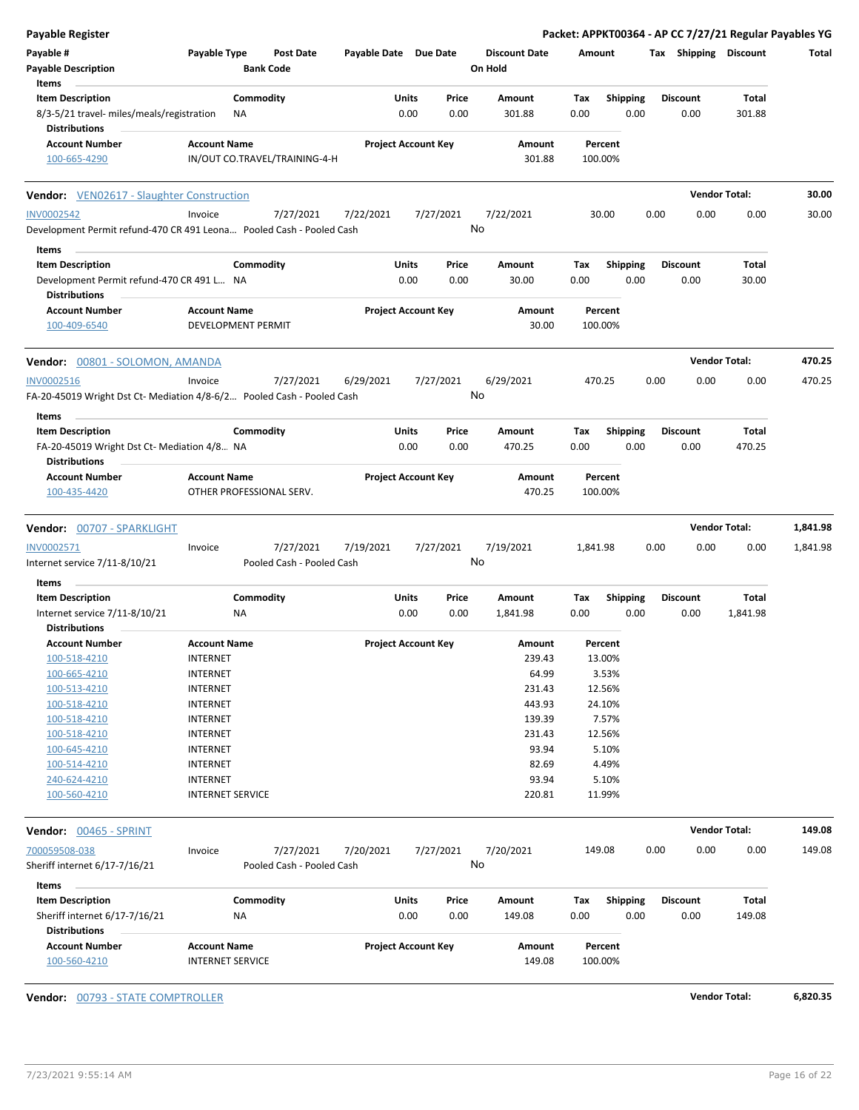| Payable #<br>Payable Type<br>Post Date<br>Payable Date Due Date<br><b>Discount Date</b><br>Tax Shipping Discount<br>Amount<br><b>Payable Description</b><br><b>Bank Code</b><br>On Hold<br>Items<br>Commodity<br>Units<br>Price<br>Shipping<br><b>Discount</b><br><b>Item Description</b><br>Amount<br>Tax<br>Total<br>0.00<br>0.00<br>0.00<br>0.00<br>8/3-5/21 travel- miles/meals/registration<br>ΝA<br>301.88<br>0.00<br>301.88<br><b>Distributions</b><br><b>Project Account Key</b><br><b>Account Number</b><br><b>Account Name</b><br>Amount<br>Percent<br>IN/OUT CO.TRAVEL/TRAINING-4-H<br>100-665-4290<br>301.88<br>100.00%<br><b>Vendor Total:</b><br><b>Vendor:</b> VEN02617 - Slaughter Construction<br><b>INV0002542</b><br>7/27/2021<br>7/22/2021<br>7/27/2021<br>7/22/2021<br>30.00<br>0.00<br>0.00<br>0.00<br>Invoice<br>No<br>Development Permit refund-470 CR 491 Leona Pooled Cash - Pooled Cash<br>Items<br><b>Item Description</b><br>Commodity<br>Units<br><b>Discount</b><br>Total<br>Price<br>Amount<br>Tax<br><b>Shipping</b><br>0.00<br>0.00<br>0.00<br>30.00<br>Development Permit refund-470 CR 491 L NA<br>0.00<br>30.00<br>0.00<br><b>Distributions</b><br><b>Project Account Key</b><br><b>Account Number</b><br><b>Account Name</b><br>Amount<br>Percent<br>100-409-6540<br>30.00<br>100.00%<br>DEVELOPMENT PERMIT<br><b>Vendor Total:</b><br>470.25<br><b>Vendor:</b> 00801 - SOLOMON, AMANDA<br><b>INV0002516</b><br>7/27/2021<br>6/29/2021<br>7/27/2021<br>6/29/2021<br>470.25<br>0.00<br>0.00<br>0.00<br>470.25<br>Invoice<br>No<br>FA-20-45019 Wright Dst Ct- Mediation 4/8-6/2 Pooled Cash - Pooled Cash<br>Items |
|--------------------------------------------------------------------------------------------------------------------------------------------------------------------------------------------------------------------------------------------------------------------------------------------------------------------------------------------------------------------------------------------------------------------------------------------------------------------------------------------------------------------------------------------------------------------------------------------------------------------------------------------------------------------------------------------------------------------------------------------------------------------------------------------------------------------------------------------------------------------------------------------------------------------------------------------------------------------------------------------------------------------------------------------------------------------------------------------------------------------------------------------------------------------------------------------------------------------------------------------------------------------------------------------------------------------------------------------------------------------------------------------------------------------------------------------------------------------------------------------------------------------------------------------------------------------------------------------------------------------------------------------------------|
|                                                                                                                                                                                                                                                                                                                                                                                                                                                                                                                                                                                                                                                                                                                                                                                                                                                                                                                                                                                                                                                                                                                                                                                                                                                                                                                                                                                                                                                                                                                                                                                                                                                        |
|                                                                                                                                                                                                                                                                                                                                                                                                                                                                                                                                                                                                                                                                                                                                                                                                                                                                                                                                                                                                                                                                                                                                                                                                                                                                                                                                                                                                                                                                                                                                                                                                                                                        |
|                                                                                                                                                                                                                                                                                                                                                                                                                                                                                                                                                                                                                                                                                                                                                                                                                                                                                                                                                                                                                                                                                                                                                                                                                                                                                                                                                                                                                                                                                                                                                                                                                                                        |
|                                                                                                                                                                                                                                                                                                                                                                                                                                                                                                                                                                                                                                                                                                                                                                                                                                                                                                                                                                                                                                                                                                                                                                                                                                                                                                                                                                                                                                                                                                                                                                                                                                                        |
|                                                                                                                                                                                                                                                                                                                                                                                                                                                                                                                                                                                                                                                                                                                                                                                                                                                                                                                                                                                                                                                                                                                                                                                                                                                                                                                                                                                                                                                                                                                                                                                                                                                        |
|                                                                                                                                                                                                                                                                                                                                                                                                                                                                                                                                                                                                                                                                                                                                                                                                                                                                                                                                                                                                                                                                                                                                                                                                                                                                                                                                                                                                                                                                                                                                                                                                                                                        |
|                                                                                                                                                                                                                                                                                                                                                                                                                                                                                                                                                                                                                                                                                                                                                                                                                                                                                                                                                                                                                                                                                                                                                                                                                                                                                                                                                                                                                                                                                                                                                                                                                                                        |
|                                                                                                                                                                                                                                                                                                                                                                                                                                                                                                                                                                                                                                                                                                                                                                                                                                                                                                                                                                                                                                                                                                                                                                                                                                                                                                                                                                                                                                                                                                                                                                                                                                                        |
|                                                                                                                                                                                                                                                                                                                                                                                                                                                                                                                                                                                                                                                                                                                                                                                                                                                                                                                                                                                                                                                                                                                                                                                                                                                                                                                                                                                                                                                                                                                                                                                                                                                        |
|                                                                                                                                                                                                                                                                                                                                                                                                                                                                                                                                                                                                                                                                                                                                                                                                                                                                                                                                                                                                                                                                                                                                                                                                                                                                                                                                                                                                                                                                                                                                                                                                                                                        |
|                                                                                                                                                                                                                                                                                                                                                                                                                                                                                                                                                                                                                                                                                                                                                                                                                                                                                                                                                                                                                                                                                                                                                                                                                                                                                                                                                                                                                                                                                                                                                                                                                                                        |
|                                                                                                                                                                                                                                                                                                                                                                                                                                                                                                                                                                                                                                                                                                                                                                                                                                                                                                                                                                                                                                                                                                                                                                                                                                                                                                                                                                                                                                                                                                                                                                                                                                                        |
|                                                                                                                                                                                                                                                                                                                                                                                                                                                                                                                                                                                                                                                                                                                                                                                                                                                                                                                                                                                                                                                                                                                                                                                                                                                                                                                                                                                                                                                                                                                                                                                                                                                        |
| Commodity<br>Units<br>Price<br>Shipping<br>Total<br><b>Item Description</b><br>Amount<br>Tax<br><b>Discount</b><br>0.00<br>0.00<br>470.25<br>0.00<br>0.00<br>0.00<br>470.25<br>FA-20-45019 Wright Dst Ct- Mediation 4/8 NA<br><b>Distributions</b>                                                                                                                                                                                                                                                                                                                                                                                                                                                                                                                                                                                                                                                                                                                                                                                                                                                                                                                                                                                                                                                                                                                                                                                                                                                                                                                                                                                                     |
| <b>Project Account Key</b><br><b>Account Number</b><br><b>Account Name</b><br>Amount<br>Percent<br>100-435-4420<br>OTHER PROFESSIONAL SERV.<br>470.25<br>100.00%                                                                                                                                                                                                                                                                                                                                                                                                                                                                                                                                                                                                                                                                                                                                                                                                                                                                                                                                                                                                                                                                                                                                                                                                                                                                                                                                                                                                                                                                                       |
|                                                                                                                                                                                                                                                                                                                                                                                                                                                                                                                                                                                                                                                                                                                                                                                                                                                                                                                                                                                                                                                                                                                                                                                                                                                                                                                                                                                                                                                                                                                                                                                                                                                        |
| <b>Vendor Total:</b><br>1,841.98<br>Vendor: 00707 - SPARKLIGHT                                                                                                                                                                                                                                                                                                                                                                                                                                                                                                                                                                                                                                                                                                                                                                                                                                                                                                                                                                                                                                                                                                                                                                                                                                                                                                                                                                                                                                                                                                                                                                                         |
| INV0002571<br>7/27/2021<br>7/19/2021<br>7/27/2021<br>7/19/2021<br>0.00<br>0.00<br>0.00<br>1,841.98<br>Invoice<br>1,841.98<br>No<br>Internet service 7/11-8/10/21<br>Pooled Cash - Pooled Cash                                                                                                                                                                                                                                                                                                                                                                                                                                                                                                                                                                                                                                                                                                                                                                                                                                                                                                                                                                                                                                                                                                                                                                                                                                                                                                                                                                                                                                                          |
| Items                                                                                                                                                                                                                                                                                                                                                                                                                                                                                                                                                                                                                                                                                                                                                                                                                                                                                                                                                                                                                                                                                                                                                                                                                                                                                                                                                                                                                                                                                                                                                                                                                                                  |
| Commodity<br>Units<br><b>Item Description</b><br>Price<br>Amount<br>Tax<br><b>Shipping</b><br><b>Discount</b><br>Total<br>0.00<br>0.00<br>0.00<br>0.00<br>Internet service 7/11-8/10/21<br>1,841.98<br>0.00<br>1,841.98<br>ΝA                                                                                                                                                                                                                                                                                                                                                                                                                                                                                                                                                                                                                                                                                                                                                                                                                                                                                                                                                                                                                                                                                                                                                                                                                                                                                                                                                                                                                          |
| <b>Distributions</b><br><b>Account Number</b><br><b>Account Name</b><br><b>Project Account Key</b><br>Amount<br>Percent                                                                                                                                                                                                                                                                                                                                                                                                                                                                                                                                                                                                                                                                                                                                                                                                                                                                                                                                                                                                                                                                                                                                                                                                                                                                                                                                                                                                                                                                                                                                |
| 100-518-4210<br><b>INTERNET</b><br>239.43<br>13.00%                                                                                                                                                                                                                                                                                                                                                                                                                                                                                                                                                                                                                                                                                                                                                                                                                                                                                                                                                                                                                                                                                                                                                                                                                                                                                                                                                                                                                                                                                                                                                                                                    |
| 64.99<br>3.53%<br>100-665-4210<br><b>INTERNET</b>                                                                                                                                                                                                                                                                                                                                                                                                                                                                                                                                                                                                                                                                                                                                                                                                                                                                                                                                                                                                                                                                                                                                                                                                                                                                                                                                                                                                                                                                                                                                                                                                      |
| 12.56%<br><b>INTERNET</b><br>231.43<br>100-513-4210                                                                                                                                                                                                                                                                                                                                                                                                                                                                                                                                                                                                                                                                                                                                                                                                                                                                                                                                                                                                                                                                                                                                                                                                                                                                                                                                                                                                                                                                                                                                                                                                    |
| 443.93<br>100-518-4210<br><b>INTERNET</b><br>24.10%                                                                                                                                                                                                                                                                                                                                                                                                                                                                                                                                                                                                                                                                                                                                                                                                                                                                                                                                                                                                                                                                                                                                                                                                                                                                                                                                                                                                                                                                                                                                                                                                    |
| 139.39<br>7.57%<br><b>INTERNET</b><br>100-518-4210                                                                                                                                                                                                                                                                                                                                                                                                                                                                                                                                                                                                                                                                                                                                                                                                                                                                                                                                                                                                                                                                                                                                                                                                                                                                                                                                                                                                                                                                                                                                                                                                     |
| 231.43<br>12.56%<br>100-518-4210<br><b>INTERNET</b>                                                                                                                                                                                                                                                                                                                                                                                                                                                                                                                                                                                                                                                                                                                                                                                                                                                                                                                                                                                                                                                                                                                                                                                                                                                                                                                                                                                                                                                                                                                                                                                                    |
| 93.94<br>100-645-4210<br><b>INTERNET</b><br>5.10%                                                                                                                                                                                                                                                                                                                                                                                                                                                                                                                                                                                                                                                                                                                                                                                                                                                                                                                                                                                                                                                                                                                                                                                                                                                                                                                                                                                                                                                                                                                                                                                                      |
| 82.69<br><b>INTERNET</b><br>4.49%<br>100-514-4210                                                                                                                                                                                                                                                                                                                                                                                                                                                                                                                                                                                                                                                                                                                                                                                                                                                                                                                                                                                                                                                                                                                                                                                                                                                                                                                                                                                                                                                                                                                                                                                                      |
| 93.94<br><b>INTERNET</b><br>5.10%<br>240-624-4210                                                                                                                                                                                                                                                                                                                                                                                                                                                                                                                                                                                                                                                                                                                                                                                                                                                                                                                                                                                                                                                                                                                                                                                                                                                                                                                                                                                                                                                                                                                                                                                                      |
| 100-560-4210<br><b>INTERNET SERVICE</b><br>220.81<br>11.99%                                                                                                                                                                                                                                                                                                                                                                                                                                                                                                                                                                                                                                                                                                                                                                                                                                                                                                                                                                                                                                                                                                                                                                                                                                                                                                                                                                                                                                                                                                                                                                                            |
| <b>Vendor Total:</b><br>149.08<br>Vendor: 00465 - SPRINT                                                                                                                                                                                                                                                                                                                                                                                                                                                                                                                                                                                                                                                                                                                                                                                                                                                                                                                                                                                                                                                                                                                                                                                                                                                                                                                                                                                                                                                                                                                                                                                               |
| 700059508-038<br>7/27/2021<br>7/20/2021<br>7/20/2021<br>7/27/2021<br>149.08<br>0.00<br>0.00<br>0.00<br>149.08<br>Invoice<br>No<br>Sheriff internet 6/17-7/16/21<br>Pooled Cash - Pooled Cash                                                                                                                                                                                                                                                                                                                                                                                                                                                                                                                                                                                                                                                                                                                                                                                                                                                                                                                                                                                                                                                                                                                                                                                                                                                                                                                                                                                                                                                           |
| Items                                                                                                                                                                                                                                                                                                                                                                                                                                                                                                                                                                                                                                                                                                                                                                                                                                                                                                                                                                                                                                                                                                                                                                                                                                                                                                                                                                                                                                                                                                                                                                                                                                                  |
| Commodity<br><b>Item Description</b><br>Units<br>Price<br>Shipping<br><b>Discount</b><br>Total<br>Amount<br>Tax                                                                                                                                                                                                                                                                                                                                                                                                                                                                                                                                                                                                                                                                                                                                                                                                                                                                                                                                                                                                                                                                                                                                                                                                                                                                                                                                                                                                                                                                                                                                        |
| 0.00<br>0.00<br>0.00<br>149.08<br>0.00<br>0.00<br>149.08<br>Sheriff internet 6/17-7/16/21<br>NA<br><b>Distributions</b>                                                                                                                                                                                                                                                                                                                                                                                                                                                                                                                                                                                                                                                                                                                                                                                                                                                                                                                                                                                                                                                                                                                                                                                                                                                                                                                                                                                                                                                                                                                                |
| <b>Account Number</b><br><b>Account Name</b><br><b>Project Account Key</b><br>Amount<br>Percent                                                                                                                                                                                                                                                                                                                                                                                                                                                                                                                                                                                                                                                                                                                                                                                                                                                                                                                                                                                                                                                                                                                                                                                                                                                                                                                                                                                                                                                                                                                                                        |
| 100-560-4210<br><b>INTERNET SERVICE</b><br>149.08<br>100.00%                                                                                                                                                                                                                                                                                                                                                                                                                                                                                                                                                                                                                                                                                                                                                                                                                                                                                                                                                                                                                                                                                                                                                                                                                                                                                                                                                                                                                                                                                                                                                                                           |

**Vendor:** 00793 - STATE COMPTROLLER **Vendor Total: 6,820.35**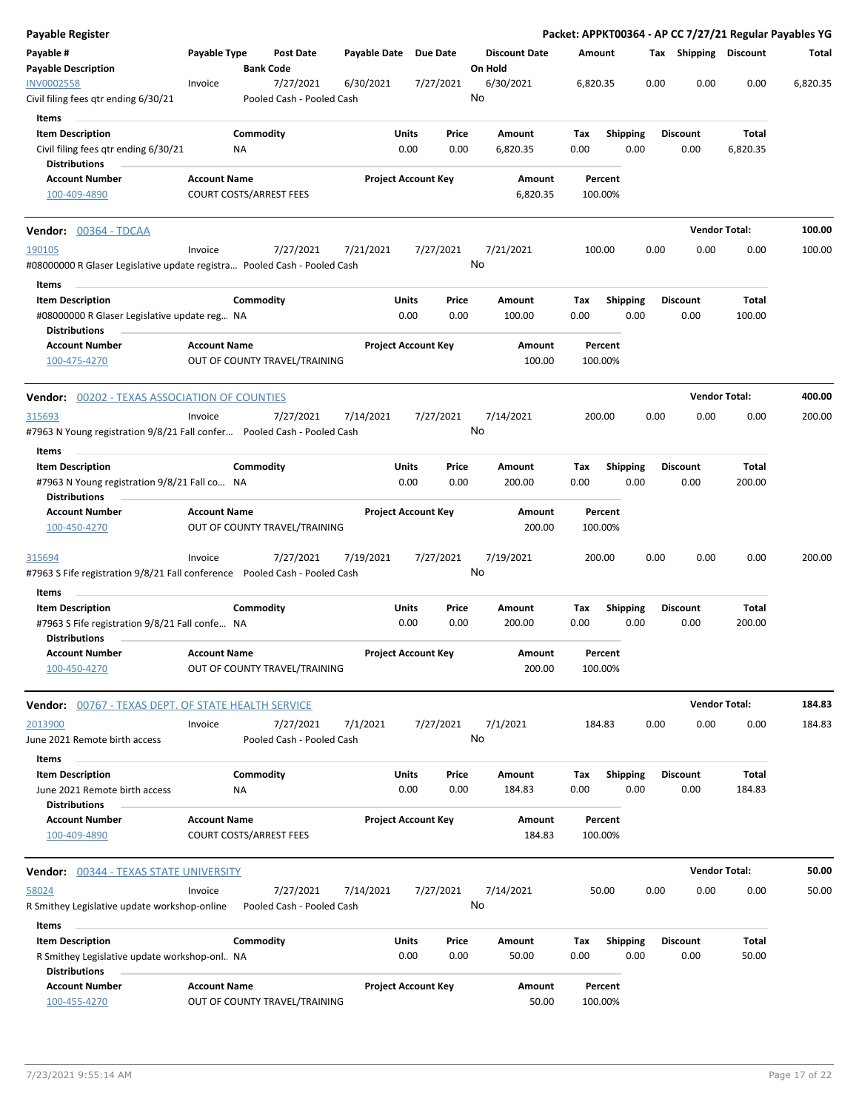| Payable Register                                                                                  |                                |                  |                                        |              |                            |               |                                 |                    |             |                 |      |      |                         |                 | Packet: APPKT00364 - AP CC 7/27/21 Regular Payables YG |
|---------------------------------------------------------------------------------------------------|--------------------------------|------------------|----------------------------------------|--------------|----------------------------|---------------|---------------------------------|--------------------|-------------|-----------------|------|------|-------------------------|-----------------|--------------------------------------------------------|
| Payable #<br><b>Payable Description</b>                                                           | Payable Type                   | <b>Bank Code</b> | Post Date                              | Payable Date | <b>Due Date</b>            |               | <b>Discount Date</b><br>On Hold |                    | Amount      |                 |      |      | Tax Shipping Discount   |                 | Total                                                  |
| <b>INV0002558</b><br>Civil filing fees qtr ending 6/30/21                                         | Invoice                        |                  | 7/27/2021<br>Pooled Cash - Pooled Cash | 6/30/2021    |                            | 7/27/2021     | 6/30/2021<br>No                 |                    | 6,820.35    |                 |      | 0.00 | 0.00                    | 0.00            | 6,820.35                                               |
| Items                                                                                             |                                |                  |                                        |              |                            |               |                                 |                    |             |                 |      |      |                         |                 |                                                        |
| <b>Item Description</b>                                                                           |                                | Commodity        |                                        |              | Units                      | Price         | Amount                          |                    | Tax         | <b>Shipping</b> |      |      | <b>Discount</b>         | Total           |                                                        |
| Civil filing fees qtr ending 6/30/21                                                              |                                | ΝA               |                                        |              | 0.00                       | 0.00          | 6,820.35                        |                    | 0.00        |                 | 0.00 |      | 0.00                    | 6,820.35        |                                                        |
| <b>Distributions</b>                                                                              | <b>Account Name</b>            |                  |                                        |              |                            |               |                                 |                    |             |                 |      |      |                         |                 |                                                        |
| <b>Account Number</b><br>100-409-4890                                                             | <b>COURT COSTS/ARREST FEES</b> |                  |                                        |              | <b>Project Account Key</b> |               |                                 | Amount<br>6,820.35 | 100.00%     | Percent         |      |      |                         |                 |                                                        |
| <b>Vendor:</b> 00364 - TDCAA                                                                      |                                |                  |                                        |              |                            |               |                                 |                    |             |                 |      |      | <b>Vendor Total:</b>    |                 | 100.00                                                 |
| 190105<br>#08000000 R Glaser Legislative update registra Pooled Cash - Pooled Cash                | Invoice                        |                  | 7/27/2021                              | 7/21/2021    |                            | 7/27/2021     | 7/21/2021<br>No                 |                    | 100.00      |                 |      | 0.00 | 0.00                    | 0.00            | 100.00                                                 |
| Items<br><b>Item Description</b>                                                                  |                                | Commodity        |                                        |              | Units                      | Price         | Amount                          |                    | Tax         | <b>Shipping</b> |      |      | <b>Discount</b>         | Total           |                                                        |
| #08000000 R Glaser Legislative update reg NA<br><b>Distributions</b>                              |                                |                  |                                        |              | 0.00                       | 0.00          | 100.00                          |                    | 0.00        |                 | 0.00 |      | 0.00                    | 100.00          |                                                        |
| <b>Account Number</b><br>100-475-4270                                                             | <b>Account Name</b>            |                  | OUT OF COUNTY TRAVEL/TRAINING          |              | <b>Project Account Key</b> |               |                                 | Amount<br>100.00   | 100.00%     | Percent         |      |      |                         |                 |                                                        |
| <b>Vendor: 00202 - TEXAS ASSOCIATION OF COUNTIES</b>                                              |                                |                  |                                        |              |                            |               |                                 |                    |             |                 |      |      | <b>Vendor Total:</b>    |                 | 400.00                                                 |
| 315693<br>#7963 N Young registration 9/8/21 Fall confer  Pooled Cash - Pooled Cash                | Invoice                        |                  | 7/27/2021                              | 7/14/2021    |                            | 7/27/2021     | 7/14/2021<br>No                 |                    | 200.00      |                 |      | 0.00 | 0.00                    | 0.00            | 200.00                                                 |
| Items                                                                                             |                                |                  |                                        |              |                            |               |                                 |                    |             |                 |      |      |                         |                 |                                                        |
| <b>Item Description</b>                                                                           |                                | Commodity        |                                        |              | Units                      | Price         | Amount                          |                    | Tax         | <b>Shipping</b> |      |      | <b>Discount</b>         | Total           |                                                        |
| #7963 N Young registration 9/8/21 Fall co NA<br><b>Distributions</b>                              |                                |                  |                                        |              | 0.00                       | 0.00          | 200.00                          |                    | 0.00        |                 | 0.00 |      | 0.00                    | 200.00          |                                                        |
| <b>Account Number</b>                                                                             | <b>Account Name</b>            |                  |                                        |              | <b>Project Account Key</b> |               |                                 | Amount             |             | Percent         |      |      |                         |                 |                                                        |
| 100-450-4270                                                                                      |                                |                  | OUT OF COUNTY TRAVEL/TRAINING          |              |                            |               |                                 | 200.00             | 100.00%     |                 |      |      |                         |                 |                                                        |
| 315694<br>#7963 S Fife registration 9/8/21 Fall conference  Pooled Cash - Pooled Cash             | Invoice                        |                  | 7/27/2021                              | 7/19/2021    |                            | 7/27/2021     | 7/19/2021<br>No                 |                    | 200.00      |                 |      | 0.00 | 0.00                    | 0.00            | 200.00                                                 |
| Items                                                                                             |                                |                  |                                        |              |                            |               |                                 |                    |             |                 |      |      |                         |                 |                                                        |
| <b>Item Description</b><br>#7963 S Fife registration 9/8/21 Fall confe NA<br><b>Distributions</b> |                                | Commodity        |                                        |              | Units<br>0.00              | Price<br>0.00 | Amount<br>200.00                |                    | Tax<br>0.00 | <b>Shipping</b> | 0.00 |      | <b>Discount</b><br>0.00 | Total<br>200.00 |                                                        |
| <b>Account Number</b>                                                                             | <b>Account Name</b>            |                  |                                        |              | <b>Project Account Key</b> |               |                                 | Amount             |             | Percent         |      |      |                         |                 |                                                        |
| 100-450-4270                                                                                      |                                |                  | OUT OF COUNTY TRAVEL/TRAINING          |              |                            |               |                                 | 200.00             | 100.00%     |                 |      |      |                         |                 |                                                        |
| <b>Vendor:</b> 00767 - TEXAS DEPT. OF STATE HEALTH SERVICE                                        |                                |                  |                                        |              |                            |               |                                 |                    |             |                 |      |      | <b>Vendor Total:</b>    |                 | 184.83                                                 |
| 2013900                                                                                           | Invoice                        |                  | 7/27/2021                              | 7/1/2021     |                            | 7/27/2021     | 7/1/2021                        |                    | 184.83      |                 |      | 0.00 | 0.00                    | 0.00            | 184.83                                                 |
| June 2021 Remote birth access<br>Items                                                            |                                |                  | Pooled Cash - Pooled Cash              |              |                            |               | No                              |                    |             |                 |      |      |                         |                 |                                                        |
| <b>Item Description</b>                                                                           |                                | Commodity        |                                        |              | Units                      | Price         | Amount                          |                    | Тах         | <b>Shipping</b> |      |      | <b>Discount</b>         | Total           |                                                        |
| June 2021 Remote birth access<br><b>Distributions</b>                                             |                                | ΝA               |                                        |              | 0.00                       | 0.00          | 184.83                          |                    | 0.00        |                 | 0.00 |      | 0.00                    | 184.83          |                                                        |
| <b>Account Number</b>                                                                             | <b>Account Name</b>            |                  |                                        |              | <b>Project Account Key</b> |               |                                 | Amount             |             | Percent         |      |      |                         |                 |                                                        |
| 100-409-4890                                                                                      | <b>COURT COSTS/ARREST FEES</b> |                  |                                        |              |                            |               |                                 | 184.83             | 100.00%     |                 |      |      |                         |                 |                                                        |
| <b>Vendor:</b> 00344 - TEXAS STATE UNIVERSITY                                                     |                                |                  |                                        |              |                            |               |                                 |                    |             |                 |      |      | <b>Vendor Total:</b>    |                 | 50.00                                                  |
| 58024                                                                                             | Invoice                        |                  | 7/27/2021                              | 7/14/2021    |                            | 7/27/2021     | 7/14/2021                       |                    |             | 50.00           |      | 0.00 | 0.00                    | 0.00            | 50.00                                                  |
| R Smithey Legislative update workshop-online<br>Items                                             |                                |                  | Pooled Cash - Pooled Cash              |              |                            |               | No                              |                    |             |                 |      |      |                         |                 |                                                        |
| <b>Item Description</b>                                                                           |                                | Commodity        |                                        |              | Units                      | Price         | Amount                          |                    | Тах         | <b>Shipping</b> |      |      | <b>Discount</b>         | Total           |                                                        |
| R Smithey Legislative update workshop-onl. NA<br><b>Distributions</b>                             |                                |                  |                                        |              | 0.00                       | 0.00          |                                 | 50.00              | 0.00        |                 | 0.00 |      | 0.00                    | 50.00           |                                                        |
| <b>Account Number</b><br>100-455-4270                                                             | <b>Account Name</b>            |                  | OUT OF COUNTY TRAVEL/TRAINING          |              | <b>Project Account Key</b> |               |                                 | Amount<br>50.00    | 100.00%     | Percent         |      |      |                         |                 |                                                        |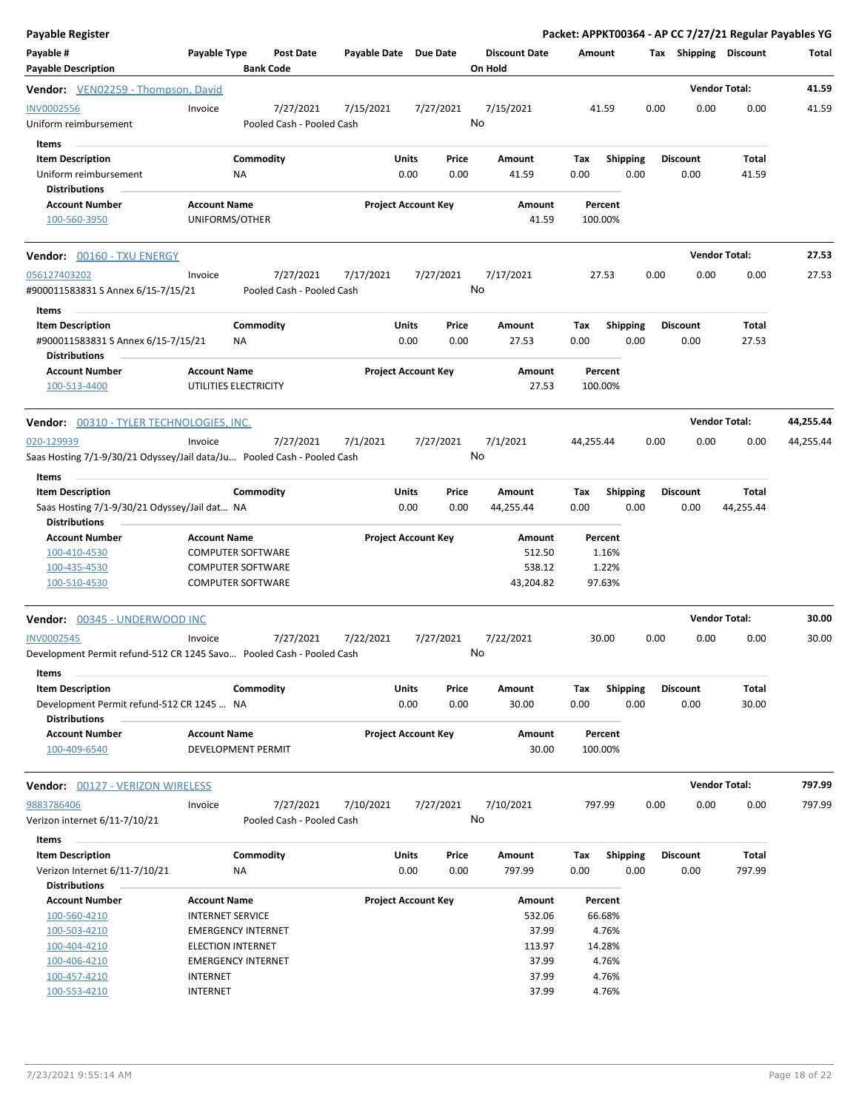| Payable Register                                                                                         |                                                                                                         |                 |                                        |                       |                            |               |                                         |             |                                     |      |                         | Packet: APPKT00364 - AP CC 7/27/21 Regular Payables YG |           |
|----------------------------------------------------------------------------------------------------------|---------------------------------------------------------------------------------------------------------|-----------------|----------------------------------------|-----------------------|----------------------------|---------------|-----------------------------------------|-------------|-------------------------------------|------|-------------------------|--------------------------------------------------------|-----------|
| Payable #<br><b>Payable Description</b>                                                                  | <b>Payable Type</b>                                                                                     |                 | Post Date<br><b>Bank Code</b>          | Payable Date Due Date |                            |               | <b>Discount Date</b><br>On Hold         | Amount      |                                     |      | Tax Shipping Discount   |                                                        | Total     |
| Vendor: VEN02259 - Thompson, David                                                                       |                                                                                                         |                 |                                        |                       |                            |               |                                         |             |                                     |      |                         | <b>Vendor Total:</b>                                   | 41.59     |
| <b>INV0002556</b><br>Uniform reimbursement<br><b>Items</b>                                               | Invoice                                                                                                 |                 | 7/27/2021<br>Pooled Cash - Pooled Cash | 7/15/2021             |                            | 7/27/2021     | 7/15/2021<br>No                         |             | 41.59                               | 0.00 | 0.00                    | 0.00                                                   | 41.59     |
| <b>Item Description</b><br>Uniform reimbursement<br><b>Distributions</b>                                 |                                                                                                         | Commodity<br>ΝA |                                        |                       | Units<br>0.00              | Price<br>0.00 | Amount<br>41.59                         | Tax<br>0.00 | <b>Shipping</b><br>0.00             |      | <b>Discount</b><br>0.00 | Total<br>41.59                                         |           |
| <b>Account Number</b><br>100-560-3950                                                                    | <b>Account Name</b><br>UNIFORMS/OTHER                                                                   |                 |                                        |                       | <b>Project Account Key</b> |               | Amount<br>41.59                         | 100.00%     | Percent                             |      |                         |                                                        |           |
| Vendor: 00160 - TXU ENERGY                                                                               |                                                                                                         |                 |                                        |                       |                            |               |                                         |             |                                     |      |                         | <b>Vendor Total:</b>                                   | 27.53     |
| 056127403202<br>#900011583831 S Annex 6/15-7/15/21<br>Items                                              | Invoice                                                                                                 |                 | 7/27/2021<br>Pooled Cash - Pooled Cash | 7/17/2021             |                            | 7/27/2021     | 7/17/2021<br>No                         |             | 27.53                               | 0.00 | 0.00                    | 0.00                                                   | 27.53     |
| <b>Item Description</b><br>#900011583831 S Annex 6/15-7/15/21<br><b>Distributions</b>                    |                                                                                                         | Commodity<br>NA |                                        |                       | <b>Units</b><br>0.00       | Price<br>0.00 | Amount<br>27.53                         | Tax<br>0.00 | <b>Shipping</b><br>0.00             |      | <b>Discount</b><br>0.00 | Total<br>27.53                                         |           |
| <b>Account Number</b><br>100-513-4400                                                                    | <b>Account Name</b><br>UTILITIES ELECTRICITY                                                            |                 |                                        |                       | <b>Project Account Key</b> |               | Amount<br>27.53                         | 100.00%     | Percent                             |      |                         |                                                        |           |
| <b>Vendor: 00310 - TYLER TECHNOLOGIES, INC.</b>                                                          |                                                                                                         |                 |                                        |                       |                            |               |                                         |             |                                     |      |                         | <b>Vendor Total:</b>                                   | 44,255.44 |
| 020-129939<br>Saas Hosting 7/1-9/30/21 Odyssey/Jail data/Ju Pooled Cash - Pooled Cash                    | Invoice                                                                                                 |                 | 7/27/2021                              | 7/1/2021              |                            | 7/27/2021     | 7/1/2021<br>No                          | 44,255.44   |                                     | 0.00 | 0.00                    | 0.00                                                   | 44,255.44 |
| Items<br><b>Item Description</b><br>Saas Hosting 7/1-9/30/21 Odyssey/Jail dat NA<br><b>Distributions</b> |                                                                                                         | Commodity       |                                        |                       | Units<br>0.00              | Price<br>0.00 | Amount<br>44,255.44                     | Tax<br>0.00 | <b>Shipping</b><br>0.00             |      | <b>Discount</b><br>0.00 | <b>Total</b><br>44,255.44                              |           |
| <b>Account Number</b><br>100-410-4530<br>100-435-4530<br>100-510-4530                                    | <b>Account Name</b><br><b>COMPUTER SOFTWARE</b><br><b>COMPUTER SOFTWARE</b><br><b>COMPUTER SOFTWARE</b> |                 |                                        |                       | <b>Project Account Key</b> |               | Amount<br>512.50<br>538.12<br>43,204.82 |             | Percent<br>1.16%<br>1.22%<br>97.63% |      |                         |                                                        |           |
| Vendor: 00345 - UNDERWOOD INC                                                                            |                                                                                                         |                 |                                        |                       |                            |               |                                         |             |                                     |      |                         | <b>Vendor Total:</b>                                   | 30.00     |
| <b>INV0002545</b><br>Development Permit refund-512 CR 1245 Savo Pooled Cash - Pooled Cash                | Invoice                                                                                                 |                 | 7/27/2021                              | 7/22/2021             |                            | 7/27/2021     | 7/22/2021<br>No                         |             | 30.00                               | 0.00 | 0.00                    | 0.00                                                   | 30.00     |
| Items<br><b>Item Description</b><br>Development Permit refund-512 CR 1245  NA<br><b>Distributions</b>    |                                                                                                         | Commodity       |                                        |                       | <b>Units</b><br>0.00       | Price<br>0.00 | Amount<br>30.00                         | Tax<br>0.00 | <b>Shipping</b><br>0.00             |      | <b>Discount</b><br>0.00 | Total<br>30.00                                         |           |
| <b>Account Number</b><br>100-409-6540                                                                    | <b>Account Name</b><br>DEVELOPMENT PERMIT                                                               |                 |                                        |                       | <b>Project Account Key</b> |               | Amount<br>30.00                         | 100.00%     | Percent                             |      |                         |                                                        |           |
| Vendor: 00127 - VERIZON WIRELESS                                                                         |                                                                                                         |                 |                                        |                       |                            |               |                                         |             |                                     |      |                         | <b>Vendor Total:</b>                                   | 797.99    |
| 9883786406<br>Verizon internet 6/11-7/10/21<br>Items                                                     | Invoice                                                                                                 |                 | 7/27/2021<br>Pooled Cash - Pooled Cash | 7/10/2021             |                            | 7/27/2021     | 7/10/2021<br>No                         | 797.99      |                                     | 0.00 | 0.00                    | 0.00                                                   | 797.99    |
| <b>Item Description</b><br>Verizon Internet 6/11-7/10/21<br><b>Distributions</b>                         |                                                                                                         | Commodity<br>NA |                                        |                       | <b>Units</b><br>0.00       | Price<br>0.00 | Amount<br>797.99                        | Tax<br>0.00 | <b>Shipping</b><br>0.00             |      | <b>Discount</b><br>0.00 | Total<br>797.99                                        |           |
| <b>Account Number</b><br>100-560-4210<br>100-503-4210                                                    | <b>Account Name</b><br><b>INTERNET SERVICE</b><br><b>EMERGENCY INTERNET</b>                             |                 |                                        |                       | <b>Project Account Key</b> |               | Amount<br>532.06<br>37.99               |             | Percent<br>66.68%<br>4.76%          |      |                         |                                                        |           |
| 100-404-4210<br>100-406-4210<br>100-457-4210                                                             | <b>ELECTION INTERNET</b><br><b>EMERGENCY INTERNET</b><br>INTERNET                                       |                 |                                        |                       |                            |               | 113.97<br>37.99<br>37.99                |             | 14.28%<br>4.76%<br>4.76%            |      |                         |                                                        |           |
| 100-553-4210                                                                                             | <b>INTERNET</b>                                                                                         |                 |                                        |                       |                            |               | 37.99                                   |             | 4.76%                               |      |                         |                                                        |           |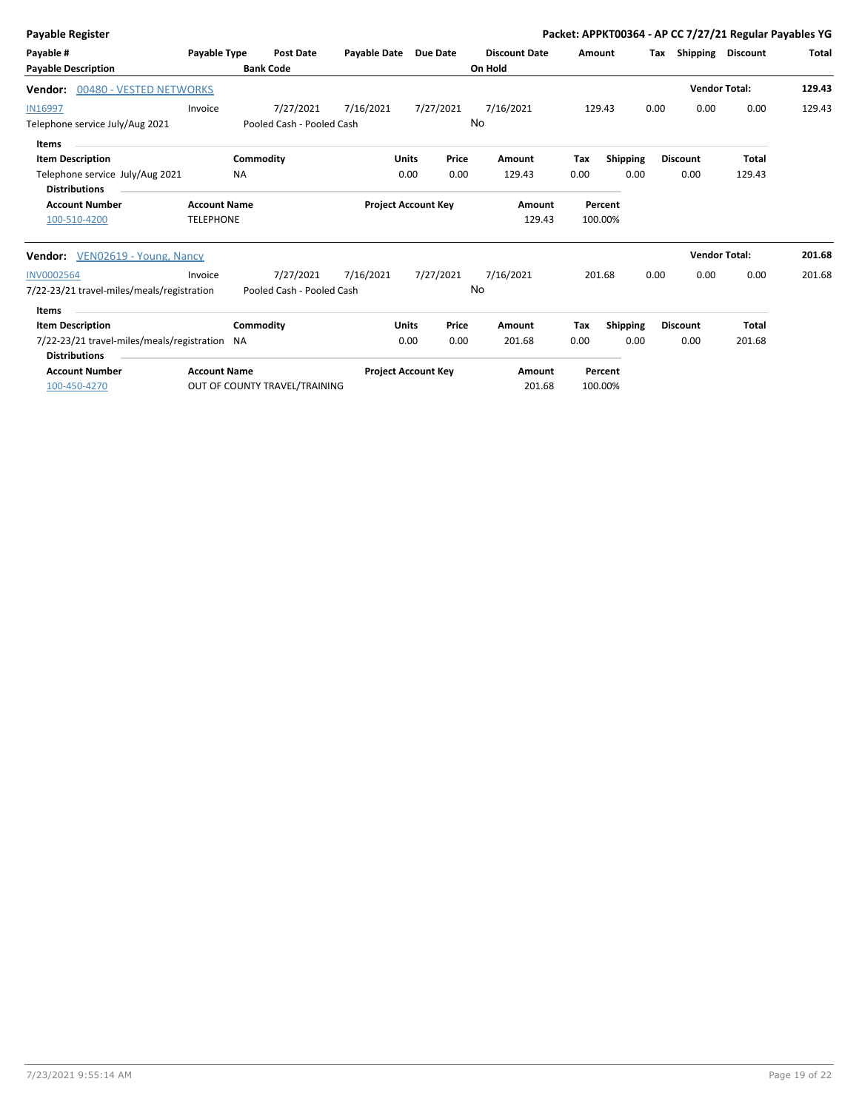| Payable Register                                                      |                     |                               |                            |              |           |                      |        |                 |      |                 | Packet: APPKT00364 - AP CC 7/27/21 Regular Payables YG |        |
|-----------------------------------------------------------------------|---------------------|-------------------------------|----------------------------|--------------|-----------|----------------------|--------|-----------------|------|-----------------|--------------------------------------------------------|--------|
| Payable #                                                             | Payable Type        | <b>Post Date</b>              | Payable Date Due Date      |              |           | <b>Discount Date</b> | Amount |                 | Tax  | Shipping        | <b>Discount</b>                                        | Total  |
| <b>Payable Description</b>                                            |                     | <b>Bank Code</b>              |                            |              |           | On Hold              |        |                 |      |                 |                                                        |        |
| 00480 - VESTED NETWORKS<br>Vendor:                                    |                     |                               |                            |              |           |                      |        |                 |      |                 | <b>Vendor Total:</b>                                   | 129.43 |
| <b>IN16997</b>                                                        | Invoice             | 7/27/2021                     | 7/16/2021                  |              | 7/27/2021 | 7/16/2021            |        | 129.43          | 0.00 | 0.00            | 0.00                                                   | 129.43 |
| Telephone service July/Aug 2021                                       |                     | Pooled Cash - Pooled Cash     |                            |              | No        |                      |        |                 |      |                 |                                                        |        |
| <b>Items</b>                                                          |                     |                               |                            |              |           |                      |        |                 |      |                 |                                                        |        |
| <b>Item Description</b>                                               |                     | Commodity                     |                            | <b>Units</b> | Price     | Amount               | Tax    | <b>Shipping</b> |      | <b>Discount</b> | <b>Total</b>                                           |        |
| Telephone service July/Aug 2021                                       |                     | <b>NA</b>                     |                            | 0.00         | 0.00      | 129.43               | 0.00   | 0.00            |      | 0.00            | 129.43                                                 |        |
| <b>Distributions</b>                                                  |                     |                               |                            |              |           |                      |        |                 |      |                 |                                                        |        |
| <b>Account Number</b>                                                 | <b>Account Name</b> |                               | <b>Project Account Key</b> |              |           | Amount               |        | Percent         |      |                 |                                                        |        |
| 100-510-4200                                                          | <b>TELEPHONE</b>    |                               |                            |              |           | 129.43               |        | 100.00%         |      |                 |                                                        |        |
| Vendor: VEN02619 - Young, Nancy                                       |                     |                               |                            |              |           |                      |        |                 |      |                 | <b>Vendor Total:</b>                                   | 201.68 |
| <b>INV0002564</b>                                                     | Invoice             | 7/27/2021                     | 7/16/2021                  |              | 7/27/2021 | 7/16/2021            |        | 201.68          | 0.00 | 0.00            | 0.00                                                   | 201.68 |
| 7/22-23/21 travel-miles/meals/registration                            |                     | Pooled Cash - Pooled Cash     |                            |              | No        |                      |        |                 |      |                 |                                                        |        |
| <b>Items</b>                                                          |                     |                               |                            |              |           |                      |        |                 |      |                 |                                                        |        |
| <b>Item Description</b>                                               |                     | Commodity                     |                            | <b>Units</b> | Price     | Amount               | Tax    | <b>Shipping</b> |      | <b>Discount</b> | Total                                                  |        |
| 7/22-23/21 travel-miles/meals/registration NA<br><b>Distributions</b> |                     |                               |                            | 0.00         | 0.00      | 201.68               | 0.00   | 0.00            |      | 0.00            | 201.68                                                 |        |
| <b>Account Number</b>                                                 | <b>Account Name</b> |                               | <b>Project Account Key</b> |              |           | Amount               |        | Percent         |      |                 |                                                        |        |
| 100-450-4270                                                          |                     | OUT OF COUNTY TRAVEL/TRAINING |                            |              |           | 201.68               |        | 100.00%         |      |                 |                                                        |        |
|                                                                       |                     |                               |                            |              |           |                      |        |                 |      |                 |                                                        |        |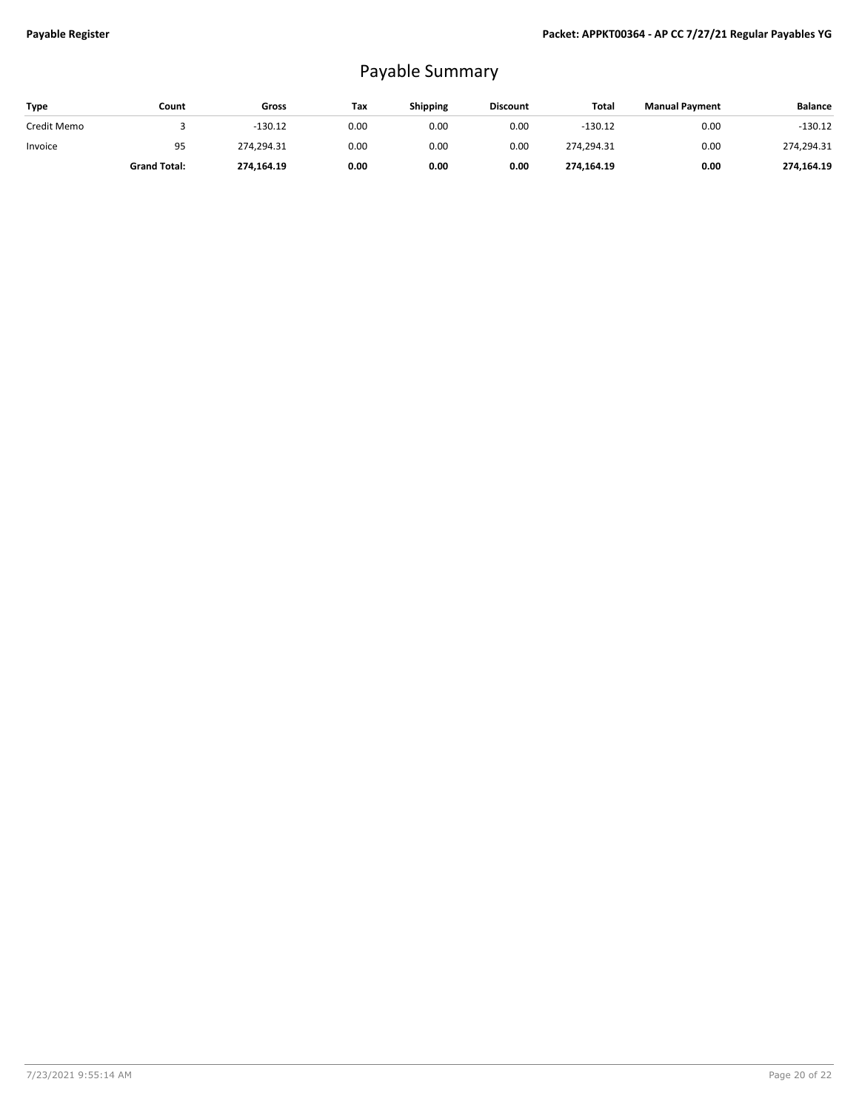## Payable Summary

| Type        | Count               | Gross      | Tax  | <b>Shipping</b> | <b>Discount</b> | Total      | <b>Manual Payment</b> | <b>Balance</b> |
|-------------|---------------------|------------|------|-----------------|-----------------|------------|-----------------------|----------------|
| Credit Memo |                     | $-130.12$  | 0.00 | 0.00            | 0.00            | $-130.12$  | 0.00                  | $-130.12$      |
| Invoice     | 95                  | 274,294.31 | 0.00 | 0.00            | 0.00            | 274,294.31 | 0.00                  | 274,294.31     |
|             | <b>Grand Total:</b> | 274,164.19 | 0.00 | 0.00            | 0.00            | 274,164.19 | 0.00                  | 274,164.19     |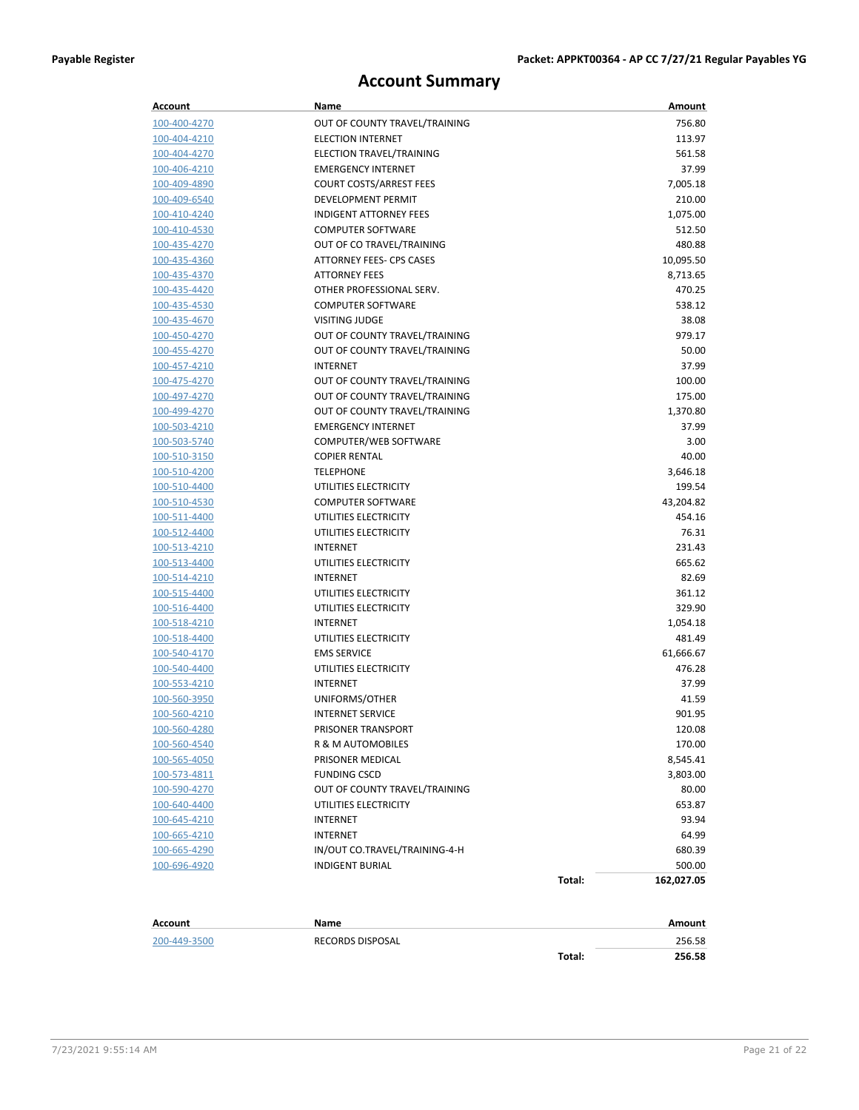## **Account Summary**

| <b>Account</b> | Name                           |        | Amount     |
|----------------|--------------------------------|--------|------------|
| 100-400-4270   | OUT OF COUNTY TRAVEL/TRAINING  |        | 756.80     |
| 100-404-4210   | <b>ELECTION INTERNET</b>       |        | 113.97     |
| 100-404-4270   | ELECTION TRAVEL/TRAINING       |        | 561.58     |
| 100-406-4210   | <b>EMERGENCY INTERNET</b>      |        | 37.99      |
| 100-409-4890   | <b>COURT COSTS/ARREST FEES</b> |        | 7,005.18   |
| 100-409-6540   | DEVELOPMENT PERMIT             |        | 210.00     |
| 100-410-4240   | <b>INDIGENT ATTORNEY FEES</b>  |        | 1,075.00   |
| 100-410-4530   | <b>COMPUTER SOFTWARE</b>       |        | 512.50     |
| 100-435-4270   | OUT OF CO TRAVEL/TRAINING      |        | 480.88     |
| 100-435-4360   | ATTORNEY FEES- CPS CASES       |        | 10,095.50  |
| 100-435-4370   | <b>ATTORNEY FEES</b>           |        | 8,713.65   |
| 100-435-4420   | OTHER PROFESSIONAL SERV.       |        | 470.25     |
| 100-435-4530   | <b>COMPUTER SOFTWARE</b>       |        | 538.12     |
| 100-435-4670   | <b>VISITING JUDGE</b>          |        | 38.08      |
| 100-450-4270   | OUT OF COUNTY TRAVEL/TRAINING  |        | 979.17     |
| 100-455-4270   | OUT OF COUNTY TRAVEL/TRAINING  |        | 50.00      |
| 100-457-4210   | INTERNET                       |        | 37.99      |
| 100-475-4270   | OUT OF COUNTY TRAVEL/TRAINING  |        | 100.00     |
| 100-497-4270   | OUT OF COUNTY TRAVEL/TRAINING  |        | 175.00     |
| 100-499-4270   | OUT OF COUNTY TRAVEL/TRAINING  |        | 1,370.80   |
| 100-503-4210   | <b>EMERGENCY INTERNET</b>      |        | 37.99      |
| 100-503-5740   | COMPUTER/WEB SOFTWARE          |        | 3.00       |
| 100-510-3150   | <b>COPIER RENTAL</b>           |        | 40.00      |
| 100-510-4200   | <b>TELEPHONE</b>               |        | 3,646.18   |
| 100-510-4400   | UTILITIES ELECTRICITY          |        | 199.54     |
| 100-510-4530   | <b>COMPUTER SOFTWARE</b>       |        | 43,204.82  |
| 100-511-4400   | UTILITIES ELECTRICITY          |        | 454.16     |
| 100-512-4400   | UTILITIES ELECTRICITY          |        | 76.31      |
| 100-513-4210   | <b>INTERNET</b>                |        | 231.43     |
| 100-513-4400   | UTILITIES ELECTRICITY          |        | 665.62     |
| 100-514-4210   | INTERNET                       |        | 82.69      |
| 100-515-4400   | UTILITIES ELECTRICITY          |        | 361.12     |
| 100-516-4400   | UTILITIES ELECTRICITY          |        | 329.90     |
| 100-518-4210   | <b>INTERNET</b>                |        | 1,054.18   |
| 100-518-4400   | UTILITIES ELECTRICITY          |        | 481.49     |
| 100-540-4170   | <b>EMS SERVICE</b>             |        | 61,666.67  |
| 100-540-4400   | UTILITIES ELECTRICITY          |        | 476.28     |
| 100-553-4210   | <b>INTERNET</b>                |        | 37.99      |
| 100-560-3950   | UNIFORMS/OTHER                 |        | 41.59      |
| 100-560-4210   | <b>INTERNET SERVICE</b>        |        | 901.95     |
| 100-560-4280   | PRISONER TRANSPORT             |        | 120.08     |
| 100-560-4540   | R & M AUTOMOBILES              |        | 170.00     |
| 100-565-4050   | PRISONER MEDICAL               |        | 8,545.41   |
| 100-573-4811   | <b>FUNDING CSCD</b>            |        | 3,803.00   |
| 100-590-4270   | OUT OF COUNTY TRAVEL/TRAINING  |        | 80.00      |
| 100-640-4400   | UTILITIES ELECTRICITY          |        | 653.87     |
| 100-645-4210   | INTERNET                       |        | 93.94      |
| 100-665-4210   | INTERNET                       |        | 64.99      |
| 100-665-4290   | IN/OUT CO.TRAVEL/TRAINING-4-H  |        | 680.39     |
| 100-696-4920   | <b>INDIGENT BURIAL</b>         |        | 500.00     |
|                |                                | Total: | 162,027.05 |
| <b>Account</b> | Name                           |        | Amount     |
| 200-449-3500   | RECORDS DISPOSAL               |        | 256.58     |
|                |                                | Total: | 256.58     |